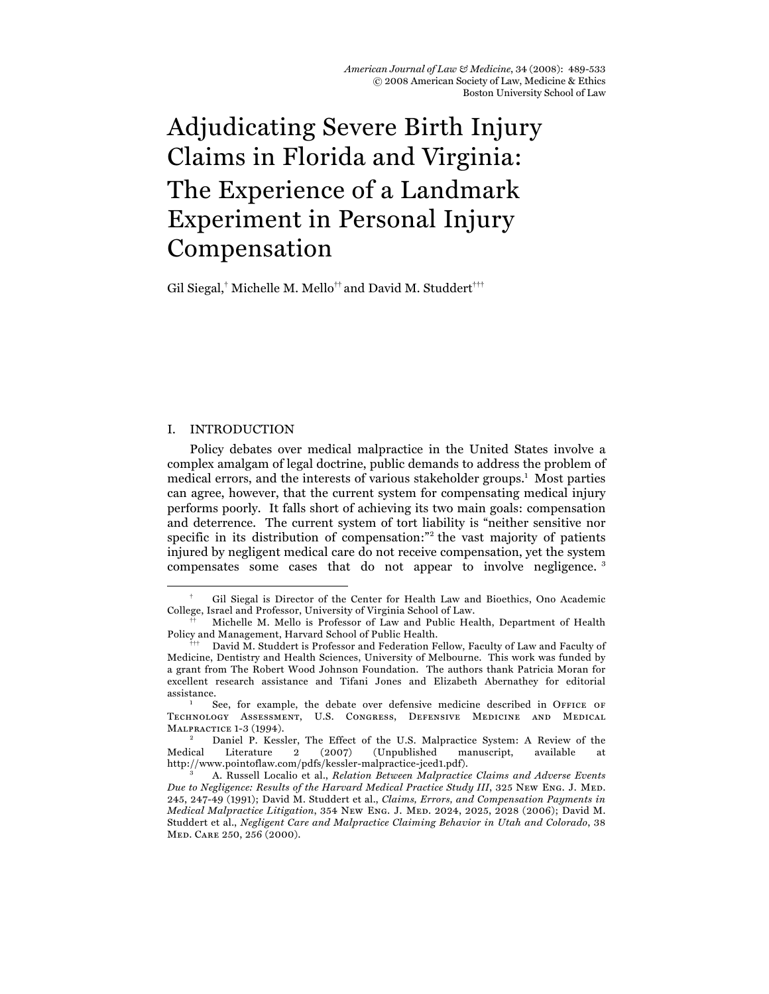# Adjudicating Severe Birth Injury Claims in Florida and Virginia: The Experience of a Landmark Experiment in Personal Injury Compensation

Gil Siegal,† Michelle M. Mello†† and David M. Studdert†††

# I. INTRODUCTION

 $\overline{a}$ 

Policy debates over medical malpractice in the United States involve a complex amalgam of legal doctrine, public demands to address the problem of medical errors, and the interests of various stakeholder groups.<sup>1</sup> Most parties can agree, however, that the current system for compensating medical injury performs poorly. It falls short of achieving its two main goals: compensation and deterrence. The current system of tort liability is "neither sensitive nor specific in its distribution of compensation:"<sup>2</sup> the vast majority of patients injured by negligent medical care do not receive compensation, yet the system compensates some cases that do not appear to involve negligence.<sup>3</sup>

<sup>†</sup>  $^+$  Gil Siegal is Director of the Center for Health Law and Bioethics, Ono Academic College, Israel and Professor, University of Virginia School of Law.

Michelle M. Mello is Professor of Law and Public Health, Department of Health Policy and Management, Harvard School of Public Health. ††† David M. Studdert is Professor and Federation Fellow, Faculty of Law and Faculty of

Medicine, Dentistry and Health Sciences, University of Melbourne. This work was funded by a grant from The Robert Wood Johnson Foundation. The authors thank Patricia Moran for excellent research assistance and Tifani Jones and Elizabeth Abernathey for editorial  $\frac{1}{1}$ 

See, for example, the debate over defensive medicine described in OFFICE OF Technology Assessment, U.S. Congress, Defensive Medicine and Medical Malpractice 1-3 (1994). 2

Daniel P. Kessler, The Effect of the U.S. Malpractice System: A Review of the Medical Literature 2 (2007) (Unpublished manuscript, available at http://www.pointoflaw.com/pdfs/kessler-malpractice-jced1.pdf). 3

A. Russell Localio et al., *Relation Between Malpractice Claims and Adverse Events Due to Negligence: Results of the Harvard Medical Practice Study III*, 325 New Eng. J. Med. 245, 247-49 (1991); David M. Studdert et al., *Claims, Errors, and Compensation Payments in Medical Malpractice Litigation*, 354 New Eng. J. Med. 2024, 2025, 2028 (2006); David M. Studdert et al., *Negligent Care and Malpractice Claiming Behavior in Utah and Colorado*, 38 Med. Care 250, 256 (2000).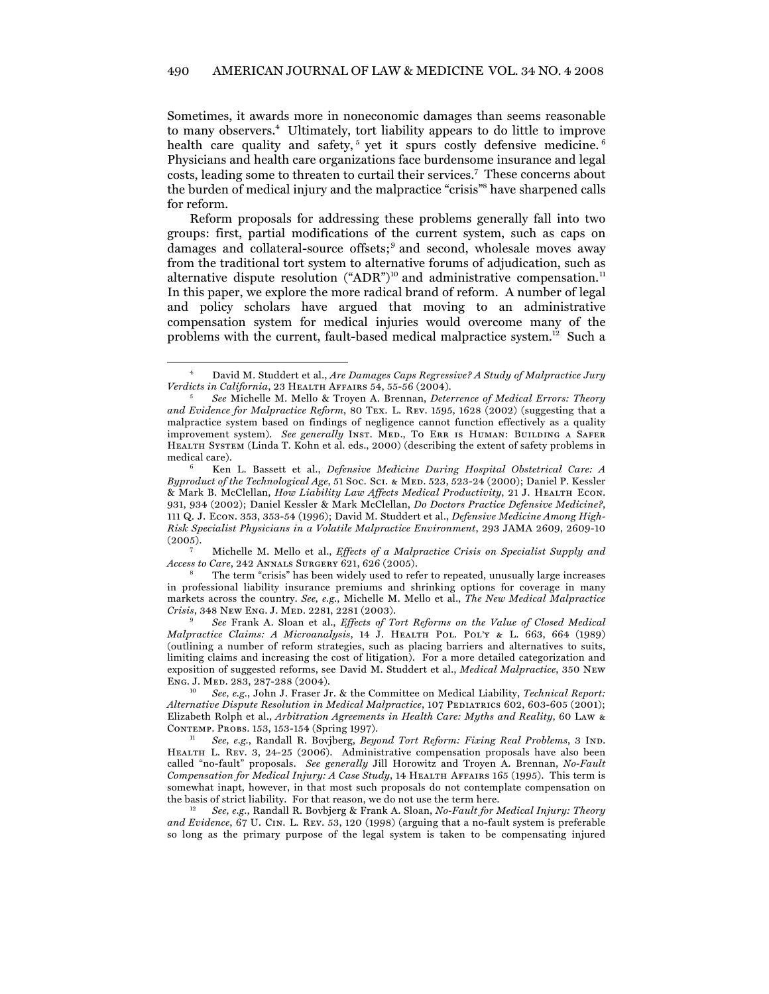Sometimes, it awards more in noneconomic damages than seems reasonable to many observers.<sup>4</sup> Ultimately, tort liability appears to do little to improve health care quality and safety,<sup>5</sup> yet it spurs costly defensive medicine.<sup>6</sup> Physicians and health care organizations face burdensome insurance and legal costs, leading some to threaten to curtail their services.<sup>7</sup> These concerns about the burden of medical injury and the malpractice "crisis"<sup>8</sup> have sharpened calls for reform.

Reform proposals for addressing these problems generally fall into two groups: first, partial modifications of the current system, such as caps on damages and collateral-source offsets;<sup>9</sup> and second, wholesale moves away from the traditional tort system to alternative forums of adjudication, such as alternative dispute resolution ("ADR")<sup>10</sup> and administrative compensation.<sup>11</sup> In this paper, we explore the more radical brand of reform. A number of legal and policy scholars have argued that moving to an administrative compensation system for medical injuries would overcome many of the problems with the current, fault-based medical malpractice system.<sup>12</sup> Such a

<sup>4</sup> David M. Studdert et al., *Are Damages Caps Regressive? A Study of Malpractice Jury Verdicts in California*, 23 HEALTH AFFAIRS 54, 55-56 (2004).

*See* Michelle M. Mello & Troyen A. Brennan, *Deterrence of Medical Errors: Theory and Evidence for Malpractice Reform*, 80 Tex. L. Rev. 1595, 1628 (2002) (suggesting that a malpractice system based on findings of negligence cannot function effectively as a quality improvement system). *See generally* Inst. Med., To Err is Human: Building a Safer HEALTH SYSTEM (Linda T. Kohn et al. eds., 2000) (describing the extent of safety problems in medical care).

Ken L. Bassett et al., *Defensive Medicine During Hospital Obstetrical Care: A Byproduct of the Technological Age*, 51 Soc. Sci. & Med. 523, 523-24 (2000); Daniel P. Kessler & Mark B. McClellan, *How Liability Law Affects Medical Productivity*, 21 J. Health Econ. 931, 934 (2002); Daniel Kessler & Mark McClellan, *Do Doctors Practice Defensive Medicine?*, 111 Q. J. Econ. 353, 353-54 (1996); David M. Studdert et al., *Defensive Medicine Among High-Risk Specialist Physicians in a Volatile Malpractice Environment*, 293 JAMA 2609, 2609-10  $(2005).$ 

Michelle M. Mello et al., *Effects of a Malpractice Crisis on Specialist Supply and Access to Care*, 242 ANNALS SURGERY 621, 626 (2005).

The term "crisis" has been widely used to refer to repeated, unusually large increases in professional liability insurance premiums and shrinking options for coverage in many markets across the country. *See, e.g.*, Michelle M. Mello et al., *The New Medical Malpractice Crisis*, 348 New Eng. J. Med. 2281, 2281 (2003). 9

*See* Frank A. Sloan et al., *Effects of Tort Reforms on the Value of Closed Medical Malpractice Claims: A Microanalysis*, 14 J. Health Pol. Pol'y & L. 663, 664 (1989) (outlining a number of reform strategies, such as placing barriers and alternatives to suits, limiting claims and increasing the cost of litigation). For a more detailed categorization and exposition of suggested reforms, see David M. Studdert et al., *Medical Malpractice*, 350 New Eng. J. Med. 283, 287-288 (2004). 10 *See, e.g.*, John J. Fraser Jr. & the Committee on Medical Liability, *Technical Report:* 

Alternative Dispute Resolution in Medical Malpractice, 107 PEDIATRICS 602, 603-605 (2001); Elizabeth Rolph et al., *Arbitration Agreements in Health Care: Myths and Reality*, 60 Law & Contemp. Probs. 153, 153-154 (Spring 1997). 11 *See, e.g.*, Randall R. Bovjberg, *Beyond Tort Reform: Fixing Real Problems*, 3 Ind.

Health L. Rev. 3, 24-25 (2006). Administrative compensation proposals have also been called "no-fault" proposals. *See generally* Jill Horowitz and Troyen A. Brennan, *No-Fault Compensation for Medical Injury: A Case Study*, 14 Health Affairs 165 (1995). This term is somewhat inapt, however, in that most such proposals do not contemplate compensation on the basis of strict liability. For that reason, we do not use the term here.<br><sup>12</sup> *See, e.g.*, Randall R. Bovbjerg & Frank A. Sloan, *No-Fault for Medical Injury: Theory* 

*and Evidence*, 67 U. Cin. L. Rev. 53, 120 (1998) (arguing that a no-fault system is preferable so long as the primary purpose of the legal system is taken to be compensating injured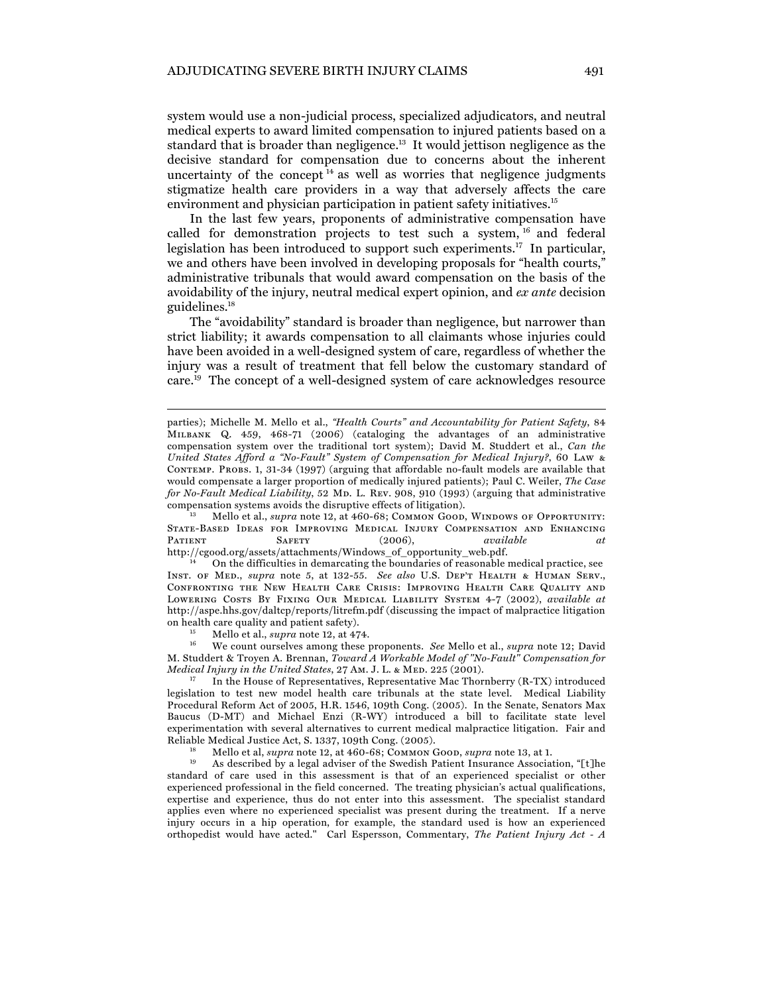system would use a non-judicial process, specialized adjudicators, and neutral medical experts to award limited compensation to injured patients based on a standard that is broader than negligence.13 It would jettison negligence as the decisive standard for compensation due to concerns about the inherent uncertainty of the concept<sup>14</sup> as well as worries that negligence judgments stigmatize health care providers in a way that adversely affects the care environment and physician participation in patient safety initiatives.<sup>15</sup>

In the last few years, proponents of administrative compensation have called for demonstration projects to test such a system, 16 and federal legislation has been introduced to support such experiments.<sup>17</sup> In particular, we and others have been involved in developing proposals for "health courts," administrative tribunals that would award compensation on the basis of the avoidability of the injury, neutral medical expert opinion, and *ex ante* decision guidelines.18

The "avoidability" standard is broader than negligence, but narrower than strict liability; it awards compensation to all claimants whose injuries could have been avoided in a well-designed system of care, regardless of whether the injury was a result of treatment that fell below the customary standard of care.19 The concept of a well-designed system of care acknowledges resource

On the difficulties in demarcating the boundaries of reasonable medical practice, see Inst. of Med., *supra* note 5, at 132-55. *See also* U.S. Dep't Health & Human Serv., Confronting the New Health Care Crisis: Improving Health Care Quality and Lowering Costs By Fixing Our Medical Liability System 4-7 (2002), *available at*  http://aspe.hhs.gov/daltcp/reports/litrefm.pdf (discussing the impact of malpractice litigation on health care quality and patient safety). 15 Mello et al., *supra* note 12, at 474. 16 We count ourselves among these proponents. *See* Mello et al., *supra* note 12; David

 $\overline{a}$ 

M. Studdert & Troyen A. Brennan, *Toward A Workable Model of "No-Fault" Compensation for Medical Injury in the United States*, 27 Am. J. L. & MED. 225 (2001).<br><sup>17</sup> In the House of Representatives, Representative Mac Thornberry (R-TX) introduced

legislation to test new model health care tribunals at the state level. Medical Liability Procedural Reform Act of 2005, H.R. 1546, 109th Cong. (2005). In the Senate, Senators Max Baucus (D-MT) and Michael Enzi (R-WY) introduced a bill to facilitate state level experimentation with several alternatives to current medical malpractice litigation. Fair and Reliable Medical Justice Act, S. 1337, 109th Cong. (2005).<br><sup>18</sup> Mello et al, *supra* note 12, at 460-68; Соммом Goop, *supra* note 13, at 1.<br><sup>19</sup> As described by a legal adviser of the Swedish Patient Insurance Association

standard of care used in this assessment is that of an experienced specialist or other experienced professional in the field concerned. The treating physician's actual qualifications, expertise and experience, thus do not enter into this assessment. The specialist standard applies even where no experienced specialist was present during the treatment. If a nerve injury occurs in a hip operation, for example, the standard used is how an experienced orthopedist would have acted." Carl Espersson, Commentary, *The Patient Injury Act - A* 

parties); Michelle M. Mello et al., *"Health Courts" and Accountability for Patient Safety*, 84 Milbank Q. 459, 468-71 (2006) (cataloging the advantages of an administrative compensation system over the traditional tort system); David M. Studdert et al., *Can the United States Afford a "No-Fault" System of Compensation for Medical Injury?*, 60 Law & CONTEMP. PROBS. 1, 31-34 (1997) (arguing that affordable no-fault models are available that would compensate a larger proportion of medically injured patients); Paul C. Weiler, *The Case for No-Fault Medical Liability*, 52 Mp. L. Rev. 908, 910 (1993) (arguing that administrative compensation systems avoids the disruptive effects of litigation). 13 Mello et al., *supra* note 12, at 460-68; Common Good, Windows of Opportunity:

State-Based Ideas for Improving Medical Injury Compensation and Enhancing PATIENT SAFETY (2006), *available at* thtp://cgood.org/assets/attachments/Windows\_of\_opportunity\_web.pdf. *at*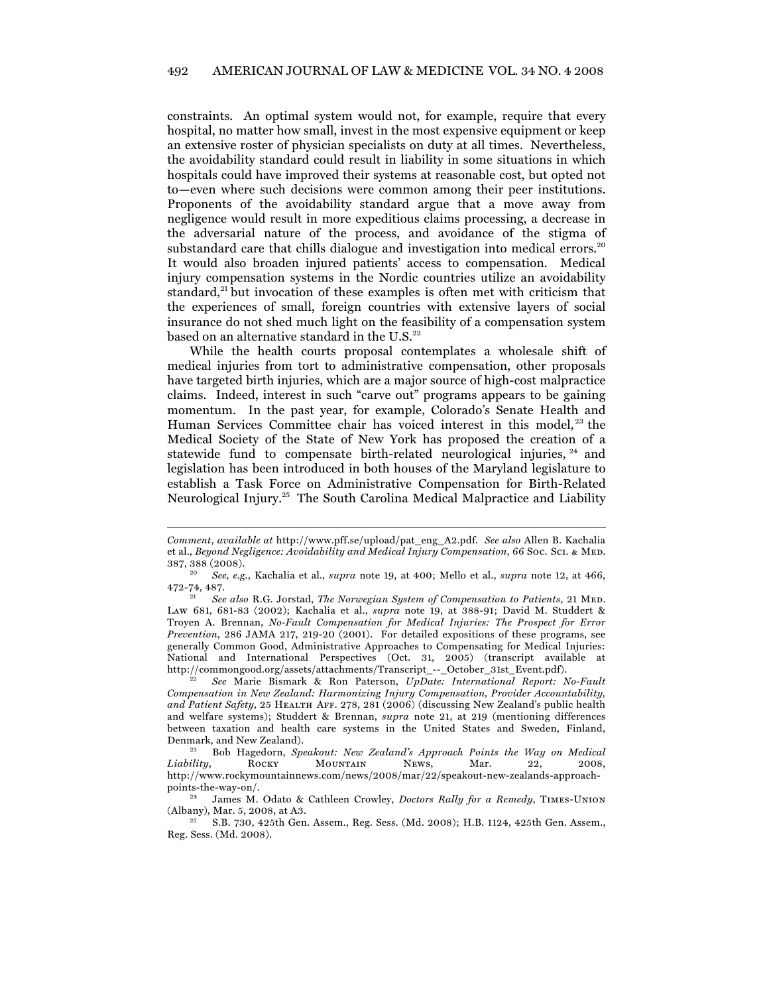constraints. An optimal system would not, for example, require that every hospital, no matter how small, invest in the most expensive equipment or keep an extensive roster of physician specialists on duty at all times. Nevertheless, the avoidability standard could result in liability in some situations in which hospitals could have improved their systems at reasonable cost, but opted not to—even where such decisions were common among their peer institutions. Proponents of the avoidability standard argue that a move away from negligence would result in more expeditious claims processing, a decrease in the adversarial nature of the process, and avoidance of the stigma of substandard care that chills dialogue and investigation into medical errors.<sup>20</sup> It would also broaden injured patients' access to compensation. Medical injury compensation systems in the Nordic countries utilize an avoidability standard, $21$  but invocation of these examples is often met with criticism that the experiences of small, foreign countries with extensive layers of social insurance do not shed much light on the feasibility of a compensation system based on an alternative standard in the U.S.<sup>22</sup>

While the health courts proposal contemplates a wholesale shift of medical injuries from tort to administrative compensation, other proposals have targeted birth injuries, which are a major source of high-cost malpractice claims. Indeed, interest in such "carve out" programs appears to be gaining momentum. In the past year, for example, Colorado's Senate Health and Human Services Committee chair has voiced interest in this model,<sup>23</sup> the Medical Society of the State of New York has proposed the creation of a statewide fund to compensate birth-related neurological injuries,  $24$  and legislation has been introduced in both houses of the Maryland legislature to establish a Task Force on Administrative Compensation for Birth-Related Neurological Injury.25 The South Carolina Medical Malpractice and Liability

*Comment*, *available at* http://www.pff.se/upload/pat\_eng\_A2.pdf. *See also* Allen B. Kachalia et al., *Beyond Negligence: Avoidability and Medical Injury Compensation*, 66 Soc. Sci. & Med.

<sup>387, 388 (2008). 20</sup> *See, e.g.*, Kachalia et al., *supra* note 19, at 400; Mello et al., *supra* note 12, at 466,

<sup>472-74, 487. 21</sup> *See also* R.G. Jorstad, *The Norwegian System of Compensation to Patients*, 21 Med. Law 681, 681-83 (2002); Kachalia et al., *supra* note 19, at 388-91; David M. Studdert & Troyen A. Brennan, *No-Fault Compensation for Medical Injuries: The Prospect for Error Prevention*, 286 JAMA 217, 219-20 (2001). For detailed expositions of these programs, see generally Common Good, Administrative Approaches to Compensating for Medical Injuries: National and International Perspectives (Oct. 31, 2005) (transcript available at http://commongood.org/assets/attachments/Transcript\_--\_October\_31st\_Event.pdf).

http://commongood.org/assets/attachments/Transcript\_--\_October\_31st\_Event.pdf). 22 *See* Marie Bismark & Ron Paterson, *UpDate: International Report: No-Fault Compensation in New Zealand: Harmonizing Injury Compensation, Provider Accountability, and Patient Safety*, 25 Health Aff. 278, 281 (2006) (discussing New Zealand's public health and welfare systems); Studdert & Brennan, *supra* note 21, at 219 (mentioning differences between taxation and health care systems in the United States and Sweden, Finland,

Denmark, and New Zealand). 23 Bob Hagedorn, *Speakout: New Zealand's Approach Points the Way on Medical Liability*, Rocky Mountain News, Mar. 22, 2008, http://www.rockymountainnews.com/news/2008/mar/22/speakout-new-zealands-approachpoints-the-way-on/. 24 James M. Odato & Cathleen Crowley, *Doctors Rally for a Remedy*, Times-Union

<sup>(</sup>Albany), Mar. 5, 2008, at A3. 25 S.B. 730, 425th Gen. Assem., Reg. Sess. (Md. 2008); H.B. 1124, 425th Gen. Assem.,

Reg. Sess. (Md. 2008).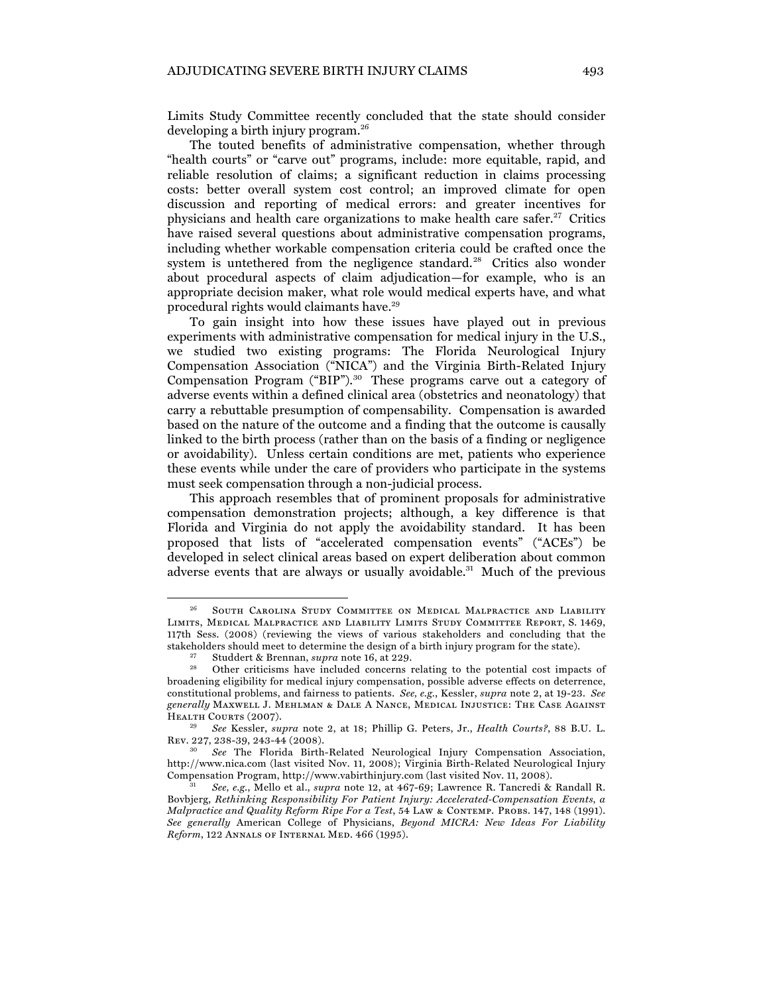Limits Study Committee recently concluded that the state should consider developing a birth injury program.26

The touted benefits of administrative compensation, whether through "health courts" or "carve out" programs, include: more equitable, rapid, and reliable resolution of claims; a significant reduction in claims processing costs: better overall system cost control; an improved climate for open discussion and reporting of medical errors: and greater incentives for physicians and health care organizations to make health care safer.<sup>27</sup> Critics have raised several questions about administrative compensation programs, including whether workable compensation criteria could be crafted once the system is untethered from the negligence standard.<sup>28</sup> Critics also wonder about procedural aspects of claim adjudication—for example, who is an appropriate decision maker, what role would medical experts have, and what procedural rights would claimants have.29

To gain insight into how these issues have played out in previous experiments with administrative compensation for medical injury in the U.S., we studied two existing programs: The Florida Neurological Injury Compensation Association ("NICA") and the Virginia Birth-Related Injury Compensation Program ("BIP").<sup>30</sup> These programs carve out a category of adverse events within a defined clinical area (obstetrics and neonatology) that carry a rebuttable presumption of compensability. Compensation is awarded based on the nature of the outcome and a finding that the outcome is causally linked to the birth process (rather than on the basis of a finding or negligence or avoidability). Unless certain conditions are met, patients who experience these events while under the care of providers who participate in the systems must seek compensation through a non-judicial process.

This approach resembles that of prominent proposals for administrative compensation demonstration projects; although, a key difference is that Florida and Virginia do not apply the avoidability standard. It has been proposed that lists of "accelerated compensation events" ("ACEs") be developed in select clinical areas based on expert deliberation about common adverse events that are always or usually avoidable.<sup>31</sup> Much of the previous

<sup>26</sup> South Carolina Study Committee on Medical Malpractice and Liability Limits, Medical Malpractice and Liability Limits Study Committee Report, S. 1469, 117th Sess. (2008) (reviewing the views of various stakeholders and concluding that the stakeholders should meet to determine the design of a birth injury program for the state).<br><sup>27</sup> Studdert & Brennan, *supra* note 16, at 229.<br><sup>28</sup> Other criticisms have included concerns relating to the potential cost impa

broadening eligibility for medical injury compensation, possible adverse effects on deterrence, constitutional problems, and fairness to patients. *See, e.g.*, Kessler, *supra* note 2, at 19-23. *See generally* Maxwell J. Mehlman & Dale A Nance, Medical Injustice: The Case Against Health Courts (2007). 29 *See* Kessler, *supra* note 2, at 18; Phillip G. Peters, Jr., *Health Courts?*, 88 B.U. L.

Rev. 227, 238-39, 243-44 (2008).

<sup>30</sup> *See* The Florida Birth-Related Neurological Injury Compensation Association, http://www.nica.com (last visited Nov. 11, 2008); Virginia Birth-Related Neurological Injury Compensation Program, http://www.vabirthinjury.com (last visited Nov. 11, 2008). 31 *See, e.g.*, Mello et al., *supra* note 12, at 467-69; Lawrence R. Tancredi & Randall R.

Bovbjerg, *Rethinking Responsibility For Patient Injury: Accelerated-Compensation Events, a Malpractice and Quality Reform Ripe For a Test*, 54 Law & Contemp. Probs. 147, 148 (1991). *See generally* American College of Physicians, *Beyond MICRA: New Ideas For Liability Reform*, 122 Annals of Internal Med. 466 (1995).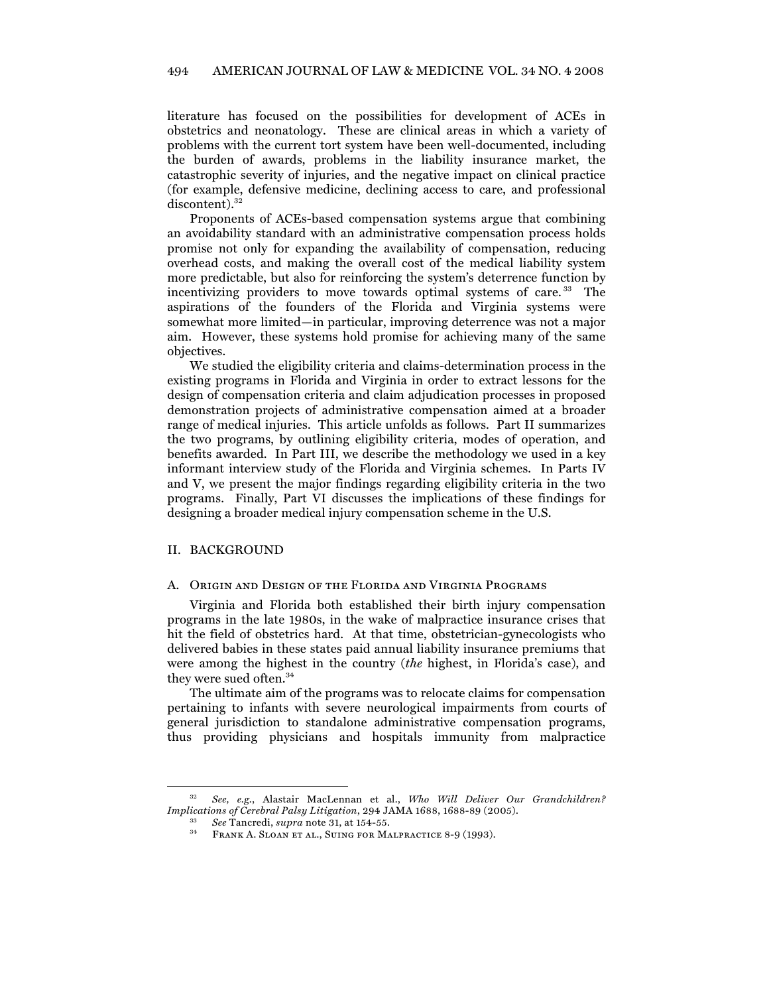literature has focused on the possibilities for development of ACEs in obstetrics and neonatology. These are clinical areas in which a variety of problems with the current tort system have been well-documented, including the burden of awards, problems in the liability insurance market, the catastrophic severity of injuries, and the negative impact on clinical practice (for example, defensive medicine, declining access to care, and professional discontent).<sup>32</sup>

Proponents of ACEs-based compensation systems argue that combining an avoidability standard with an administrative compensation process holds promise not only for expanding the availability of compensation, reducing overhead costs, and making the overall cost of the medical liability system more predictable, but also for reinforcing the system's deterrence function by incentivizing providers to move towards optimal systems of care. 33 The aspirations of the founders of the Florida and Virginia systems were somewhat more limited—in particular, improving deterrence was not a major aim. However, these systems hold promise for achieving many of the same objectives.

We studied the eligibility criteria and claims-determination process in the existing programs in Florida and Virginia in order to extract lessons for the design of compensation criteria and claim adjudication processes in proposed demonstration projects of administrative compensation aimed at a broader range of medical injuries. This article unfolds as follows. Part II summarizes the two programs, by outlining eligibility criteria, modes of operation, and benefits awarded. In Part III, we describe the methodology we used in a key informant interview study of the Florida and Virginia schemes. In Parts IV and V, we present the major findings regarding eligibility criteria in the two programs. Finally, Part VI discusses the implications of these findings for designing a broader medical injury compensation scheme in the U.S.

## II. BACKGROUND

 $\overline{a}$ 

## A. Origin and Design of the Florida and Virginia Programs

Virginia and Florida both established their birth injury compensation programs in the late 1980s, in the wake of malpractice insurance crises that hit the field of obstetrics hard. At that time, obstetrician-gynecologists who delivered babies in these states paid annual liability insurance premiums that were among the highest in the country (*the* highest, in Florida's case), and they were sued often.34

The ultimate aim of the programs was to relocate claims for compensation pertaining to infants with severe neurological impairments from courts of general jurisdiction to standalone administrative compensation programs, thus providing physicians and hospitals immunity from malpractice

<sup>32</sup> *See, e.g.*, Alastair MacLennan et al., *Who Will Deliver Our Grandchildren? Implications of Cerebral Palsy Litigation*, 294 JAMA 1688, 1688-89 (2005).<br><sup>33</sup> *See* Tancredi, *supra* note 31, at 154-55.<br><sup>34</sup> FRANK A. SLOAN ET AL., SUING FOR MALPRACTICE 8-9 (1993).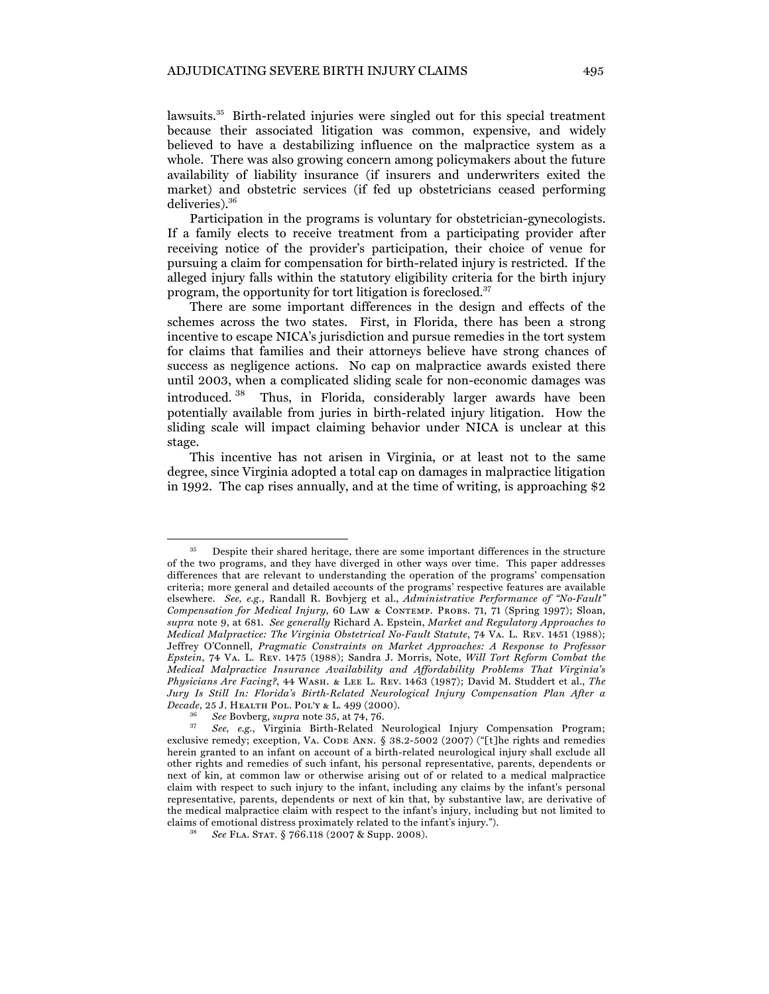lawsuits.<sup>35</sup> Birth-related injuries were singled out for this special treatment because their associated litigation was common, expensive, and widely believed to have a destabilizing influence on the malpractice system as a whole. There was also growing concern among policymakers about the future availability of liability insurance (if insurers and underwriters exited the market) and obstetric services (if fed up obstetricians ceased performing deliveries).<sup>36</sup>

Participation in the programs is voluntary for obstetrician-gynecologists. If a family elects to receive treatment from a participating provider after receiving notice of the provider's participation, their choice of venue for pursuing a claim for compensation for birth-related injury is restricted. If the alleged injury falls within the statutory eligibility criteria for the birth injury program, the opportunity for tort litigation is foreclosed.<sup>37</sup>

There are some important differences in the design and effects of the schemes across the two states. First, in Florida, there has been a strong incentive to escape NICA's jurisdiction and pursue remedies in the tort system for claims that families and their attorneys believe have strong chances of success as negligence actions. No cap on malpractice awards existed there until 2003, when a complicated sliding scale for non-economic damages was introduced. 38 Thus, in Florida, considerably larger awards have been potentially available from juries in birth-related injury litigation. How the sliding scale will impact claiming behavior under NICA is unclear at this stage.

This incentive has not arisen in Virginia, or at least not to the same degree, since Virginia adopted a total cap on damages in malpractice litigation in 1992. The cap rises annually, and at the time of writing, is approaching \$2

<sup>35</sup> Despite their shared heritage, there are some important differences in the structure of the two programs, and they have diverged in other ways over time. This paper addresses differences that are relevant to understanding the operation of the programs' compensation criteria; more general and detailed accounts of the programs' respective features are available elsewhere. *See, e.g.*, Randall R. Bovbjerg et al., *Administrative Performance of "No-Fault" Compensation for Medical Injury*, 60 Law & Contemp. Probs. 71, 71 (Spring 1997); Sloan, *supra* note 9, at 681. *See generally* Richard A. Epstein, *Market and Regulatory Approaches to Medical Malpractice: The Virginia Obstetrical No-Fault Statute*, 74 Va. L. Rev. 1451 (1988); Jeffrey O'Connell, *Pragmatic Constraints on Market Approaches: A Response to Professor Epstein*, 74 Va. L. Rev. 1475 (1988); Sandra J. Morris, Note, *Will Tort Reform Combat the Medical Malpractice Insurance Availability and Affordability Problems That Virginia's Physicians Are Facing?*, 44 Wash. & Lee L. Rev. 1463 (1987); David M. Studdert et al., *The Jury Is Still In: Florida's Birth-Related Neurological Injury Compensation Plan After a Decade*, 25 J. HEALTH POL. POL'Y & L. 499 (2000).<br><sup>36</sup> *See* Bovberg, *supra* note 35, at 74, 76.<br><sup>37</sup> *See, e.g.*, Virginia Birth-Related Neurological Injury Compensation Program;

exclusive remedy; exception, VA. CODE ANN. § 38.2-5002 (2007) ("[t]he rights and remedies herein granted to an infant on account of a birth-related neurological injury shall exclude all other rights and remedies of such infant, his personal representative, parents, dependents or next of kin, at common law or otherwise arising out of or related to a medical malpractice claim with respect to such injury to the infant, including any claims by the infant's personal representative, parents, dependents or next of kin that, by substantive law, are derivative of the medical malpractice claim with respect to the infant's injury, including but not limited to claims of emotional distress proximately related to the infant's injury.").<br><sup>38</sup> *See* FLA. Stat. § 766.118 (2007 & Supp. 2008).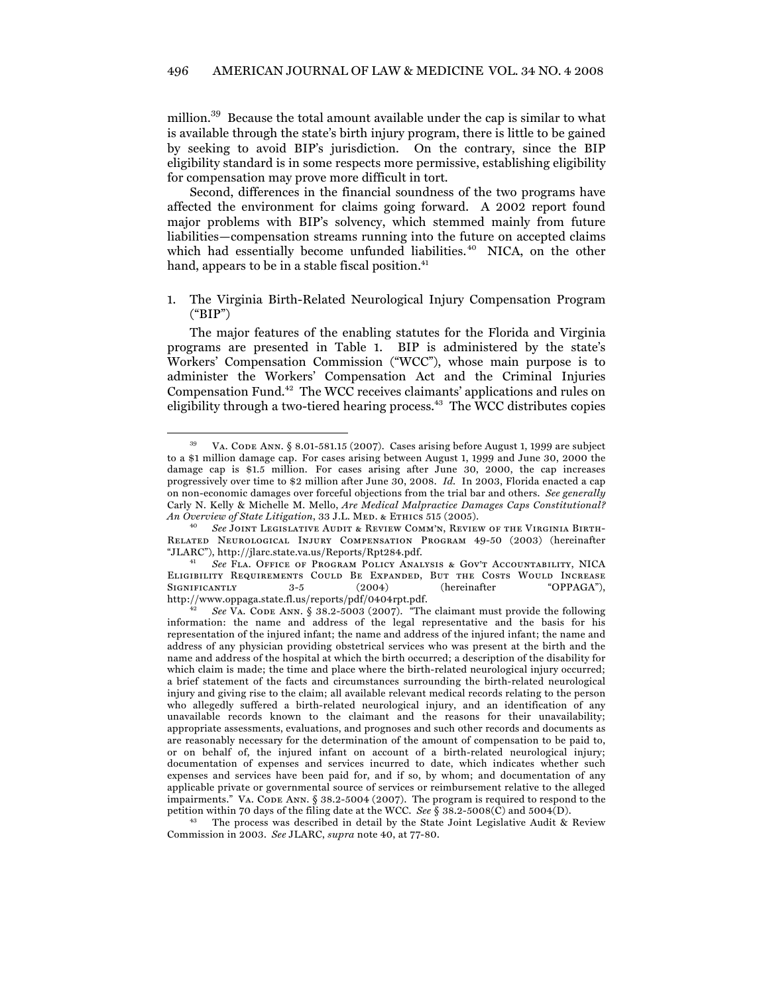million.39 Because the total amount available under the cap is similar to what is available through the state's birth injury program, there is little to be gained by seeking to avoid BIP's jurisdiction. On the contrary, since the BIP eligibility standard is in some respects more permissive, establishing eligibility for compensation may prove more difficult in tort.

Second, differences in the financial soundness of the two programs have affected the environment for claims going forward. A 2002 report found major problems with BIP's solvency, which stemmed mainly from future liabilities—compensation streams running into the future on accepted claims which had essentially become unfunded liabilities.<sup>40</sup> NICA, on the other hand, appears to be in a stable fiscal position.<sup>41</sup>

1. The Virginia Birth-Related Neurological Injury Compensation Program  $("BIP")$ 

The major features of the enabling statutes for the Florida and Virginia programs are presented in Table 1. BIP is administered by the state's Workers' Compensation Commission ("WCC"), whose main purpose is to administer the Workers' Compensation Act and the Criminal Injuries Compensation Fund.42 The WCC receives claimants' applications and rules on eligibility through a two-tiered hearing process.<sup>43</sup> The WCC distributes copies

 $\overline{a}$ 

petition within 70 days of the filing date at the WCC. *See* § 38.2-5008(C) and 5004(D).<br><sup>43</sup> The process was described in detail by the State Joint Legislative Audit & Review Commission in 2003. *See* JLARC, *supra* note 40, at 77-80.

<sup>&</sup>lt;sup>39</sup> VA. CODE ANN. § 8.01-581.15 (2007). Cases arising before August 1, 1999 are subject to a \$1 million damage cap. For cases arising between August 1, 1999 and June 30, 2000 the damage cap is \$1.5 million. For cases arising after June 30, 2000, the cap increases progressively over time to \$2 million after June 30, 2008. *Id.* In 2003, Florida enacted a cap on non-economic damages over forceful objections from the trial bar and others. *See generally*  Carly N. Kelly & Michelle M. Mello, *Are Medical Malpractice Damages Caps Constitutional?* 

*See JOINT LEGISLATIVE AUDIT & REVIEW COMM'N, REVIEW OF THE VIRGINIA BIRTH-*Related Neurological Injury Compensation Program 49-50 (2003) (hereinafter "JLARC"), http://jlarc.state.va.us/Reports/Rpt284.pdf. 41 *See* Fla. Office of Program Policy Analysis & Gov't Accountability, NICA

Eligibility Requirements Could Be Expanded, But the Costs Would Increase SIGNIFICANTLY 3-5 (2004) (hereinafter "OPPAGA"), http://www.oppaga.state.fl.us/reports/pdf/0404rpt.pdf.

*http://www.opea* Va. Code Ann. § 38.2-5003 (2007). "The claimant must provide the following information: the name and address of the legal representative and the basis for his representation of the injured infant; the name and address of the injured infant; the name and address of any physician providing obstetrical services who was present at the birth and the name and address of the hospital at which the birth occurred; a description of the disability for which claim is made; the time and place where the birth-related neurological injury occurred; a brief statement of the facts and circumstances surrounding the birth-related neurological injury and giving rise to the claim; all available relevant medical records relating to the person who allegedly suffered a birth-related neurological injury, and an identification of any unavailable records known to the claimant and the reasons for their unavailability; appropriate assessments, evaluations, and prognoses and such other records and documents as are reasonably necessary for the determination of the amount of compensation to be paid to, or on behalf of, the injured infant on account of a birth-related neurological injury; documentation of expenses and services incurred to date, which indicates whether such expenses and services have been paid for, and if so, by whom; and documentation of any applicable private or governmental source of services or reimbursement relative to the alleged impairments." VA. CODE ANN.  $\S 38.2$ -5004 (2007). The program is required to respond to the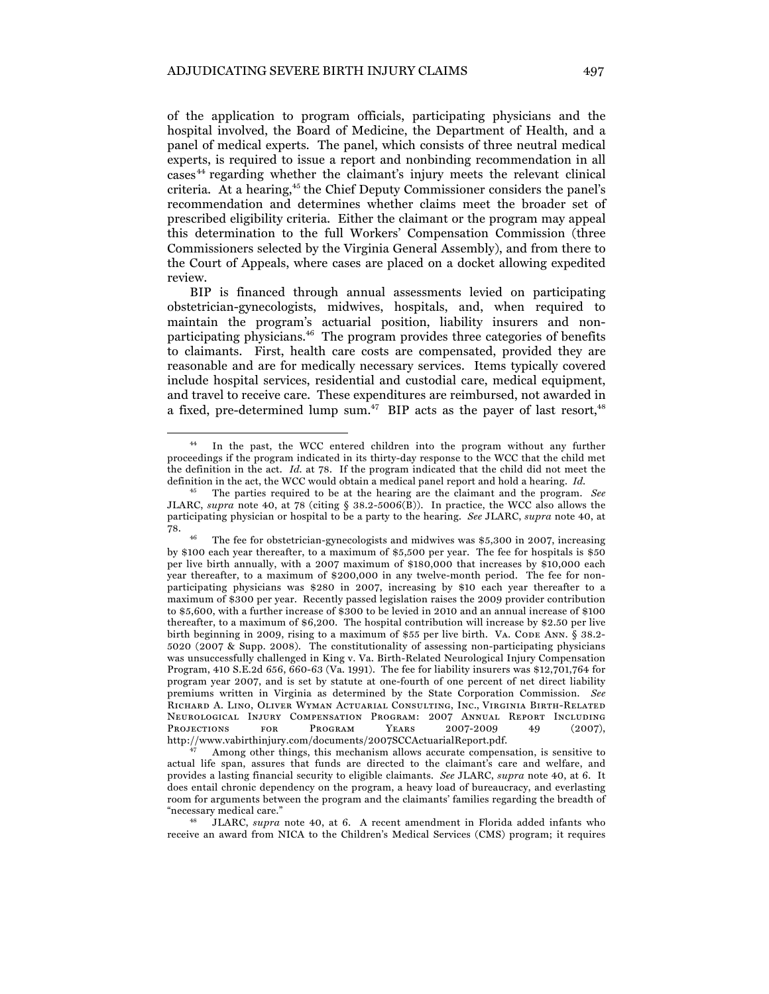$\overline{a}$ 

of the application to program officials, participating physicians and the hospital involved, the Board of Medicine, the Department of Health, and a panel of medical experts. The panel, which consists of three neutral medical experts, is required to issue a report and nonbinding recommendation in all cases<sup>44</sup> regarding whether the claimant's injury meets the relevant clinical criteria. At a hearing,<sup>45</sup> the Chief Deputy Commissioner considers the panel's recommendation and determines whether claims meet the broader set of prescribed eligibility criteria. Either the claimant or the program may appeal this determination to the full Workers' Compensation Commission (three Commissioners selected by the Virginia General Assembly), and from there to the Court of Appeals, where cases are placed on a docket allowing expedited review.

BIP is financed through annual assessments levied on participating obstetrician-gynecologists, midwives, hospitals, and, when required to maintain the program's actuarial position, liability insurers and nonparticipating physicians.<sup>46</sup> The program provides three categories of benefits to claimants. First, health care costs are compensated, provided they are reasonable and are for medically necessary services. Items typically covered include hospital services, residential and custodial care, medical equipment, and travel to receive care. These expenditures are reimbursed, not awarded in a fixed, pre-determined lump sum.<sup>47</sup> BIP acts as the payer of last resort,<sup>48</sup>

<sup>44</sup> In the past, the WCC entered children into the program without any further proceedings if the program indicated in its thirty-day response to the WCC that the child met the definition in the act. *Id.* at 78. If the program indicated that the child did not meet the definition in the act, the WCC would obtain a medical panel report and hold a hearing. *Id.* 

<sup>45</sup> The parties required to be at the hearing are the claimant and the program. *See* JLARC, *supra* note 40, at 78 (citing § 38.2-5006(B)). In practice, the WCC also allows the participating physician or hospital to be a party to the hearing. *See* JLARC, *supra* note 40, at 78. 46 The fee for obstetrician-gynecologists and midwives was \$5,300 in 2007, increasing

by \$100 each year thereafter, to a maximum of \$5,500 per year. The fee for hospitals is \$50 per live birth annually, with a 2007 maximum of \$180,000 that increases by \$10,000 each year thereafter, to a maximum of \$200,000 in any twelve-month period. The fee for nonparticipating physicians was \$280 in 2007, increasing by \$10 each year thereafter to a maximum of \$300 per year. Recently passed legislation raises the 2009 provider contribution to \$5,600, with a further increase of \$300 to be levied in 2010 and an annual increase of \$100 thereafter, to a maximum of \$6,200. The hospital contribution will increase by \$2.50 per live birth beginning in 2009, rising to a maximum of \$55 per live birth. VA. CODE ANN. § 38.2-5020 (2007 & Supp. 2008). The constitutionality of assessing non-participating physicians was unsuccessfully challenged in King v. Va. Birth-Related Neurological Injury Compensation Program, 410 S.E.2d 656, 660-63 (Va. 1991). The fee for liability insurers was \$12,701,764 for program year 2007, and is set by statute at one-fourth of one percent of net direct liability premiums written in Virginia as determined by the State Corporation Commission. *See*  Richard A. Lino, Oliver Wyman Actuarial Consulting, Inc., Virginia Birth-Related Neurological Injury Compensation Program: 2007 Annual Report Including PROJECTIONS FOR PROGRAM YEARS 2007-2009 49 (2007),<br>http://www.vabirthinjury.com/documents/2007SCCActuarialReport.pdf.

Among other things, this mechanism allows accurate compensation, is sensitive to actual life span, assures that funds are directed to the claimant's care and welfare, and provides a lasting financial security to eligible claimants. *See* JLARC, *supra* note 40, at 6. It does entail chronic dependency on the program, a heavy load of bureaucracy, and everlasting room for arguments between the program and the claimants' families regarding the breadth of "necessary medical care." 48 JLARC, *supra* note 40, at 6. A recent amendment in Florida added infants who

receive an award from NICA to the Children's Medical Services (CMS) program; it requires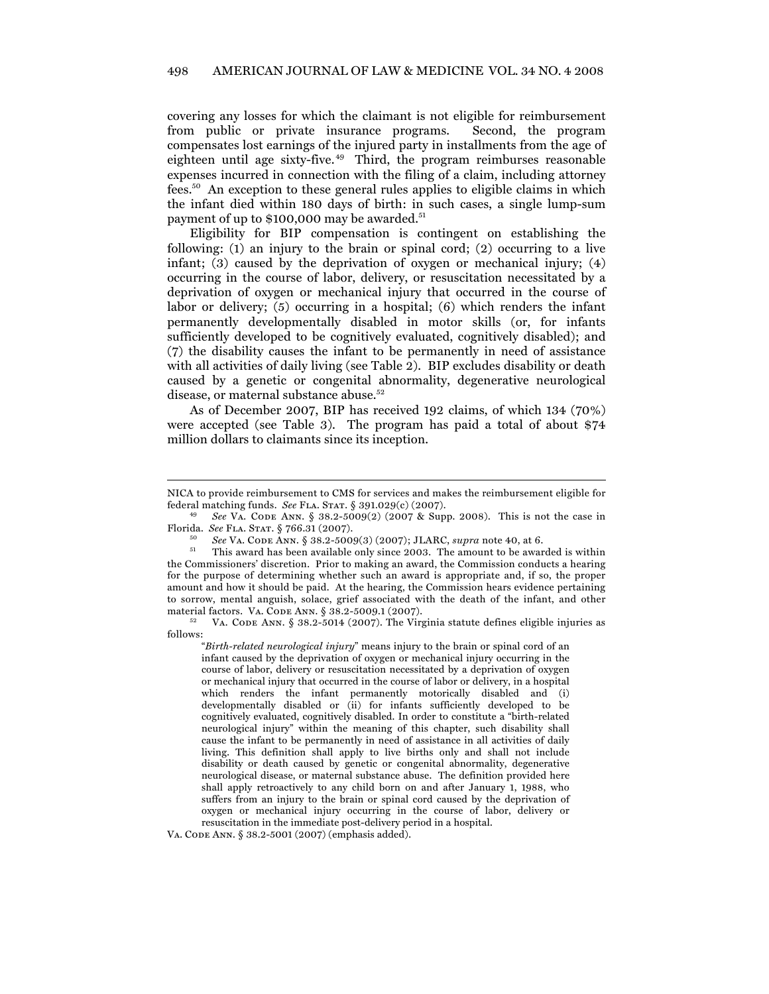covering any losses for which the claimant is not eligible for reimbursement from public or private insurance programs. Second, the program compensates lost earnings of the injured party in installments from the age of eighteen until age sixty-five. 49 Third, the program reimburses reasonable expenses incurred in connection with the filing of a claim, including attorney fees.50 An exception to these general rules applies to eligible claims in which the infant died within 180 days of birth: in such cases, a single lump-sum payment of up to \$100,000 may be awarded.<sup>51</sup>

Eligibility for BIP compensation is contingent on establishing the following: (1) an injury to the brain or spinal cord; (2) occurring to a live infant; (3) caused by the deprivation of oxygen or mechanical injury;  $(4)$ occurring in the course of labor, delivery, or resuscitation necessitated by a deprivation of oxygen or mechanical injury that occurred in the course of labor or delivery; (5) occurring in a hospital; (6) which renders the infant permanently developmentally disabled in motor skills (or, for infants sufficiently developed to be cognitively evaluated, cognitively disabled); and (7) the disability causes the infant to be permanently in need of assistance with all activities of daily living (see Table 2). BIP excludes disability or death caused by a genetic or congenital abnormality, degenerative neurological disease, or maternal substance abuse.<sup>52</sup>

As of December 2007, BIP has received 192 claims, of which 134 (70%) were accepted (see Table 3). The program has paid a total of about \$74 million dollars to claimants since its inception.

"*Birth-related neurological injury*" means injury to the brain or spinal cord of an infant caused by the deprivation of oxygen or mechanical injury occurring in the course of labor, delivery or resuscitation necessitated by a deprivation of oxygen or mechanical injury that occurred in the course of labor or delivery, in a hospital which renders the infant permanently motorically disabled and (i) developmentally disabled or (ii) for infants sufficiently developed to be cognitively evaluated, cognitively disabled. In order to constitute a "birth-related neurological injury" within the meaning of this chapter, such disability shall cause the infant to be permanently in need of assistance in all activities of daily living. This definition shall apply to live births only and shall not include disability or death caused by genetic or congenital abnormality, degenerative neurological disease, or maternal substance abuse. The definition provided here shall apply retroactively to any child born on and after January 1, 1988, who suffers from an injury to the brain or spinal cord caused by the deprivation of oxygen or mechanical injury occurring in the course of labor, delivery or resuscitation in the immediate post-delivery period in a hospital.

Va. Code Ann. § 38.2-5001 (2007) (emphasis added).

NICA to provide reimbursement to CMS for services and makes the reimbursement eligible for federal matching funds. *See* FLA. STAT. § 391.029(c) (2007).<br><sup>49</sup> *See* VA. CODE ANN. § 38.2-5009(2) (2007 & Supp. 2008). This is not the case in

Florida. *See* FLA. STAT. § 766.31 (2007).<br><sup>50</sup> *See* VA. CODE ANN. § 38.2-5009(3) (2007); JLARC, *supra* note 40, at 6.<br><sup>51</sup> This award has been available only since 2003. The amount to be awarded is within

the Commissioners' discretion. Prior to making an award, the Commission conducts a hearing for the purpose of determining whether such an award is appropriate and, if so, the proper amount and how it should be paid. At the hearing, the Commission hears evidence pertaining to sorrow, mental anguish, solace, grief associated with the death of the infant, and other material factors. VA. CODE ANN.  $\S 38.2$ -5009.1 (2007).

VA. CODE ANN. § 38.2-5014 (2007). The Virginia statute defines eligible injuries as follows: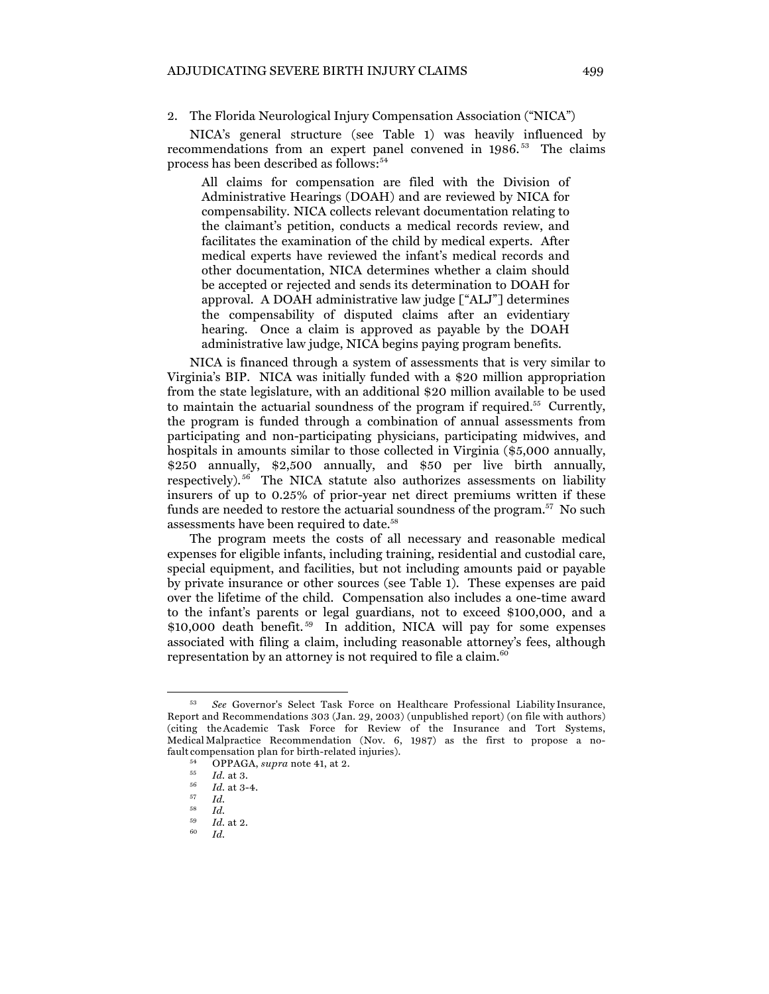# 2. The Florida Neurological Injury Compensation Association ("NICA")

NICA's general structure (see Table 1) was heavily influenced by recommendations from an expert panel convened in 1986.<sup>53</sup> The claims process has been described as follows:<sup>54</sup>

All claims for compensation are filed with the Division of Administrative Hearings (DOAH) and are reviewed by NICA for compensability. NICA collects relevant documentation relating to the claimant's petition, conducts a medical records review, and facilitates the examination of the child by medical experts. After medical experts have reviewed the infant's medical records and other documentation, NICA determines whether a claim should be accepted or rejected and sends its determination to DOAH for approval. A DOAH administrative law judge ["ALJ"] determines the compensability of disputed claims after an evidentiary hearing. Once a claim is approved as payable by the DOAH administrative law judge, NICA begins paying program benefits.

NICA is financed through a system of assessments that is very similar to Virginia's BIP. NICA was initially funded with a \$20 million appropriation from the state legislature, with an additional \$20 million available to be used to maintain the actuarial soundness of the program if required.<sup>55</sup> Currently, the program is funded through a combination of annual assessments from participating and non-participating physicians, participating midwives, and hospitals in amounts similar to those collected in Virginia (\$5,000 annually, \$250 annually, \$2,500 annually, and \$50 per live birth annually, respectively). 56 The NICA statute also authorizes assessments on liability insurers of up to 0.25% of prior-year net direct premiums written if these funds are needed to restore the actuarial soundness of the program.<sup>57</sup> No such assessments have been required to date.<sup>58</sup>

The program meets the costs of all necessary and reasonable medical expenses for eligible infants, including training, residential and custodial care, special equipment, and facilities, but not including amounts paid or payable by private insurance or other sources (see Table 1). These expenses are paid over the lifetime of the child. Compensation also includes a one-time award to the infant's parents or legal guardians, not to exceed \$100,000, and a \$10,000 death benefit.<sup>59</sup> In addition, NICA will pay for some expenses associated with filing a claim, including reasonable attorney's fees, although representation by an attorney is not required to file a claim.<sup>60</sup>

<sup>53</sup> *See* Governor's Select Task Force on Healthcare Professional Liability Insurance, Report and Recommendations 303 (Jan. 29, 2003) (unpublished report) (on file with authors) (citing the Academic Task Force for Review of the Insurance and Tort Systems, Medical Malpractice Recommendation (Nov. 6, 1987) as the first to propose a nofault compensation plan for birth-related injuries). 54 OPPAGA, *supra* note 41, at 2. 55 *Id.* at 3. 56 *Id.* at 3-4. 57 *Id.* 

 $\frac{58}{59}$  *Id.* 

 $\begin{array}{cc} 59 & Id. \text{ at } 2. \\ 60 & Id. \end{array}$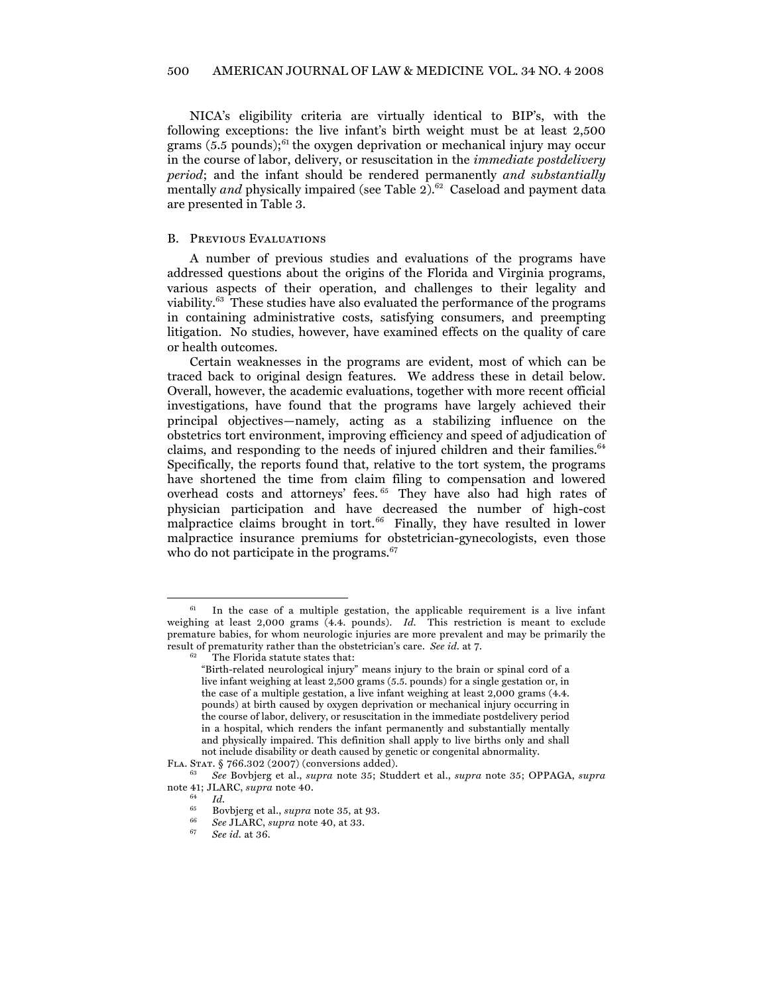NICA's eligibility criteria are virtually identical to BIP's, with the following exceptions: the live infant's birth weight must be at least 2,500 grams (5.5 pounds);<sup>61</sup> the oxygen deprivation or mechanical injury may occur in the course of labor, delivery, or resuscitation in the *immediate postdelivery period*; and the infant should be rendered permanently *and substantially* mentally *and* physically impaired (see Table 2).<sup>62</sup> Caseload and payment data are presented in Table 3.

#### B. Previous Evaluations

A number of previous studies and evaluations of the programs have addressed questions about the origins of the Florida and Virginia programs, various aspects of their operation, and challenges to their legality and viability.63 These studies have also evaluated the performance of the programs in containing administrative costs, satisfying consumers, and preempting litigation. No studies, however, have examined effects on the quality of care or health outcomes.

Certain weaknesses in the programs are evident, most of which can be traced back to original design features. We address these in detail below. Overall, however, the academic evaluations, together with more recent official investigations, have found that the programs have largely achieved their principal objectives—namely, acting as a stabilizing influence on the obstetrics tort environment, improving efficiency and speed of adjudication of claims, and responding to the needs of injured children and their families. $64$ Specifically, the reports found that, relative to the tort system, the programs have shortened the time from claim filing to compensation and lowered overhead costs and attorneys' fees. 65 They have also had high rates of physician participation and have decreased the number of high-cost malpractice claims brought in tort.<sup>66</sup> Finally, they have resulted in lower malpractice insurance premiums for obstetrician-gynecologists, even those who do not participate in the programs.<sup>67</sup>

<sup>61</sup> In the case of a multiple gestation, the applicable requirement is a live infant weighing at least 2,000 grams (4.4. pounds). *Id.* This restriction is meant to exclude premature babies, for whom neurologic injuries are more prevalent and may be primarily the result of prematurity rather than the obstetrician's care. *See id.* at 7. <sup>62</sup> The Florida statute states that:

<sup>&</sup>quot;Birth-related neurological injury" means injury to the brain or spinal cord of a live infant weighing at least 2,500 grams (5.5. pounds) for a single gestation or, in the case of a multiple gestation, a live infant weighing at least 2,000 grams (4.4. pounds) at birth caused by oxygen deprivation or mechanical injury occurring in the course of labor, delivery, or resuscitation in the immediate postdelivery period in a hospital, which renders the infant permanently and substantially mentally and physically impaired. This definition shall apply to live births only and shall not include disability or death caused by genetic or congenital abnormality.

Fla. Stat. § 766.302 (2007) (conversions added). 63 *See* Bovbjerg et al., *supra* note 35; Studdert et al., *supra* note 35; OPPAGA, *supra* note 41; JLARC, *supra* note 40.<br>
<sup>64</sup> *Id.*<br>
<sup>65</sup> Boybjers et al. *supra* 

<sup>65</sup> Bovbjerg et al., *supra* note 35, at 93. 66 *See* JLARC, *supra* note 40, at 33. 67 *See id.* at 36.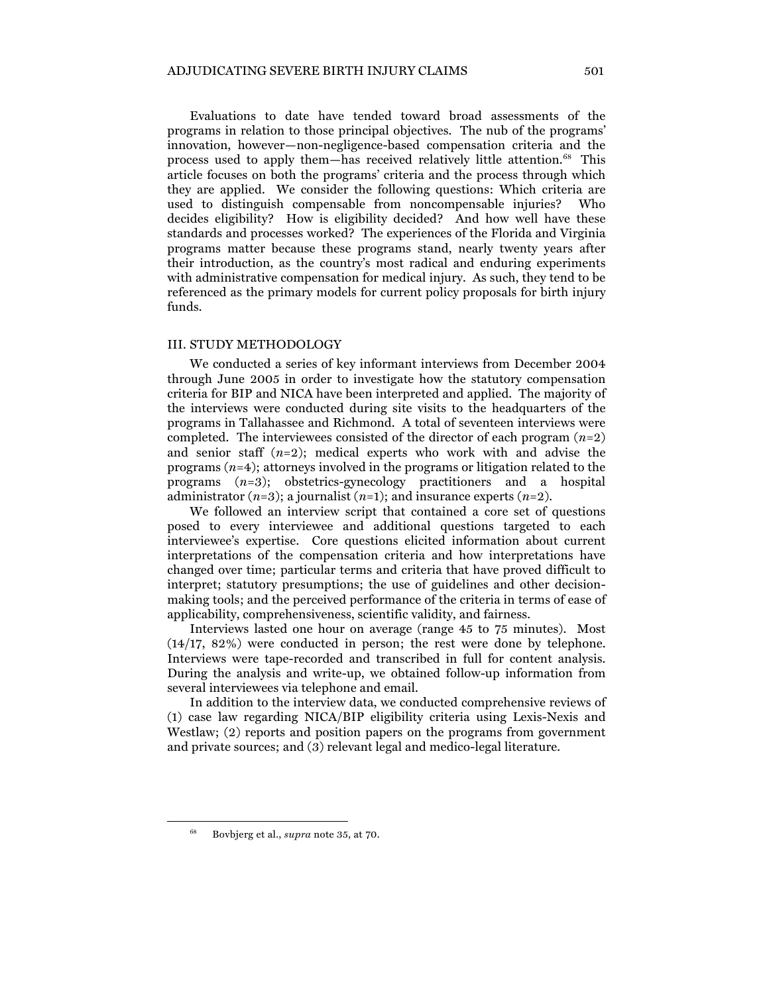Evaluations to date have tended toward broad assessments of the programs in relation to those principal objectives. The nub of the programs' innovation, however—non-negligence-based compensation criteria and the process used to apply them—has received relatively little attention.<sup>68</sup> This article focuses on both the programs' criteria and the process through which they are applied. We consider the following questions: Which criteria are used to distinguish compensable from noncompensable injuries? Who decides eligibility? How is eligibility decided? And how well have these standards and processes worked? The experiences of the Florida and Virginia programs matter because these programs stand, nearly twenty years after their introduction, as the country's most radical and enduring experiments with administrative compensation for medical injury. As such, they tend to be referenced as the primary models for current policy proposals for birth injury funds.

# III. STUDY METHODOLOGY

We conducted a series of key informant interviews from December 2004 through June 2005 in order to investigate how the statutory compensation criteria for BIP and NICA have been interpreted and applied. The majority of the interviews were conducted during site visits to the headquarters of the programs in Tallahassee and Richmond. A total of seventeen interviews were completed. The interviewees consisted of the director of each program (*n*=2) and senior staff (*n*=2); medical experts who work with and advise the programs (*n*=4); attorneys involved in the programs or litigation related to the programs (*n*=3); obstetrics-gynecology practitioners and a hospital administrator  $(n=3)$ ; a journalist  $(n=1)$ ; and insurance experts  $(n=2)$ .

We followed an interview script that contained a core set of questions posed to every interviewee and additional questions targeted to each interviewee's expertise. Core questions elicited information about current interpretations of the compensation criteria and how interpretations have changed over time; particular terms and criteria that have proved difficult to interpret; statutory presumptions; the use of guidelines and other decisionmaking tools; and the perceived performance of the criteria in terms of ease of applicability, comprehensiveness, scientific validity, and fairness.

Interviews lasted one hour on average (range 45 to 75 minutes). Most (14/17, 82%) were conducted in person; the rest were done by telephone. Interviews were tape-recorded and transcribed in full for content analysis. During the analysis and write-up, we obtained follow-up information from several interviewees via telephone and email.

In addition to the interview data, we conducted comprehensive reviews of (1) case law regarding NICA/BIP eligibility criteria using Lexis-Nexis and Westlaw; (2) reports and position papers on the programs from government and private sources; and (3) relevant legal and medico-legal literature.

<sup>68</sup> Bovbjerg et al., *supra* note 35, at 70.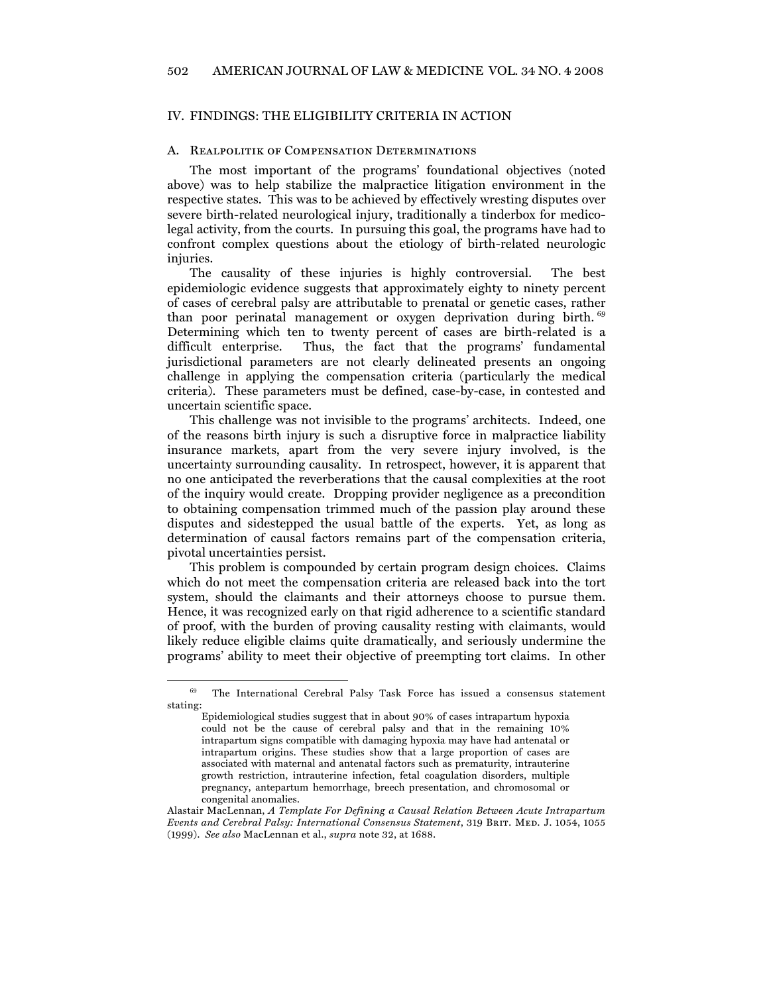# IV. FINDINGS: THE ELIGIBILITY CRITERIA IN ACTION

## A. Realpolitik of Compensation Determinations

The most important of the programs' foundational objectives (noted above) was to help stabilize the malpractice litigation environment in the respective states. This was to be achieved by effectively wresting disputes over severe birth-related neurological injury, traditionally a tinderbox for medicolegal activity, from the courts. In pursuing this goal, the programs have had to confront complex questions about the etiology of birth-related neurologic injuries.

The causality of these injuries is highly controversial. The best epidemiologic evidence suggests that approximately eighty to ninety percent of cases of cerebral palsy are attributable to prenatal or genetic cases, rather than poor perinatal management or oxygen deprivation during birth.  $69$ Determining which ten to twenty percent of cases are birth-related is a difficult enterprise. Thus, the fact that the programs' fundamental jurisdictional parameters are not clearly delineated presents an ongoing challenge in applying the compensation criteria (particularly the medical criteria). These parameters must be defined, case-by-case, in contested and uncertain scientific space.

This challenge was not invisible to the programs' architects. Indeed, one of the reasons birth injury is such a disruptive force in malpractice liability insurance markets, apart from the very severe injury involved, is the uncertainty surrounding causality. In retrospect, however, it is apparent that no one anticipated the reverberations that the causal complexities at the root of the inquiry would create. Dropping provider negligence as a precondition to obtaining compensation trimmed much of the passion play around these disputes and sidestepped the usual battle of the experts. Yet, as long as determination of causal factors remains part of the compensation criteria, pivotal uncertainties persist.

This problem is compounded by certain program design choices. Claims which do not meet the compensation criteria are released back into the tort system, should the claimants and their attorneys choose to pursue them. Hence, it was recognized early on that rigid adherence to a scientific standard of proof, with the burden of proving causality resting with claimants, would likely reduce eligible claims quite dramatically, and seriously undermine the programs' ability to meet their objective of preempting tort claims. In other

<sup>69</sup> The International Cerebral Palsy Task Force has issued a consensus statement stating:

Epidemiological studies suggest that in about 90% of cases intrapartum hypoxia could not be the cause of cerebral palsy and that in the remaining 10% intrapartum signs compatible with damaging hypoxia may have had antenatal or intrapartum origins. These studies show that a large proportion of cases are associated with maternal and antenatal factors such as prematurity, intrauterine growth restriction, intrauterine infection, fetal coagulation disorders, multiple pregnancy, antepartum hemorrhage, breech presentation, and chromosomal or congenital anomalies.

Alastair MacLennan, *A Template For Defining a Causal Relation Between Acute Intrapartum Events and Cerebral Palsy: International Consensus Statement*, 319 Brit. Med. J. 1054, 1055 (1999). *See also* MacLennan et al., *supra* note 32, at 1688.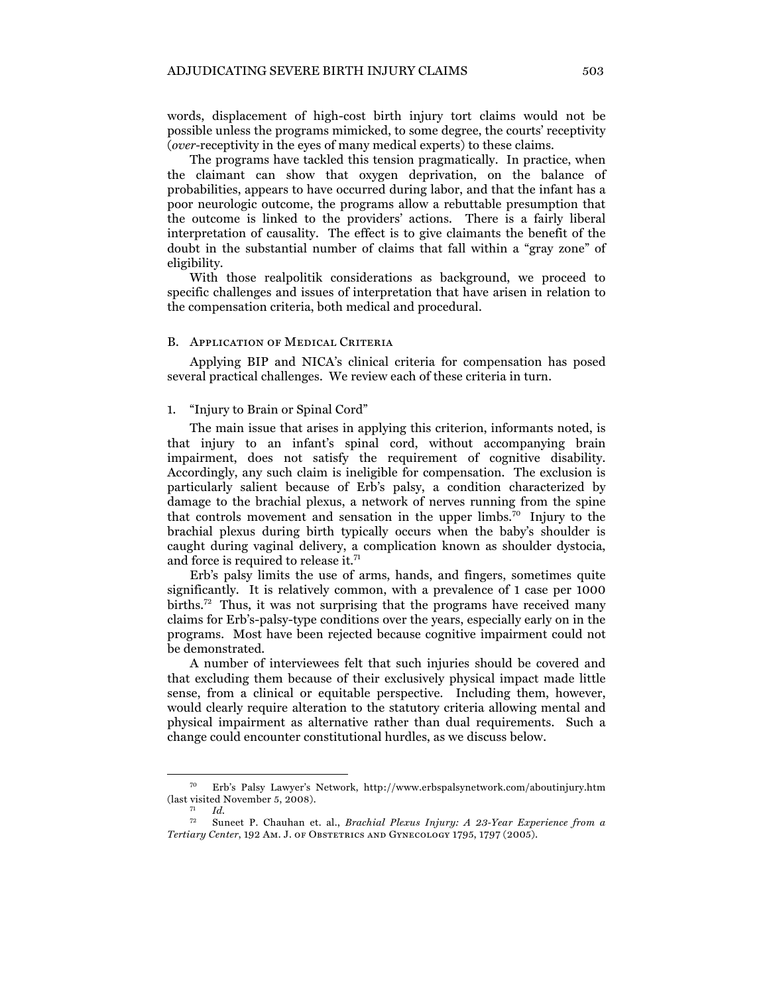words, displacement of high-cost birth injury tort claims would not be possible unless the programs mimicked, to some degree, the courts' receptivity (*over-*receptivity in the eyes of many medical experts) to these claims.

The programs have tackled this tension pragmatically. In practice, when the claimant can show that oxygen deprivation, on the balance of probabilities, appears to have occurred during labor, and that the infant has a poor neurologic outcome, the programs allow a rebuttable presumption that the outcome is linked to the providers' actions. There is a fairly liberal interpretation of causality. The effect is to give claimants the benefit of the doubt in the substantial number of claims that fall within a "gray zone" of eligibility.

With those realpolitik considerations as background, we proceed to specific challenges and issues of interpretation that have arisen in relation to the compensation criteria, both medical and procedural.

## B. Application of Medical Criteria

Applying BIP and NICA's clinical criteria for compensation has posed several practical challenges. We review each of these criteria in turn.

#### 1. "Injury to Brain or Spinal Cord"

The main issue that arises in applying this criterion, informants noted, is that injury to an infant's spinal cord, without accompanying brain impairment, does not satisfy the requirement of cognitive disability. Accordingly, any such claim is ineligible for compensation. The exclusion is particularly salient because of Erb's palsy, a condition characterized by damage to the brachial plexus, a network of nerves running from the spine that controls movement and sensation in the upper limbs.<sup>70</sup> Injury to the brachial plexus during birth typically occurs when the baby's shoulder is caught during vaginal delivery, a complication known as shoulder dystocia, and force is required to release it.<sup>71</sup>

Erb's palsy limits the use of arms, hands, and fingers, sometimes quite significantly. It is relatively common, with a prevalence of 1 case per 1000 births.72 Thus, it was not surprising that the programs have received many claims for Erb's-palsy-type conditions over the years, especially early on in the programs. Most have been rejected because cognitive impairment could not be demonstrated.

A number of interviewees felt that such injuries should be covered and that excluding them because of their exclusively physical impact made little sense, from a clinical or equitable perspective. Including them, however, would clearly require alteration to the statutory criteria allowing mental and physical impairment as alternative rather than dual requirements. Such a change could encounter constitutional hurdles, as we discuss below.

<sup>70</sup> Erb's Palsy Lawyer's Network, http://www.erbspalsynetwork.com/aboutinjury.htm (last visited November 5, 2008).<br>  $\frac{71}{7}$  *Id.*<br>  $\frac{72}{7}$  Suneet P. Chauhan et

<sup>72</sup> Suneet P. Chauhan et. al., *Brachial Plexus Injury: A 23-Year Experience from a Tertiary Center*, 192 Am. J. of Obstetrics and Gynecology 1795, 1797 (2005).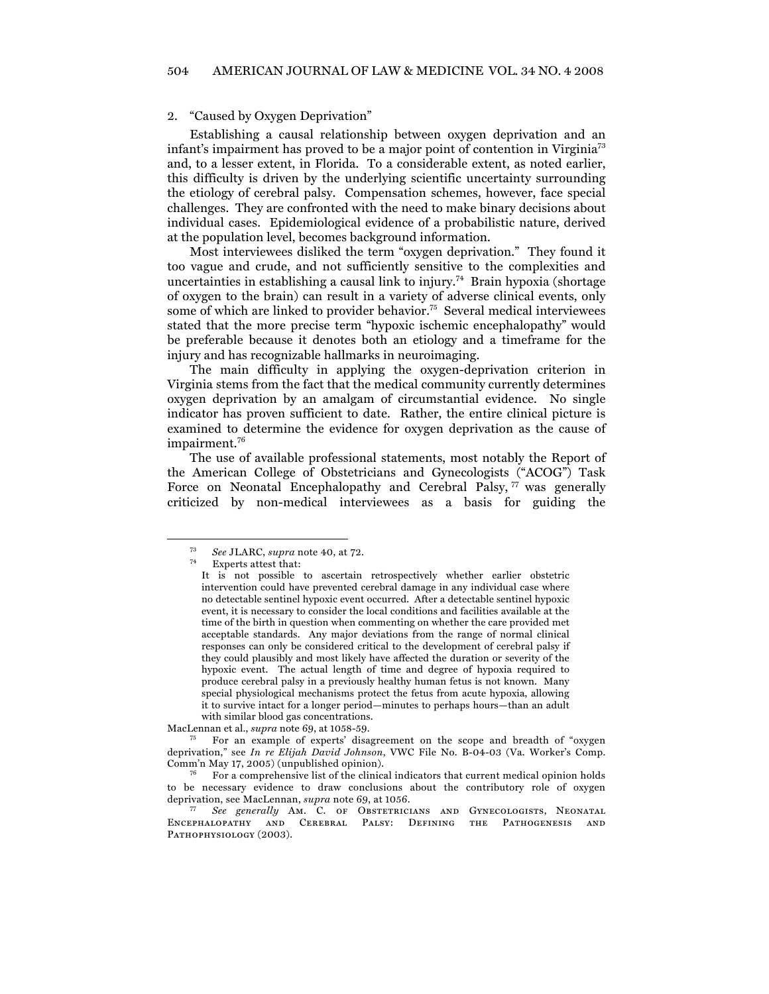# 2. "Caused by Oxygen Deprivation"

Establishing a causal relationship between oxygen deprivation and an infant's impairment has proved to be a major point of contention in Virginia<sup>73</sup> and, to a lesser extent, in Florida. To a considerable extent, as noted earlier, this difficulty is driven by the underlying scientific uncertainty surrounding the etiology of cerebral palsy. Compensation schemes, however, face special challenges. They are confronted with the need to make binary decisions about individual cases. Epidemiological evidence of a probabilistic nature, derived at the population level, becomes background information.

Most interviewees disliked the term "oxygen deprivation." They found it too vague and crude, and not sufficiently sensitive to the complexities and uncertainties in establishing a causal link to injury.<sup>74</sup> Brain hypoxia (shortage of oxygen to the brain) can result in a variety of adverse clinical events, only some of which are linked to provider behavior.<sup>75</sup> Several medical interviewees stated that the more precise term "hypoxic ischemic encephalopathy" would be preferable because it denotes both an etiology and a timeframe for the injury and has recognizable hallmarks in neuroimaging.

The main difficulty in applying the oxygen-deprivation criterion in Virginia stems from the fact that the medical community currently determines oxygen deprivation by an amalgam of circumstantial evidence. No single indicator has proven sufficient to date. Rather, the entire clinical picture is examined to determine the evidence for oxygen deprivation as the cause of impairment.<sup>76</sup>

The use of available professional statements, most notably the Report of the American College of Obstetricians and Gynecologists ("ACOG") Task Force on Neonatal Encephalopathy and Cerebral Palsy, <sup>77</sup> was generally criticized by non-medical interviewees as a basis for guiding the

 $\overline{a}$ 

MacLennan et al., *supra* note 69, at 1058-59.<br><sup>75</sup> For an example of experts' disagreement on the scope and breadth of "oxygen" deprivation," see *In re Elijah David Johnson*, VWC File No. B-04-03 (Va. Worker's Comp. Comm'n May 17, 2005) (unpublished opinion).<br><sup>76</sup> For a comprehensive list of the clinical indicators that current medical opinion holds

to be necessary evidence to draw conclusions about the contributory role of oxygen deprivation, see MacLennan, *supra* note 69, at 1056.<br><sup>77</sup> *See generally* Am. C. of Obstetricians and Gynecologists, Neonatal

Encephalopathy and Cerebral Palsy: Defining the Pathogenesis and PATHOPHYSIOLOGY (2003).

<sup>73</sup>*See* JLARC, *supra* note 40, at 72. 74 Experts attest that:

It is not possible to ascertain retrospectively whether earlier obstetric intervention could have prevented cerebral damage in any individual case where no detectable sentinel hypoxic event occurred. After a detectable sentinel hypoxic event, it is necessary to consider the local conditions and facilities available at the time of the birth in question when commenting on whether the care provided met acceptable standards. Any major deviations from the range of normal clinical responses can only be considered critical to the development of cerebral palsy if they could plausibly and most likely have affected the duration or severity of the hypoxic event. The actual length of time and degree of hypoxia required to produce cerebral palsy in a previously healthy human fetus is not known. Many special physiological mechanisms protect the fetus from acute hypoxia, allowing it to survive intact for a longer period—minutes to perhaps hours—than an adult with similar blood gas concentrations.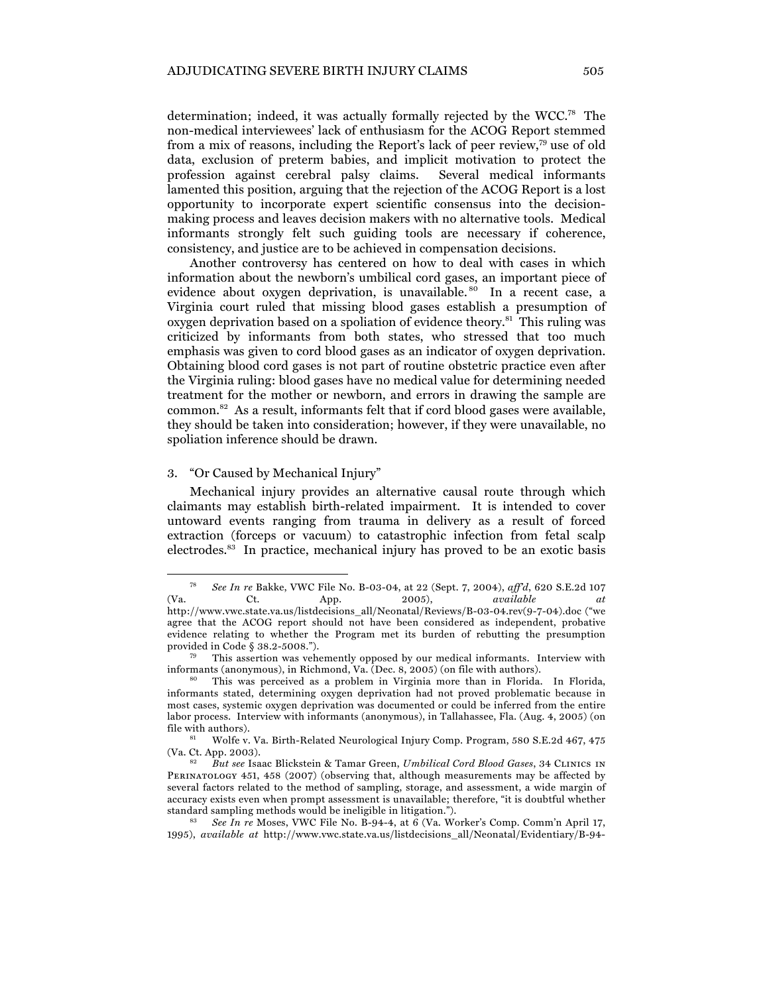determination; indeed, it was actually formally rejected by the WCC.78 The non-medical interviewees' lack of enthusiasm for the ACOG Report stemmed from a mix of reasons, including the Report's lack of peer review,79 use of old data, exclusion of preterm babies, and implicit motivation to protect the profession against cerebral palsy claims. Several medical informants lamented this position, arguing that the rejection of the ACOG Report is a lost opportunity to incorporate expert scientific consensus into the decisionmaking process and leaves decision makers with no alternative tools. Medical informants strongly felt such guiding tools are necessary if coherence, consistency, and justice are to be achieved in compensation decisions.

Another controversy has centered on how to deal with cases in which information about the newborn's umbilical cord gases, an important piece of evidence about oxygen deprivation, is unavailable.<sup>80</sup> In a recent case, a Virginia court ruled that missing blood gases establish a presumption of oxygen deprivation based on a spoliation of evidence theory.<sup>81</sup> This ruling was criticized by informants from both states, who stressed that too much emphasis was given to cord blood gases as an indicator of oxygen deprivation. Obtaining blood cord gases is not part of routine obstetric practice even after the Virginia ruling: blood gases have no medical value for determining needed treatment for the mother or newborn, and errors in drawing the sample are common.<sup>82</sup> As a result, informants felt that if cord blood gases were available, they should be taken into consideration; however, if they were unavailable, no spoliation inference should be drawn.

## 3. "Or Caused by Mechanical Injury"

 $\overline{a}$ 

Mechanical injury provides an alternative causal route through which claimants may establish birth-related impairment. It is intended to cover untoward events ranging from trauma in delivery as a result of forced extraction (forceps or vacuum) to catastrophic infection from fetal scalp electrodes.83 In practice, mechanical injury has proved to be an exotic basis

<sup>78</sup> *See In re* Bakke, VWC File No. B-03-04, at 22 (Sept. 7, 2004), *aff'd*, 620 S.E.2d 107 (Va. Ct. App. 2005), *available at* http://www.vwc.state.va.us/listdecisions\_all/Neonatal/Reviews/B-03-04.rev(9-7-04).doc ("we agree that the ACOG report should not have been considered as independent, probative evidence relating to whether the Program met its burden of rebutting the presumption

provided in Code § 38.2-5008.").<br><sup>79</sup> This assertion was vehemently opposed by our medical informants. Interview with informants (anonymous), in Richmond, Va. (Dec. 8, 2005) (on file with authors). 80 This was perceived as a problem in Virginia more than in Florida. In Florida,

informants stated, determining oxygen deprivation had not proved problematic because in most cases, systemic oxygen deprivation was documented or could be inferred from the entire labor process. Interview with informants (anonymous), in Tallahassee, Fla. (Aug. 4, 2005) (on

file with authors). 81 Wolfe v. Va. Birth-Related Neurological Injury Comp. Program, 580 S.E.2d 467, 475 (Va. Ct. App. 2003).

<sup>(</sup>Va. Ct. App. 2003). 82 *But see* Isaac Blickstein & Tamar Green, *Umbilical Cord Blood Gases*, 34 Clinics in PERINATOLOGY 451, 458 (2007) (observing that, although measurements may be affected by several factors related to the method of sampling, storage, and assessment, a wide margin of accuracy exists even when prompt assessment is unavailable; therefore, "it is doubtful whether standard sampling methods would be ineligible in litigation."). 83 *See In re* Moses, VWC File No. B-94-4, at 6 (Va. Worker's Comp. Comm'n April 17,

<sup>1995),</sup> *available at* http://www.vwc.state.va.us/listdecisions\_all/Neonatal/Evidentiary/B-94-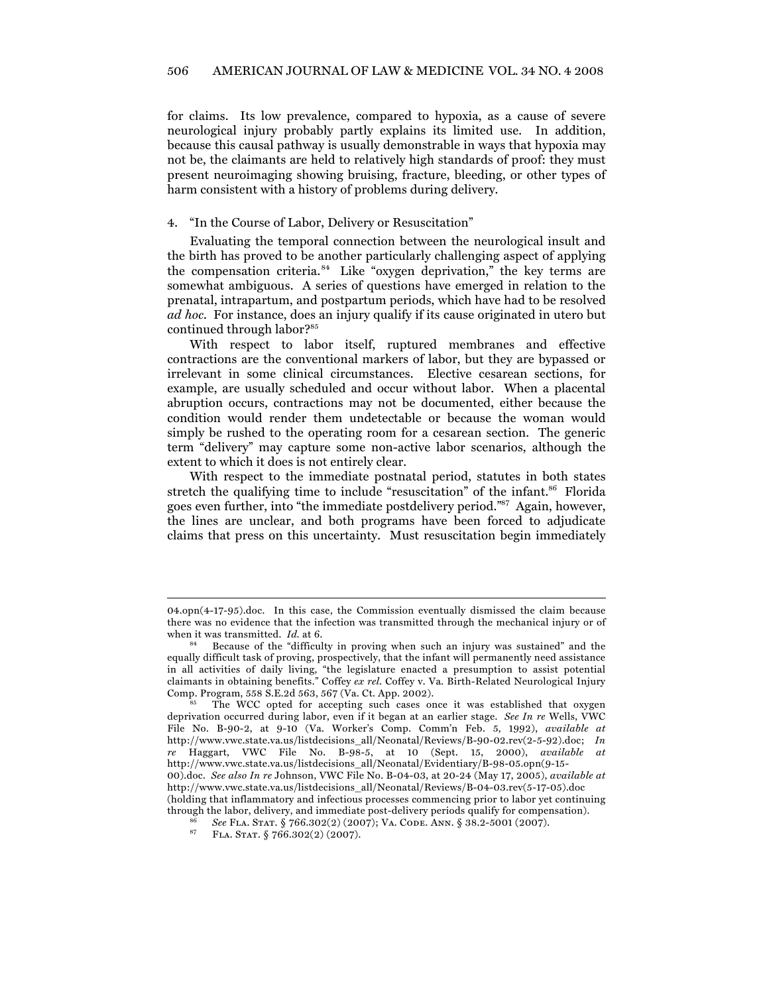for claims. Its low prevalence, compared to hypoxia, as a cause of severe neurological injury probably partly explains its limited use. In addition, because this causal pathway is usually demonstrable in ways that hypoxia may not be, the claimants are held to relatively high standards of proof: they must present neuroimaging showing bruising, fracture, bleeding, or other types of harm consistent with a history of problems during delivery.

# 4. "In the Course of Labor, Delivery or Resuscitation"

Evaluating the temporal connection between the neurological insult and the birth has proved to be another particularly challenging aspect of applying the compensation criteria.84 Like "oxygen deprivation," the key terms are somewhat ambiguous. A series of questions have emerged in relation to the prenatal, intrapartum, and postpartum periods, which have had to be resolved *ad hoc*. For instance, does an injury qualify if its cause originated in utero but continued through labor?<sup>85</sup>

With respect to labor itself, ruptured membranes and effective contractions are the conventional markers of labor, but they are bypassed or irrelevant in some clinical circumstances. Elective cesarean sections, for example, are usually scheduled and occur without labor. When a placental abruption occurs, contractions may not be documented, either because the condition would render them undetectable or because the woman would simply be rushed to the operating room for a cesarean section. The generic term "delivery" may capture some non-active labor scenarios, although the extent to which it does is not entirely clear.

With respect to the immediate postnatal period, statutes in both states stretch the qualifying time to include "resuscitation" of the infant.<sup>86</sup> Florida goes even further, into "the immediate postdelivery period."87 Again, however, the lines are unclear, and both programs have been forced to adjudicate claims that press on this uncertainty. Must resuscitation begin immediately

<sup>04.</sup>opn(4-17-95).doc. In this case, the Commission eventually dismissed the claim because there was no evidence that the infection was transmitted through the mechanical injury or of when it was transmitted. *Id.* at 6.<br><sup>84</sup> Because of the "difficulty in proving when such an injury was sustained" and the

equally difficult task of proving, prospectively, that the infant will permanently need assistance in all activities of daily living, "the legislature enacted a presumption to assist potential claimants in obtaining benefits." Coffey *ex rel.* Coffey v. Va. Birth-Related Neurological Injury Comp. Program, 558 S.E.2d 563, 567 (Va. Ct. App. 2002).<br><sup>85</sup> The WCC opted for accepting such cases once it was established that oxygen

deprivation occurred during labor, even if it began at an earlier stage. *See In re* Wells, VWC File No. B-90-2, at 9-10 (Va. Worker's Comp. Comm'n Feb. 5, 1992), *available at* http://www.vwc.state.va.us/listdecisions\_all/Neonatal/Reviews/B-90-02.rev(2-5-92).doc; *In re* Haggart, VWC File No. B-98-5, at 10 (Sept. 15, 2000), *available at* http://www.vwc.state.va.us/listdecisions\_all/Neonatal/Evidentiary/B-98-05.opn(9-15- 00).doc. *See also In re* Johnson, VWC File No. B-04-03, at 20-24 (May 17, 2005), *available at* http://www.vwc.state.va.us/listdecisions\_all/Neonatal/Reviews/B-04-03.rev(5-17-05).doc (holding that inflammatory and infectious processes commencing prior to labor yet continuing through the labor, delivery, and immediate post-delivery periods qualify for compensation).<br><sup>86</sup> *See* FLA. Stat. § 766.302(2) (2007); Va. Code. Ann. § 38.2-5001 (2007).<br><sup>87</sup> FLA. Stat. § 766.302(2) (2007).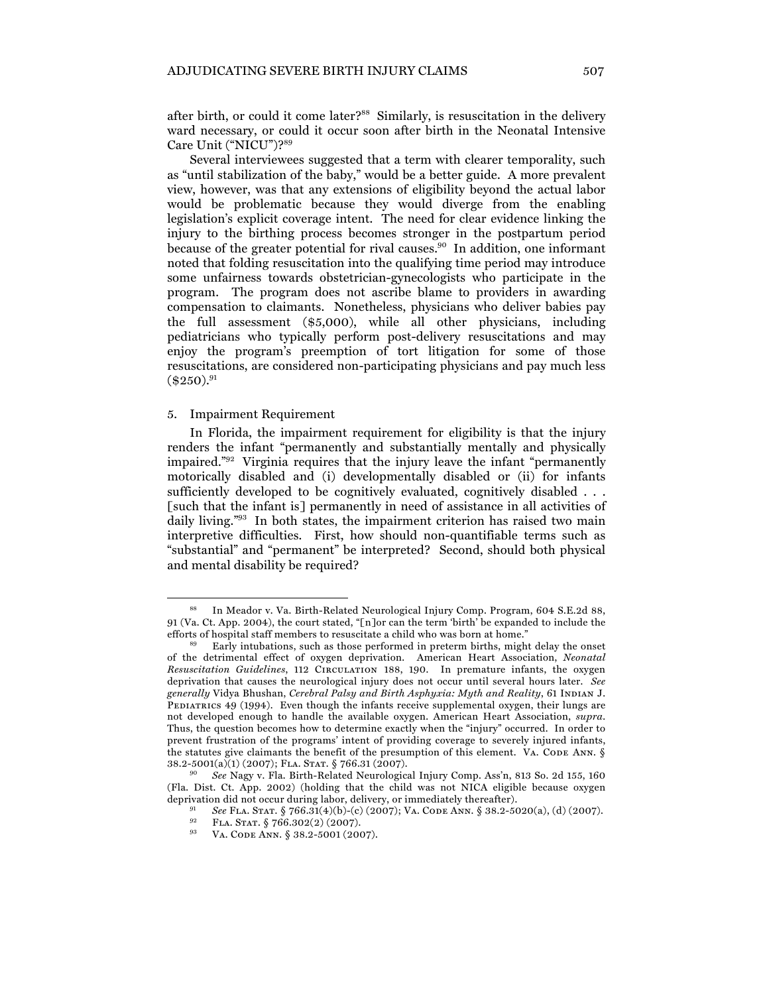after birth, or could it come later?<sup>88</sup> Similarly, is resuscitation in the delivery ward necessary, or could it occur soon after birth in the Neonatal Intensive Care Unit ("NICU")?89

Several interviewees suggested that a term with clearer temporality, such as "until stabilization of the baby," would be a better guide. A more prevalent view, however, was that any extensions of eligibility beyond the actual labor would be problematic because they would diverge from the enabling legislation's explicit coverage intent. The need for clear evidence linking the injury to the birthing process becomes stronger in the postpartum period because of the greater potential for rival causes.<sup>90</sup> In addition, one informant noted that folding resuscitation into the qualifying time period may introduce some unfairness towards obstetrician-gynecologists who participate in the program. The program does not ascribe blame to providers in awarding compensation to claimants. Nonetheless, physicians who deliver babies pay the full assessment (\$5,000), while all other physicians, including pediatricians who typically perform post-delivery resuscitations and may enjoy the program's preemption of tort litigation for some of those resuscitations, are considered non-participating physicians and pay much less  $($250).$ <sup>91</sup>

#### 5. Impairment Requirement

 $\overline{a}$ 

In Florida, the impairment requirement for eligibility is that the injury renders the infant "permanently and substantially mentally and physically impaired."92 Virginia requires that the injury leave the infant "permanently motorically disabled and (i) developmentally disabled or (ii) for infants sufficiently developed to be cognitively evaluated, cognitively disabled . . . [such that the infant is] permanently in need of assistance in all activities of daily living."93 In both states, the impairment criterion has raised two main interpretive difficulties. First, how should non-quantifiable terms such as "substantial" and "permanent" be interpreted? Second, should both physical and mental disability be required?

<sup>88</sup> In Meador v. Va. Birth-Related Neurological Injury Comp. Program, 604 S.E.2d 88, 91 (Va. Ct. App. 2004), the court stated, "[n]or can the term 'birth' be expanded to include the efforts of hospital staff members to resuscitate a child who was born at home."<br><sup>89</sup> Early intubations, such as those performed in preterm births, might delay the onset

of the detrimental effect of oxygen deprivation. American Heart Association, *Neonatal Resuscitation Guidelines*, 112 Circulation 188, 190. In premature infants, the oxygen deprivation that causes the neurological injury does not occur until several hours later. *See generally* Vidya Bhushan, *Cerebral Palsy and Birth Asphyxia: Myth and Reality*, 61 Indian J. PEDIATRICS 49 (1994). Even though the infants receive supplemental oxygen, their lungs are not developed enough to handle the available oxygen. American Heart Association, *supra*. Thus, the question becomes how to determine exactly when the "injury" occurred. In order to prevent frustration of the programs' intent of providing coverage to severely injured infants, the statutes give claimants the benefit of the presumption of this element. VA. CODE ANN.  $\S$ 38.2-5001(a)(1) (2007); Fla. Stat. § 766.31 (2007). 90 *See* Nagy v. Fla. Birth-Related Neurological Injury Comp. Ass'n, 813 So. 2d 155, 160

<sup>(</sup>Fla. Dist. Ct. App. 2002) (holding that the child was not NICA eligible because oxygen

<sup>&</sup>lt;sup>91</sup> See FLA. STAT. § 766.31(4)(b)-(c) (2007); VA. CODE ANN. § 38.2-5020(a), (d) (2007).<br><sup>92</sup> FLA. STAT. § 766.302(2) (2007).<br><sup>93</sup> VA. CODE ANN. § 38.2-5001 (2007).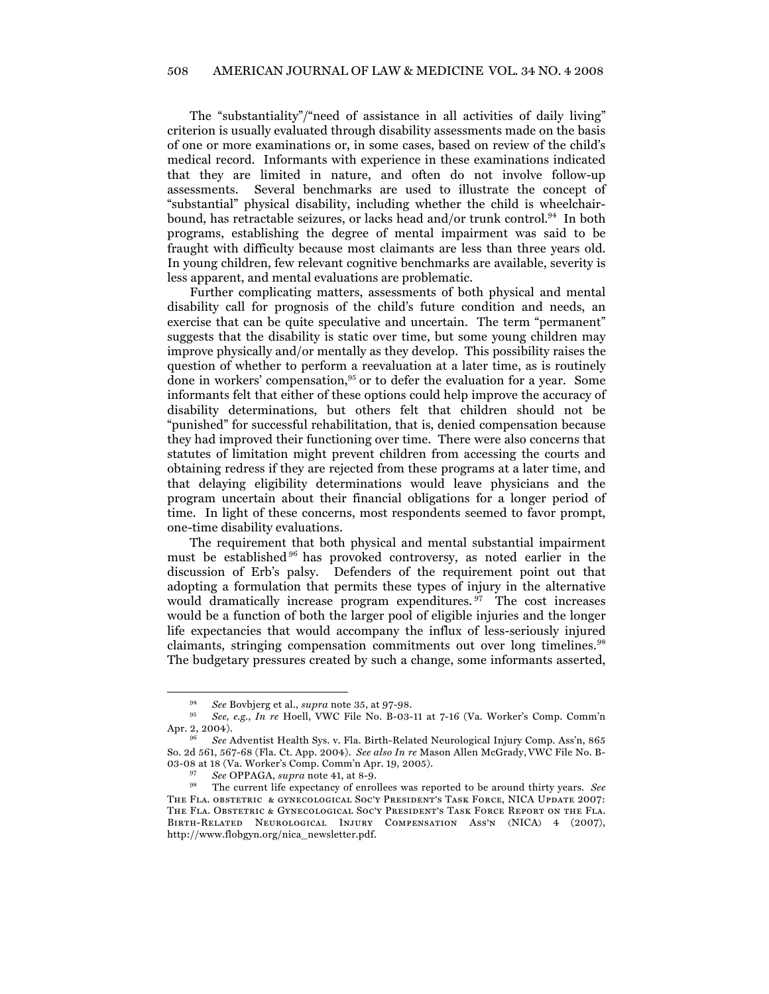The "substantiality"/"need of assistance in all activities of daily living" criterion is usually evaluated through disability assessments made on the basis of one or more examinations or, in some cases, based on review of the child's medical record. Informants with experience in these examinations indicated that they are limited in nature, and often do not involve follow-up assessments. Several benchmarks are used to illustrate the concept of "substantial" physical disability, including whether the child is wheelchairbound, has retractable seizures, or lacks head and/or trunk control.94 In both programs, establishing the degree of mental impairment was said to be fraught with difficulty because most claimants are less than three years old. In young children, few relevant cognitive benchmarks are available, severity is less apparent, and mental evaluations are problematic.

Further complicating matters, assessments of both physical and mental disability call for prognosis of the child's future condition and needs, an exercise that can be quite speculative and uncertain. The term "permanent" suggests that the disability is static over time, but some young children may improve physically and/or mentally as they develop. This possibility raises the question of whether to perform a reevaluation at a later time, as is routinely done in workers' compensation,<sup>95</sup> or to defer the evaluation for a year. Some informants felt that either of these options could help improve the accuracy of disability determinations, but others felt that children should not be "punished" for successful rehabilitation, that is, denied compensation because they had improved their functioning over time. There were also concerns that statutes of limitation might prevent children from accessing the courts and obtaining redress if they are rejected from these programs at a later time, and that delaying eligibility determinations would leave physicians and the program uncertain about their financial obligations for a longer period of time. In light of these concerns, most respondents seemed to favor prompt, one-time disability evaluations.

The requirement that both physical and mental substantial impairment must be established 96 has provoked controversy, as noted earlier in the discussion of Erb's palsy. Defenders of the requirement point out that adopting a formulation that permits these types of injury in the alternative would dramatically increase program expenditures. 97 The cost increases would be a function of both the larger pool of eligible injuries and the longer life expectancies that would accompany the influx of less-seriously injured claimants, stringing compensation commitments out over long timelines.<sup>98</sup> The budgetary pressures created by such a change, some informants asserted,

<sup>94</sup>*See* Bovbjerg et al., *supra* note 35, at 97-98. 95 *See, e.g.*, *In re* Hoell, VWC File No. B-03-11 at 7-16 (Va. Worker's Comp. Comm'n Apr. 2, 2004). 96 *See* Adventist Health Sys. v. Fla. Birth-Related Neurological Injury Comp. Ass'n, 865

So. 2d 561, 567-68 (Fla. Ct. App. 2004). *See also In re* Mason Allen McGrady, VWC File No. B-03-08 at 18 (Va. Worker's Comp. Comm'n Apr. 19, 2005).<br><sup>97</sup> *See* OPPAGA, *supra* note 41, at 8-9.<br><sup>98</sup> The current life expectancy of enrollees was reported to be around thirty years. *See* 

The Fla. obstetric & gynecological Soc'y President's Task Force, NICA Update 2007: The Fla. Obstetric & Gynecological Soc'y President's Task Force Report on the Fla. Birth-Related Neurological Injury Compensation Ass'n (NICA) 4 (2007), http://www.flobgyn.org/nica\_newsletter.pdf.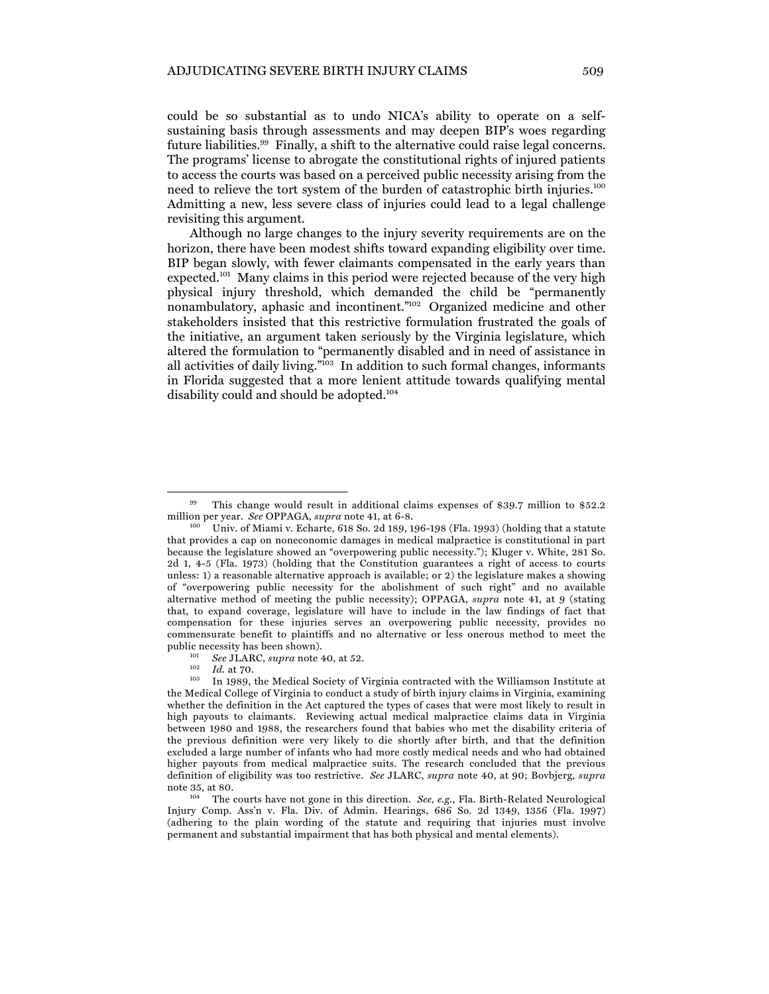could be so substantial as to undo NICA's ability to operate on a selfsustaining basis through assessments and may deepen BIP's woes regarding future liabilities.99 Finally, a shift to the alternative could raise legal concerns. The programs' license to abrogate the constitutional rights of injured patients to access the courts was based on a perceived public necessity arising from the need to relieve the tort system of the burden of catastrophic birth injuries.<sup>100</sup> Admitting a new, less severe class of injuries could lead to a legal challenge revisiting this argument.

Although no large changes to the injury severity requirements are on the horizon, there have been modest shifts toward expanding eligibility over time. BIP began slowly, with fewer claimants compensated in the early years than expected.<sup>101</sup> Many claims in this period were rejected because of the very high physical injury threshold, which demanded the child be "permanently nonambulatory, aphasic and incontinent."102 Organized medicine and other stakeholders insisted that this restrictive formulation frustrated the goals of the initiative, an argument taken seriously by the Virginia legislature, which altered the formulation to "permanently disabled and in need of assistance in all activities of daily living."<sup>103</sup> In addition to such formal changes, informants in Florida suggested that a more lenient attitude towards qualifying mental disability could and should be adopted.<sup>104</sup>

<sup>&</sup>lt;sup>99</sup> This change would result in additional claims expenses of \$39.7 million to \$52.2 million per year. *See* OPPAGA, *supra* note 41, at 6-8.

Univ. of Miami v. Echarte, 618 So. 2d 189, 196-198 (Fla. 1993) (holding that a statute that provides a cap on noneconomic damages in medical malpractice is constitutional in part because the legislature showed an "overpowering public necessity."); Kluger v. White, 281 So. 2d 1, 4-5 (Fla. 1973) (holding that the Constitution guarantees a right of access to courts unless: 1) a reasonable alternative approach is available; or 2) the legislature makes a showing of "overpowering public necessity for the abolishment of such right" and no available alternative method of meeting the public necessity); OPPAGA, *supra* note 41, at 9 (stating that, to expand coverage, legislature will have to include in the law findings of fact that compensation for these injuries serves an overpowering public necessity, provides no commensurate benefit to plaintiffs and no alternative or less onerous method to meet the public necessity has been shown).<br><sup>101</sup> *See* JLARC, *supra* note 40, at 52.<br><sup>102</sup> *Id.* at 70.<br><sup>103</sup> In 1989, the Medical Society of Virginia contracted with the Williamson Institute at

the Medical College of Virginia to conduct a study of birth injury claims in Virginia, examining whether the definition in the Act captured the types of cases that were most likely to result in high payouts to claimants. Reviewing actual medical malpractice claims data in Virginia between 1980 and 1988, the researchers found that babies who met the disability criteria of the previous definition were very likely to die shortly after birth, and that the definition excluded a large number of infants who had more costly medical needs and who had obtained higher payouts from medical malpractice suits. The research concluded that the previous definition of eligibility was too restrictive. *See* JLARC, *supra* note 40, at 90; Bovbjerg, *supra*

note 35, at 80. 104 The courts have not gone in this direction. *See, e.g.*, Fla. Birth-Related Neurological Injury Comp. Ass'n v. Fla. Div. of Admin. Hearings, 686 So. 2d 1349, 1356 (Fla. 1997) (adhering to the plain wording of the statute and requiring that injuries must involve permanent and substantial impairment that has both physical and mental elements).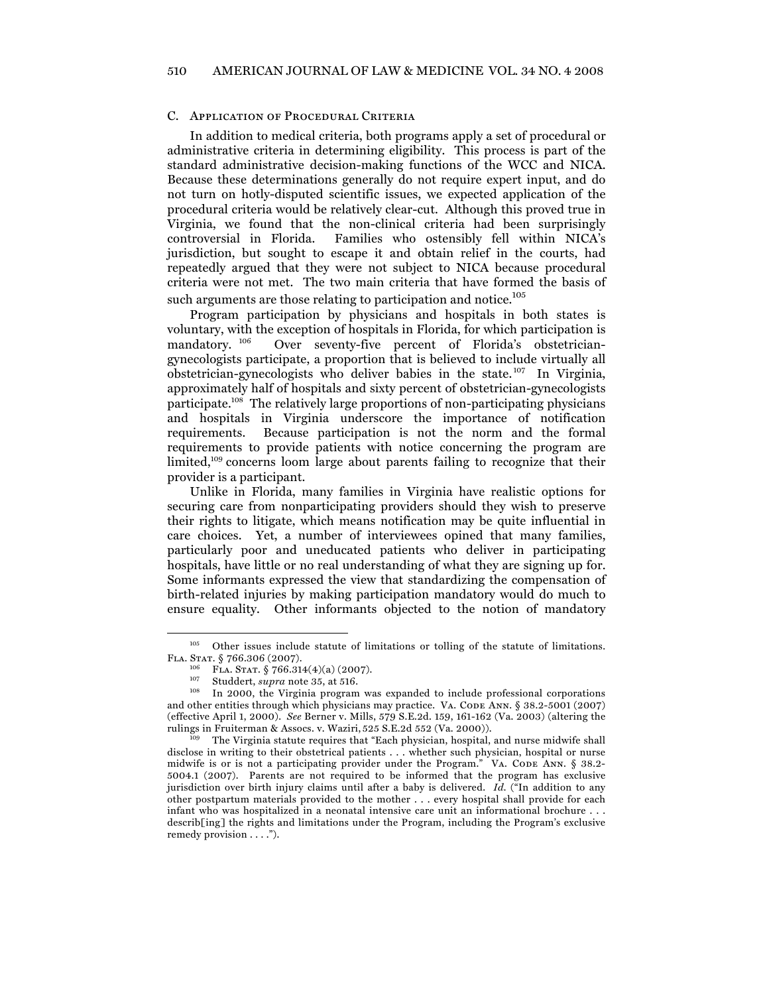# C. Application of Procedural Criteria

In addition to medical criteria, both programs apply a set of procedural or administrative criteria in determining eligibility. This process is part of the standard administrative decision-making functions of the WCC and NICA. Because these determinations generally do not require expert input, and do not turn on hotly-disputed scientific issues, we expected application of the procedural criteria would be relatively clear-cut. Although this proved true in Virginia, we found that the non-clinical criteria had been surprisingly controversial in Florida. Families who ostensibly fell within NICA's jurisdiction, but sought to escape it and obtain relief in the courts, had repeatedly argued that they were not subject to NICA because procedural criteria were not met. The two main criteria that have formed the basis of such arguments are those relating to participation and notice.<sup>105</sup>

Program participation by physicians and hospitals in both states is voluntary, with the exception of hospitals in Florida, for which participation is<br>mandatory. <sup>106</sup> Over seventy-five percent of Florida's obstetrician-Over seventy-five percent of Florida's obstetriciangynecologists participate, a proportion that is believed to include virtually all obstetrician-gynecologists who deliver babies in the state. 107 In Virginia, approximately half of hospitals and sixty percent of obstetrician-gynecologists participate.108 The relatively large proportions of non-participating physicians and hospitals in Virginia underscore the importance of notification requirements. Because participation is not the norm and the formal requirements to provide patients with notice concerning the program are limited,<sup>109</sup> concerns loom large about parents failing to recognize that their provider is a participant.

Unlike in Florida, many families in Virginia have realistic options for securing care from nonparticipating providers should they wish to preserve their rights to litigate, which means notification may be quite influential in care choices. Yet, a number of interviewees opined that many families, particularly poor and uneducated patients who deliver in participating hospitals, have little or no real understanding of what they are signing up for. Some informants expressed the view that standardizing the compensation of birth-related injuries by making participation mandatory would do much to ensure equality. Other informants objected to the notion of mandatory

<sup>105</sup> Other issues include statute of limitations or tolling of the statute of limitations. FLA. STAT. § 766.306 (2007).<br><sup>106</sup> FLA. STAT. § 766.314(4)(a) (2007).<br><sup>107</sup> Studdert, *supra* note 35, at 516.<br><sup>108</sup> In 2000, the Virginia program was expanded to include professional corporations

and other entities through which physicians may practice. VA. CODE ANN. § 38.2-5001 (2007) (effective April 1, 2000). *See* Berner v. Mills, 579 S.E.2d. 159, 161-162 (Va. 2003) (altering the rulings in Fruiterman & Assocs. v. Waziri, 525 S.E.2d 552 (Va. 2000)). 109 The Virginia statute requires that "Each physician, hospital, and nurse midwife shall

disclose in writing to their obstetrical patients . . . whether such physician, hospital or nurse midwife is or is not a participating provider under the Program." VA. CODE ANN.  $\S 38.2$ -5004.1 (2007). Parents are not required to be informed that the program has exclusive jurisdiction over birth injury claims until after a baby is delivered. *Id.* ("In addition to any other postpartum materials provided to the mother . . . every hospital shall provide for each infant who was hospitalized in a neonatal intensive care unit an informational brochure . . . describ[ing] the rights and limitations under the Program, including the Program's exclusive remedy provision . . . .").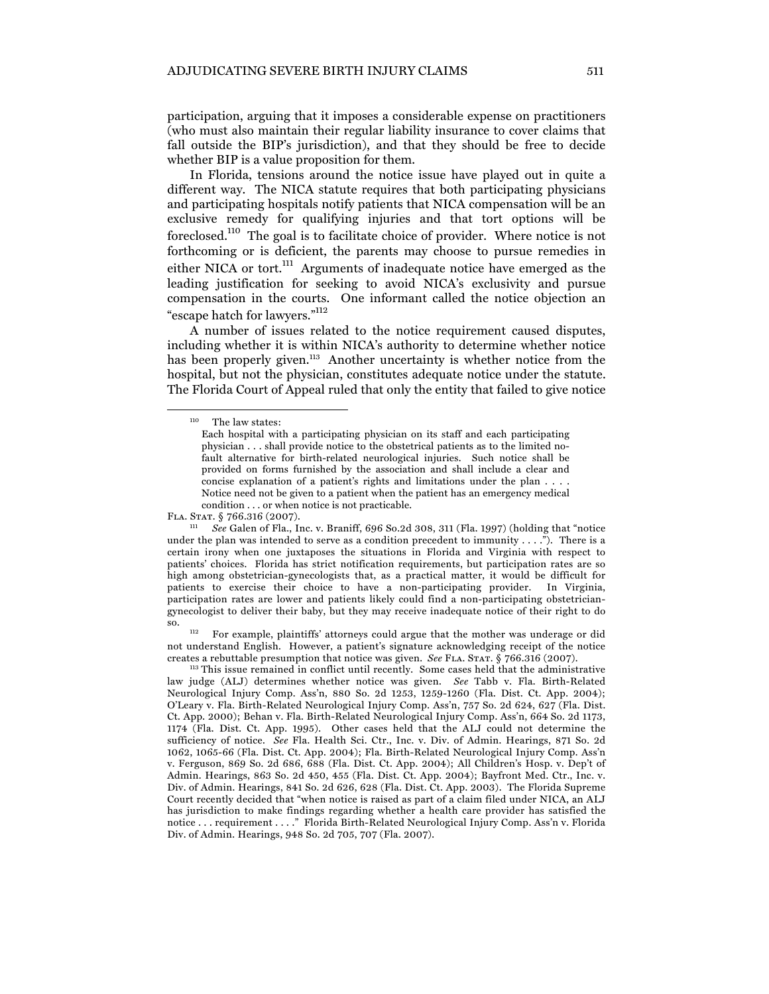participation, arguing that it imposes a considerable expense on practitioners (who must also maintain their regular liability insurance to cover claims that fall outside the BIP's jurisdiction), and that they should be free to decide whether BIP is a value proposition for them.

In Florida, tensions around the notice issue have played out in quite a different way. The NICA statute requires that both participating physicians and participating hospitals notify patients that NICA compensation will be an exclusive remedy for qualifying injuries and that tort options will be foreclosed.110 The goal is to facilitate choice of provider. Where notice is not forthcoming or is deficient, the parents may choose to pursue remedies in either NICA or tort.<sup>111</sup> Arguments of inadequate notice have emerged as the leading justification for seeking to avoid NICA's exclusivity and pursue compensation in the courts. One informant called the notice objection an "escape hatch for lawyers."<sup>112</sup>

A number of issues related to the notice requirement caused disputes, including whether it is within NICA's authority to determine whether notice has been properly given.<sup>113</sup> Another uncertainty is whether notice from the hospital, but not the physician, constitutes adequate notice under the statute. The Florida Court of Appeal ruled that only the entity that failed to give notice

 $\overline{a}$ 

 $F$ <sup>11</sup> *See* Galen of Fla., Inc. v. Braniff, 696 So.2d 308, 311 (Fla. 1997) (holding that "notice under the plan was intended to serve as a condition precedent to immunity  $\dots$ ."). There is a certain irony when one juxtaposes the situations in Florida and Virginia with respect to patients' choices. Florida has strict notification requirements, but participation rates are so high among obstetrician-gynecologists that, as a practical matter, it would be difficult for patients to exercise their choice to have a non-participating provider. In Virginia, participation rates are lower and patients likely could find a non-participating obstetriciangynecologist to deliver their baby, but they may receive inadequate notice of their right to do

so. 112 For example, plaintiffs' attorneys could argue that the mother was underage or did not understand English. However, a patient's signature acknowledging receipt of the notice creates a rebuttable presumption that notice was given. *See* Fla. Stat. § 766.316 (2007). 113 This issue remained in conflict until recently. Some cases held that the administrative

law judge (ALJ) determines whether notice was given. *See* Tabb v. Fla. Birth-Related Neurological Injury Comp. Ass'n, 880 So. 2d 1253, 1259-1260 (Fla. Dist. Ct. App. 2004); O'Leary v. Fla. Birth-Related Neurological Injury Comp. Ass'n, 757 So. 2d 624, 627 (Fla. Dist. Ct. App. 2000); Behan v. Fla. Birth-Related Neurological Injury Comp. Ass'n, 664 So. 2d 1173, 1174 (Fla. Dist. Ct. App. 1995). Other cases held that the ALJ could not determine the sufficiency of notice. *See* Fla. Health Sci. Ctr., Inc. v. Div. of Admin. Hearings, 871 So. 2d 1062, 1065-66 (Fla. Dist. Ct. App. 2004); Fla. Birth-Related Neurological Injury Comp. Ass'n v. Ferguson, 869 So. 2d 686, 688 (Fla. Dist. Ct. App. 2004); All Children's Hosp. v. Dep't of Admin. Hearings, 863 So. 2d 450, 455 (Fla. Dist. Ct. App. 2004); Bayfront Med. Ctr., Inc. v. Div. of Admin. Hearings, 841 So. 2d 626, 628 (Fla. Dist. Ct. App. 2003). The Florida Supreme Court recently decided that "when notice is raised as part of a claim filed under NICA, an ALJ has jurisdiction to make findings regarding whether a health care provider has satisfied the notice . . . requirement . . . ." Florida Birth-Related Neurological Injury Comp. Ass'n v. Florida Div. of Admin. Hearings, 948 So. 2d 705, 707 (Fla. 2007).

<sup>110</sup> The law states:

Each hospital with a participating physician on its staff and each participating physician . . . shall provide notice to the obstetrical patients as to the limited nofault alternative for birth-related neurological injuries. Such notice shall be provided on forms furnished by the association and shall include a clear and concise explanation of a patient's rights and limitations under the plan . . . . Notice need not be given to a patient when the patient has an emergency medical condition . . . or when notice is not practicable.<br>FLA. STAT.  $\S$  766.316 (2007).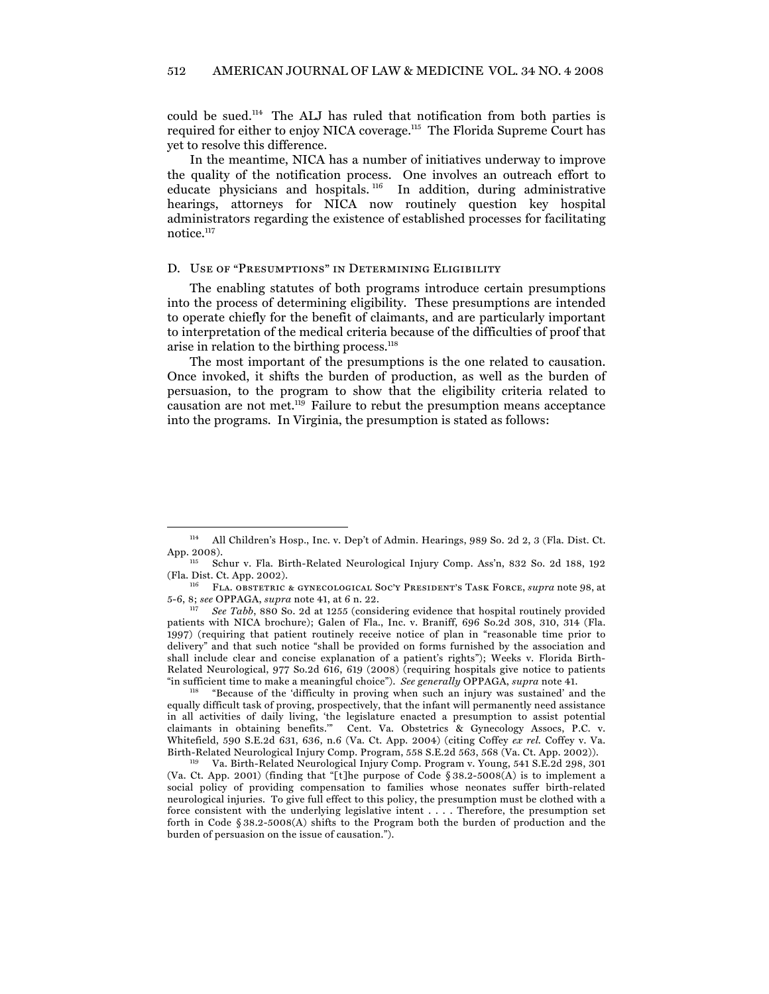could be sued.114 The ALJ has ruled that notification from both parties is required for either to enjoy NICA coverage.<sup>115</sup> The Florida Supreme Court has yet to resolve this difference.

In the meantime, NICA has a number of initiatives underway to improve the quality of the notification process. One involves an outreach effort to educate physicians and hospitals. 116 In addition, during administrative hearings, attorneys for NICA now routinely question key hospital administrators regarding the existence of established processes for facilitating notice.117

# D. Use of "Presumptions" in Determining Eligibility

 $\overline{a}$ 

The enabling statutes of both programs introduce certain presumptions into the process of determining eligibility. These presumptions are intended to operate chiefly for the benefit of claimants, and are particularly important to interpretation of the medical criteria because of the difficulties of proof that arise in relation to the birthing process.<sup>118</sup>

The most important of the presumptions is the one related to causation. Once invoked, it shifts the burden of production, as well as the burden of persuasion, to the program to show that the eligibility criteria related to causation are not met.119 Failure to rebut the presumption means acceptance into the programs. In Virginia, the presumption is stated as follows:

<sup>114</sup> All Children's Hosp., Inc. v. Dep't of Admin. Hearings, 989 So. 2d 2, 3 (Fla. Dist. Ct. App. 2008). 115 Schur v. Fla. Birth-Related Neurological Injury Comp. Ass'n, 832 So. 2d 188, 192

<sup>(</sup>Fla. Dist. Ct. App. 2002). 116 Fla. obstetric & gynecological Soc'y President's Task Force, *supra* note 98, at

<sup>5-6, 8;</sup> *see* OPPAGA, *supra* note 41, at 6 n. 22. 117 *See Tabb*, 880 So. 2d at 1255 (considering evidence that hospital routinely provided

patients with NICA brochure); Galen of Fla., Inc. v. Braniff, 696 So.2d 308, 310, 314 (Fla. 1997) (requiring that patient routinely receive notice of plan in "reasonable time prior to delivery" and that such notice "shall be provided on forms furnished by the association and shall include clear and concise explanation of a patient's rights"); Weeks v. Florida Birth-Related Neurological, 977 So.2d 616, 619 (2008) (requiring hospitals give notice to patients "in sufficient time to make a meaningful choice"). *See generally* OPPAGA, *supra* note 41. 118 "Because of the 'difficulty in proving when such an injury was sustained' and the

equally difficult task of proving, prospectively, that the infant will permanently need assistance in all activities of daily living, 'the legislature enacted a presumption to assist potential claimants in obtaining benefits.'" Cent. Va. Obstetrics & Gynecology Assocs, P.C. v. Whitefield, 590 S.E.2d 631, 636, n.6 (Va. Ct. App. 2004) (citing Coffey *ex rel.* Coffey v. Va. Birth-Related Neurological Injury Comp. Program, 558 S.E.2d 563, 568 (Va. Ct. App. 2002)). 119 Va. Birth-Related Neurological Injury Comp. Program v. Young, 541 S.E.2d 298, 301

<sup>(</sup>Va. Ct. App. 2001) (finding that "[t]he purpose of Code § 38.2-5008(A) is to implement a social policy of providing compensation to families whose neonates suffer birth-related neurological injuries. To give full effect to this policy, the presumption must be clothed with a force consistent with the underlying legislative intent . . . . Therefore, the presumption set forth in Code § 38.2-5008(A) shifts to the Program both the burden of production and the burden of persuasion on the issue of causation.").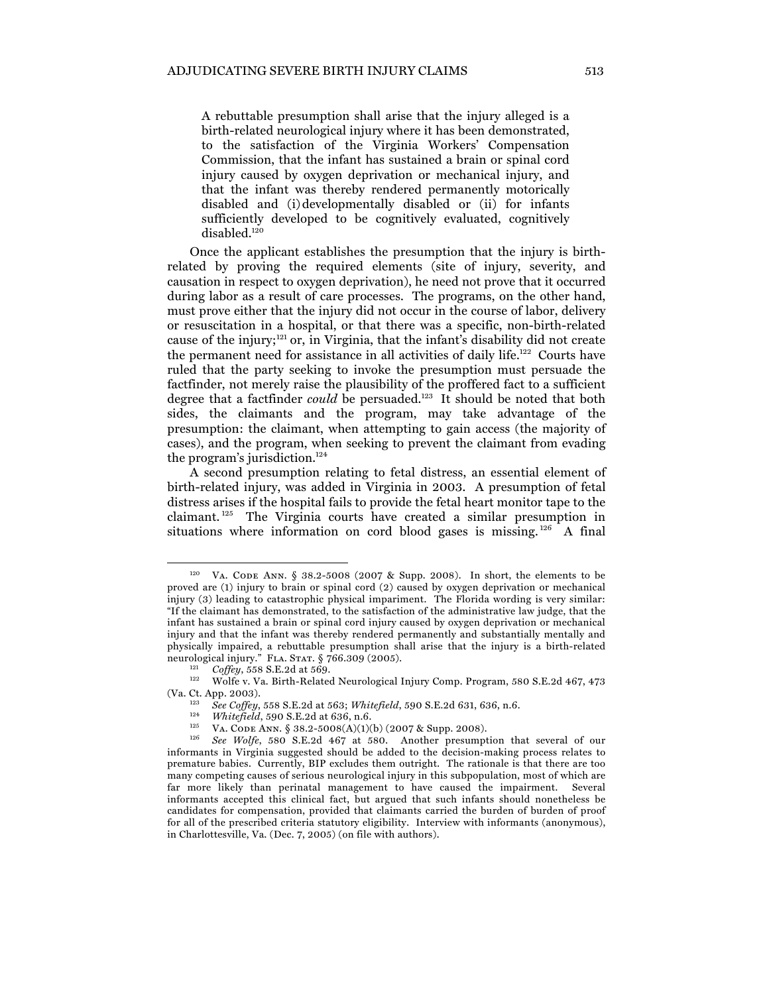A rebuttable presumption shall arise that the injury alleged is a birth-related neurological injury where it has been demonstrated, to the satisfaction of the Virginia Workers' Compensation Commission, that the infant has sustained a brain or spinal cord injury caused by oxygen deprivation or mechanical injury, and that the infant was thereby rendered permanently motorically disabled and (i) developmentally disabled or (ii) for infants sufficiently developed to be cognitively evaluated, cognitively disabled.<sup>120</sup>

Once the applicant establishes the presumption that the injury is birthrelated by proving the required elements (site of injury, severity, and causation in respect to oxygen deprivation), he need not prove that it occurred during labor as a result of care processes. The programs, on the other hand, must prove either that the injury did not occur in the course of labor, delivery or resuscitation in a hospital, or that there was a specific, non-birth-related cause of the injury;<sup>121</sup> or, in Virginia, that the infant's disability did not create the permanent need for assistance in all activities of daily life.<sup>122</sup> Courts have ruled that the party seeking to invoke the presumption must persuade the factfinder, not merely raise the plausibility of the proffered fact to a sufficient degree that a factfinder *could* be persuaded.<sup>123</sup> It should be noted that both sides, the claimants and the program, may take advantage of the presumption: the claimant, when attempting to gain access (the majority of cases), and the program, when seeking to prevent the claimant from evading the program's jurisdiction. $124$ 

A second presumption relating to fetal distress, an essential element of birth-related injury, was added in Virginia in 2003. A presumption of fetal distress arises if the hospital fails to provide the fetal heart monitor tape to the claimant. 125 The Virginia courts have created a similar presumption in situations where information on cord blood gases is missing.<sup>126</sup> A final

<sup>&</sup>lt;sup>120</sup> VA. CODE ANN.  $\S 38.2 - 5008$  (2007 & Supp. 2008). In short, the elements to be proved are (1) injury to brain or spinal cord (2) caused by oxygen deprivation or mechanical injury (3) leading to catastrophic physical impariment. The Florida wording is very similar: "If the claimant has demonstrated, to the satisfaction of the administrative law judge, that the infant has sustained a brain or spinal cord injury caused by oxygen deprivation or mechanical injury and that the infant was thereby rendered permanently and substantially mentally and physically impaired, a rebuttable presumption shall arise that the injury is a birth-related

<sup>&</sup>lt;sup>121</sup> *Coffey, 558 S.E.2d at 569.*<br><sup>122</sup> Wolfe v. Va. Birth-Related Neurological Injury Comp. Program, 580 S.E.2d 467, 473 (Va. Ct. App. 2003).<br>
<sup>123</sup> See Coffey, 558 S.E.2d at 563; Whitefield, 590 S.E.2d 631, 636, n.6.<br>
<sup>124</sup> Whitefield, 590 S.E.2d at 636, n.6.<br>
<sup>125</sup> VA. CODE ANN. § 38.2-5008(A)(1)(b) (2007 & Supp. 2008).<br>
<sup>126</sup> See Wolfe,

informants in Virginia suggested should be added to the decision-making process relates to premature babies. Currently, BIP excludes them outright. The rationale is that there are too many competing causes of serious neurological injury in this subpopulation, most of which are far more likely than perinatal management to have caused the impairment. Several informants accepted this clinical fact, but argued that such infants should nonetheless be candidates for compensation, provided that claimants carried the burden of burden of proof for all of the prescribed criteria statutory eligibility. Interview with informants (anonymous), in Charlottesville, Va. (Dec. 7, 2005) (on file with authors).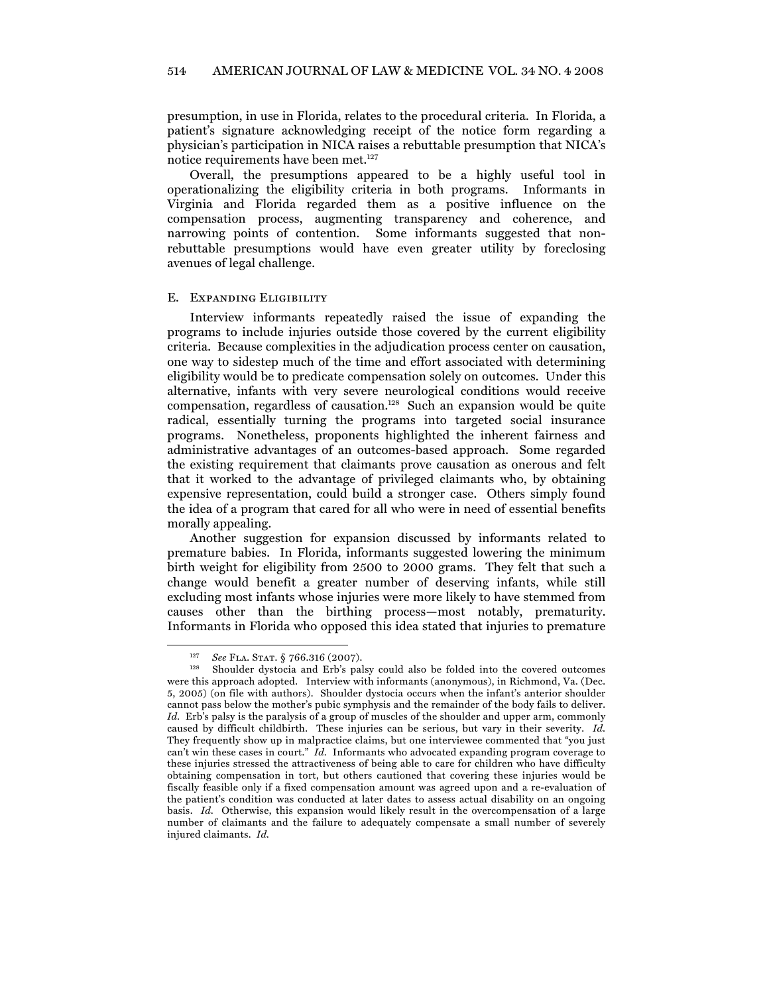presumption, in use in Florida, relates to the procedural criteria. In Florida, a patient's signature acknowledging receipt of the notice form regarding a physician's participation in NICA raises a rebuttable presumption that NICA's notice requirements have been met.<sup>127</sup>

Overall, the presumptions appeared to be a highly useful tool in operationalizing the eligibility criteria in both programs. Informants in Virginia and Florida regarded them as a positive influence on the compensation process, augmenting transparency and coherence, and narrowing points of contention. Some informants suggested that nonrebuttable presumptions would have even greater utility by foreclosing avenues of legal challenge.

## E. Expanding Eligibility

Interview informants repeatedly raised the issue of expanding the programs to include injuries outside those covered by the current eligibility criteria. Because complexities in the adjudication process center on causation, one way to sidestep much of the time and effort associated with determining eligibility would be to predicate compensation solely on outcomes. Under this alternative, infants with very severe neurological conditions would receive compensation, regardless of causation.<sup>128</sup> Such an expansion would be quite radical, essentially turning the programs into targeted social insurance programs. Nonetheless, proponents highlighted the inherent fairness and administrative advantages of an outcomes-based approach. Some regarded the existing requirement that claimants prove causation as onerous and felt that it worked to the advantage of privileged claimants who, by obtaining expensive representation, could build a stronger case. Others simply found the idea of a program that cared for all who were in need of essential benefits morally appealing.

Another suggestion for expansion discussed by informants related to premature babies. In Florida, informants suggested lowering the minimum birth weight for eligibility from 2500 to 2000 grams. They felt that such a change would benefit a greater number of deserving infants, while still excluding most infants whose injuries were more likely to have stemmed from causes other than the birthing process—most notably, prematurity. Informants in Florida who opposed this idea stated that injuries to premature

<sup>&</sup>lt;sup>127</sup> *See* FLA. STAT.  $§$  766.316 (2007).<br><sup>128</sup> Shoulder dystocia and Erb's palsy could also be folded into the covered outcomes were this approach adopted. Interview with informants (anonymous), in Richmond, Va. (Dec. 5, 2005) (on file with authors). Shoulder dystocia occurs when the infant's anterior shoulder cannot pass below the mother's pubic symphysis and the remainder of the body fails to deliver. *Id.* Erb's palsy is the paralysis of a group of muscles of the shoulder and upper arm, commonly caused by difficult childbirth. These injuries can be serious, but vary in their severity. *Id.* They frequently show up in malpractice claims, but one interviewee commented that "you just can't win these cases in court." *Id.* Informants who advocated expanding program coverage to these injuries stressed the attractiveness of being able to care for children who have difficulty obtaining compensation in tort, but others cautioned that covering these injuries would be fiscally feasible only if a fixed compensation amount was agreed upon and a re-evaluation of the patient's condition was conducted at later dates to assess actual disability on an ongoing basis. *Id.* Otherwise, this expansion would likely result in the overcompensation of a large number of claimants and the failure to adequately compensate a small number of severely injured claimants. *Id.*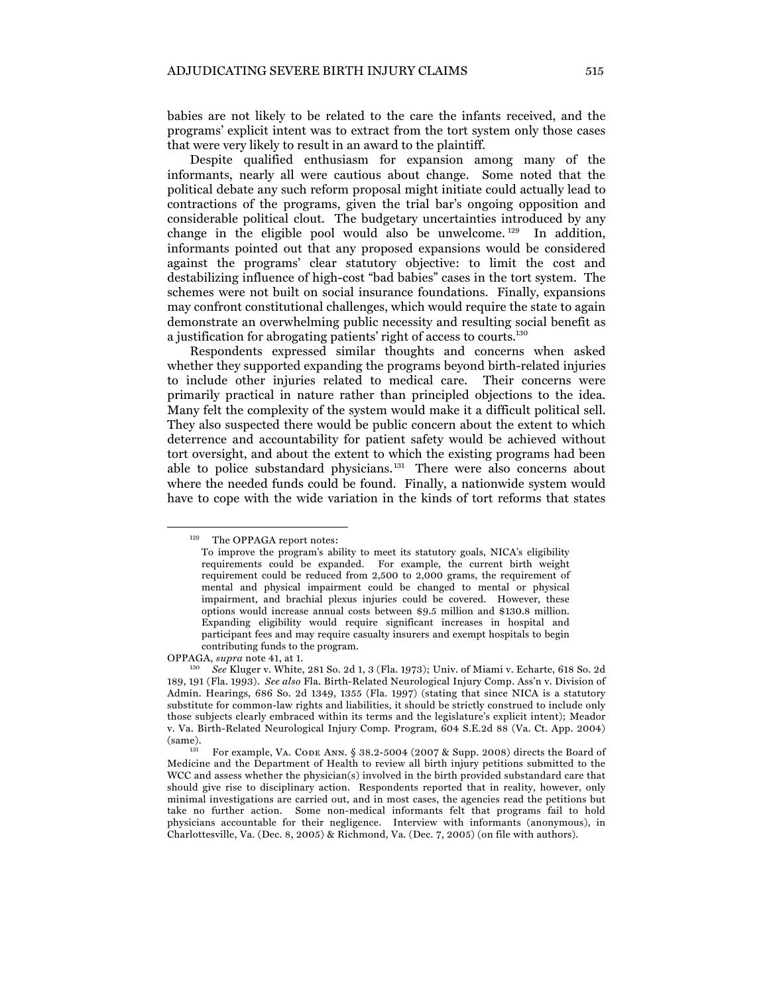babies are not likely to be related to the care the infants received, and the programs' explicit intent was to extract from the tort system only those cases that were very likely to result in an award to the plaintiff.

Despite qualified enthusiasm for expansion among many of the informants, nearly all were cautious about change. Some noted that the political debate any such reform proposal might initiate could actually lead to contractions of the programs, given the trial bar's ongoing opposition and considerable political clout. The budgetary uncertainties introduced by any change in the eligible pool would also be unwelcome. 129 In addition, informants pointed out that any proposed expansions would be considered against the programs' clear statutory objective: to limit the cost and destabilizing influence of high-cost "bad babies" cases in the tort system. The schemes were not built on social insurance foundations. Finally, expansions may confront constitutional challenges, which would require the state to again demonstrate an overwhelming public necessity and resulting social benefit as a justification for abrogating patients' right of access to courts.130

Respondents expressed similar thoughts and concerns when asked whether they supported expanding the programs beyond birth-related injuries to include other injuries related to medical care. Their concerns were primarily practical in nature rather than principled objections to the idea. Many felt the complexity of the system would make it a difficult political sell. They also suspected there would be public concern about the extent to which deterrence and accountability for patient safety would be achieved without tort oversight, and about the extent to which the existing programs had been able to police substandard physicians. 131 There were also concerns about where the needed funds could be found. Finally, a nationwide system would have to cope with the wide variation in the kinds of tort reforms that states

<sup>129</sup> The OPPAGA report notes:

To improve the program's ability to meet its statutory goals, NICA's eligibility requirements could be expanded. For example, the current birth weight requirement could be reduced from 2,500 to 2,000 grams, the requirement of mental and physical impairment could be changed to mental or physical impairment, and brachial plexus injuries could be covered. However, these options would increase annual costs between \$9.5 million and \$130.8 million. Expanding eligibility would require significant increases in hospital and participant fees and may require casualty insurers and exempt hospitals to begin contributing funds to the program.

OPPAGA, *supra* note 41, at 1.<br><sup>130</sup> *See* Kluger v. White, 281 So. 2d 1, 3 (Fla. 1973); Univ. of Miami v. Echarte, 618 So. 2d 189, 191 (Fla. 1993). *See also* Fla. Birth-Related Neurological Injury Comp. Ass'n v. Division of Admin. Hearings, 686 So. 2d 1349, 1355 (Fla. 1997) (stating that since NICA is a statutory substitute for common-law rights and liabilities, it should be strictly construed to include only those subjects clearly embraced within its terms and the legislature's explicit intent); Meador v. Va. Birth-Related Neurological Injury Comp. Program, 604 S.E.2d 88 (Va. Ct. App. 2004) (same).<br><sup>131</sup> For example, VA. CODE ANN. § 38.2-5004 (2007 & Supp. 2008) directs the Board of

Medicine and the Department of Health to review all birth injury petitions submitted to the WCC and assess whether the physician(s) involved in the birth provided substandard care that should give rise to disciplinary action. Respondents reported that in reality, however, only minimal investigations are carried out, and in most cases, the agencies read the petitions but take no further action. Some non-medical informants felt that programs fail to hold physicians accountable for their negligence. Interview with informants (anonymous), in Charlottesville, Va. (Dec. 8, 2005) & Richmond, Va. (Dec. 7, 2005) (on file with authors).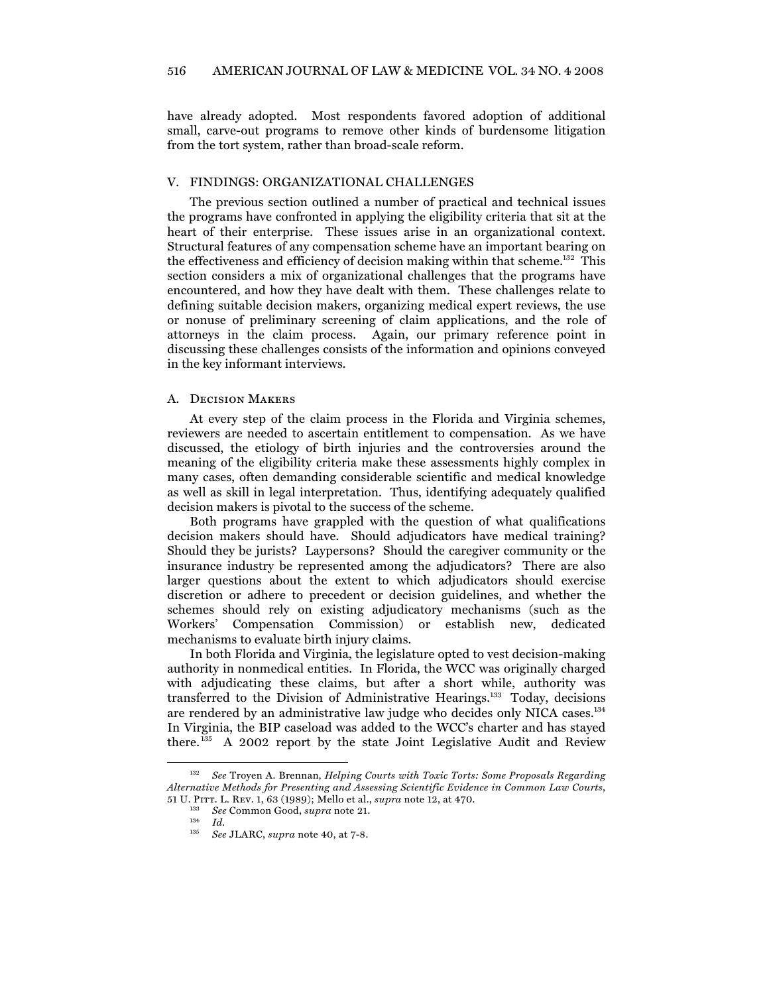have already adopted. Most respondents favored adoption of additional small, carve-out programs to remove other kinds of burdensome litigation from the tort system, rather than broad-scale reform.

### V. FINDINGS: ORGANIZATIONAL CHALLENGES

The previous section outlined a number of practical and technical issues the programs have confronted in applying the eligibility criteria that sit at the heart of their enterprise. These issues arise in an organizational context. Structural features of any compensation scheme have an important bearing on the effectiveness and efficiency of decision making within that scheme.<sup>132</sup> This section considers a mix of organizational challenges that the programs have encountered, and how they have dealt with them. These challenges relate to defining suitable decision makers, organizing medical expert reviews, the use or nonuse of preliminary screening of claim applications, and the role of attorneys in the claim process. Again, our primary reference point in discussing these challenges consists of the information and opinions conveyed in the key informant interviews.

## A. Decision Makers

At every step of the claim process in the Florida and Virginia schemes, reviewers are needed to ascertain entitlement to compensation. As we have discussed, the etiology of birth injuries and the controversies around the meaning of the eligibility criteria make these assessments highly complex in many cases, often demanding considerable scientific and medical knowledge as well as skill in legal interpretation. Thus, identifying adequately qualified decision makers is pivotal to the success of the scheme.

Both programs have grappled with the question of what qualifications decision makers should have. Should adjudicators have medical training? Should they be jurists? Laypersons? Should the caregiver community or the insurance industry be represented among the adjudicators? There are also larger questions about the extent to which adjudicators should exercise discretion or adhere to precedent or decision guidelines, and whether the schemes should rely on existing adjudicatory mechanisms (such as the Workers' Compensation Commission) or establish new, dedicated mechanisms to evaluate birth injury claims.

In both Florida and Virginia, the legislature opted to vest decision-making authority in nonmedical entities. In Florida, the WCC was originally charged with adjudicating these claims, but after a short while, authority was transferred to the Division of Administrative Hearings.<sup>133</sup> Today, decisions are rendered by an administrative law judge who decides only NICA cases.<sup>134</sup> In Virginia, the BIP caseload was added to the WCC's charter and has stayed there. 135 A 2002 report by the state Joint Legislative Audit and Review

<sup>132</sup> *See* Troyen A. Brennan, *Helping Courts with Toxic Torts: Some Proposals Regarding Alternative Methods for Presenting and Assessing Scientific Evidence in Common Law Courts*, <sup>51</sup>U. Pitt. L. Rev. 1, 63 (1989); Mello et al., *supra* note 12, at 470. 133 *See* Common Good, *supra* note 21. 134 *Id.*

<sup>135</sup> *See* JLARC, *supra* note 40, at 7-8.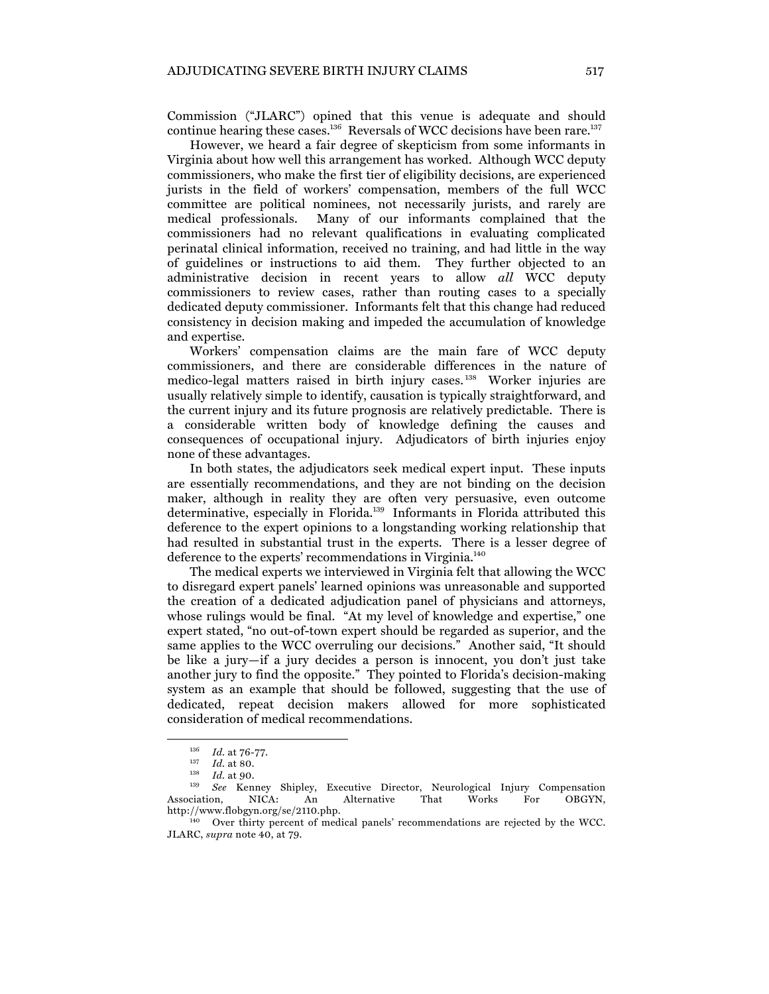Commission ("JLARC") opined that this venue is adequate and should continue hearing these cases.<sup>136</sup> Reversals of WCC decisions have been rare.<sup>137</sup>

However, we heard a fair degree of skepticism from some informants in Virginia about how well this arrangement has worked. Although WCC deputy commissioners, who make the first tier of eligibility decisions, are experienced jurists in the field of workers' compensation, members of the full WCC committee are political nominees, not necessarily jurists, and rarely are medical professionals. Many of our informants complained that the commissioners had no relevant qualifications in evaluating complicated perinatal clinical information, received no training, and had little in the way of guidelines or instructions to aid them. They further objected to an administrative decision in recent years to allow *all* WCC deputy commissioners to review cases, rather than routing cases to a specially dedicated deputy commissioner. Informants felt that this change had reduced consistency in decision making and impeded the accumulation of knowledge and expertise.

Workers' compensation claims are the main fare of WCC deputy commissioners, and there are considerable differences in the nature of medico-legal matters raised in birth injury cases. 138 Worker injuries are usually relatively simple to identify, causation is typically straightforward, and the current injury and its future prognosis are relatively predictable. There is a considerable written body of knowledge defining the causes and consequences of occupational injury. Adjudicators of birth injuries enjoy none of these advantages.

In both states, the adjudicators seek medical expert input. These inputs are essentially recommendations, and they are not binding on the decision maker, although in reality they are often very persuasive, even outcome determinative, especially in Florida.<sup>139</sup> Informants in Florida attributed this deference to the expert opinions to a longstanding working relationship that had resulted in substantial trust in the experts. There is a lesser degree of deference to the experts' recommendations in Virginia.140

The medical experts we interviewed in Virginia felt that allowing the WCC to disregard expert panels' learned opinions was unreasonable and supported the creation of a dedicated adjudication panel of physicians and attorneys, whose rulings would be final. "At my level of knowledge and expertise," one expert stated, "no out-of-town expert should be regarded as superior, and the same applies to the WCC overruling our decisions." Another said, "It should be like a jury—if a jury decides a person is innocent, you don't just take another jury to find the opposite." They pointed to Florida's decision-making system as an example that should be followed, suggesting that the use of dedicated, repeat decision makers allowed for more sophisticated consideration of medical recommendations.

<sup>&</sup>lt;sup>136</sup> *Id.* at 76-77.<br><sup>137</sup> *Id.* at 80.<br><sup>139</sup> *See* Kenney Shipley, Executive Director, Neurological Injury Compensation<br>ciation, NICA: An Alternative That Works For OBGYN, Association, NICA: An Alternative That Works For http://www.flobgyn.org/se/2110.php.<br><sup>140</sup> Over thirty percent of medical panels' recommendations are rejected by the WCC.

JLARC, *supra* note 40, at 79.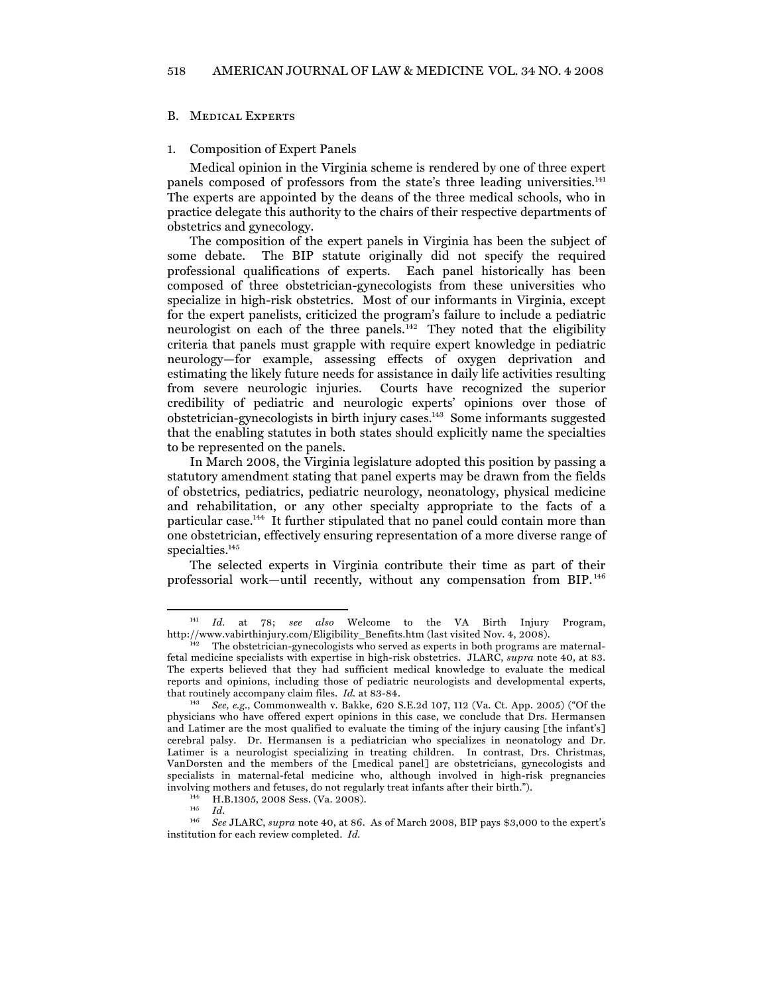# B. Medical Experts

#### 1. Composition of Expert Panels

Medical opinion in the Virginia scheme is rendered by one of three expert panels composed of professors from the state's three leading universities.141 The experts are appointed by the deans of the three medical schools, who in practice delegate this authority to the chairs of their respective departments of obstetrics and gynecology.

The composition of the expert panels in Virginia has been the subject of some debate. The BIP statute originally did not specify the required professional qualifications of experts. Each panel historically has been composed of three obstetrician-gynecologists from these universities who specialize in high-risk obstetrics. Most of our informants in Virginia, except for the expert panelists, criticized the program's failure to include a pediatric neurologist on each of the three panels.<sup>142</sup> They noted that the eligibility criteria that panels must grapple with require expert knowledge in pediatric neurology—for example, assessing effects of oxygen deprivation and estimating the likely future needs for assistance in daily life activities resulting from severe neurologic injuries. Courts have recognized the superior credibility of pediatric and neurologic experts' opinions over those of obstetrician-gynecologists in birth injury cases.143 Some informants suggested that the enabling statutes in both states should explicitly name the specialties to be represented on the panels.

In March 2008, the Virginia legislature adopted this position by passing a statutory amendment stating that panel experts may be drawn from the fields of obstetrics, pediatrics, pediatric neurology, neonatology, physical medicine and rehabilitation, or any other specialty appropriate to the facts of a particular case.<sup>144</sup> It further stipulated that no panel could contain more than one obstetrician, effectively ensuring representation of a more diverse range of specialties.<sup>145</sup>

The selected experts in Virginia contribute their time as part of their professorial work—until recently, without any compensation from BIP. 146

<sup>141</sup> *Id.* at 78; *see also* Welcome to the VA Birth Injury Program, http://www.vabirthinjury.com/Eligibility\_Benefits.htm (last visited Nov. 4, 2008).<br><sup>142</sup> The obstetrician-gynecologists who served as experts in both programs are maternal-

fetal medicine specialists with expertise in high-risk obstetrics. JLARC, *supra* note 40, at 83. The experts believed that they had sufficient medical knowledge to evaluate the medical reports and opinions, including those of pediatric neurologists and developmental experts, that routinely accompany claim files. *Id.* at 83-84.<br><sup>143</sup> See, e.g., Commonwealth v. Bakke, 620 S.E.2d 107, 112 (Va. Ct. App. 2005) ("Of the

physicians who have offered expert opinions in this case, we conclude that Drs. Hermansen and Latimer are the most qualified to evaluate the timing of the injury causing [the infant's] cerebral palsy. Dr. Hermansen is a pediatrician who specializes in neonatology and Dr. Latimer is a neurologist specializing in treating children. In contrast, Drs. Christmas, VanDorsten and the members of the [medical panel] are obstetricians, gynecologists and specialists in maternal-fetal medicine who, although involved in high-risk pregnancies involving mothers and fetuses, do not regularly treat infants after their birth.").<br><sup>144</sup> H.B.1305, 2008 Sess. (Va. 2008).<br><sup>145</sup> *Id.*<br><sup>146</sup> See II ABC sunga pote 40, at 86. As of March 2008, BIP pays \$3,000.

<sup>146</sup> *See* JLARC, *supra* note 40, at 86. As of March 2008, BIP pays \$3,000 to the expert's institution for each review completed. *Id.*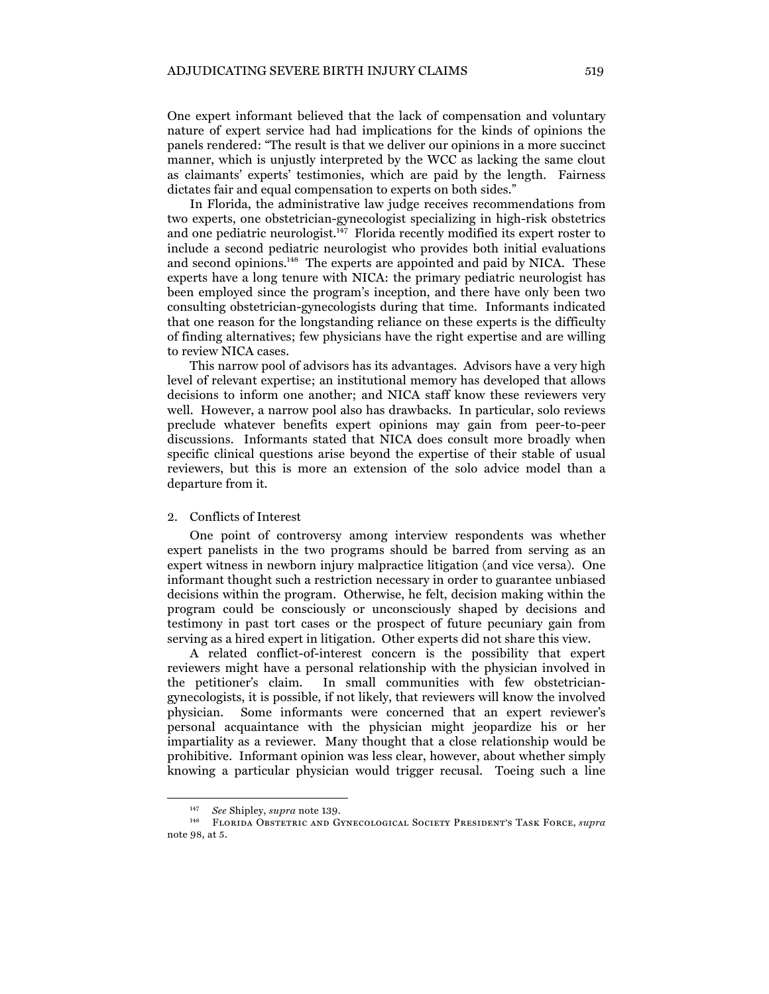One expert informant believed that the lack of compensation and voluntary nature of expert service had had implications for the kinds of opinions the panels rendered: "The result is that we deliver our opinions in a more succinct manner, which is unjustly interpreted by the WCC as lacking the same clout as claimants' experts' testimonies, which are paid by the length. Fairness dictates fair and equal compensation to experts on both sides."

In Florida, the administrative law judge receives recommendations from two experts, one obstetrician-gynecologist specializing in high-risk obstetrics and one pediatric neurologist.<sup>147</sup> Florida recently modified its expert roster to include a second pediatric neurologist who provides both initial evaluations and second opinions.<sup>148</sup> The experts are appointed and paid by NICA. These experts have a long tenure with NICA: the primary pediatric neurologist has been employed since the program's inception, and there have only been two consulting obstetrician-gynecologists during that time. Informants indicated that one reason for the longstanding reliance on these experts is the difficulty of finding alternatives; few physicians have the right expertise and are willing to review NICA cases.

This narrow pool of advisors has its advantages. Advisors have a very high level of relevant expertise; an institutional memory has developed that allows decisions to inform one another; and NICA staff know these reviewers very well. However, a narrow pool also has drawbacks. In particular, solo reviews preclude whatever benefits expert opinions may gain from peer-to-peer discussions. Informants stated that NICA does consult more broadly when specific clinical questions arise beyond the expertise of their stable of usual reviewers, but this is more an extension of the solo advice model than a departure from it.

# 2. Conflicts of Interest

One point of controversy among interview respondents was whether expert panelists in the two programs should be barred from serving as an expert witness in newborn injury malpractice litigation (and vice versa). One informant thought such a restriction necessary in order to guarantee unbiased decisions within the program. Otherwise, he felt, decision making within the program could be consciously or unconsciously shaped by decisions and testimony in past tort cases or the prospect of future pecuniary gain from serving as a hired expert in litigation. Other experts did not share this view.

A related conflict-of-interest concern is the possibility that expert reviewers might have a personal relationship with the physician involved in the petitioner's claim. In small communities with few obstetriciangynecologists, it is possible, if not likely, that reviewers will know the involved physician. Some informants were concerned that an expert reviewer's personal acquaintance with the physician might jeopardize his or her impartiality as a reviewer. Many thought that a close relationship would be prohibitive. Informant opinion was less clear, however, about whether simply knowing a particular physician would trigger recusal. Toeing such a line

<sup>&</sup>lt;sup>147</sup> See Shipley, *supra* note 139.<br><sup>148</sup> FLORIDA Obstetric and Gynecological Society President's Task Force, *supra* note 98, at 5.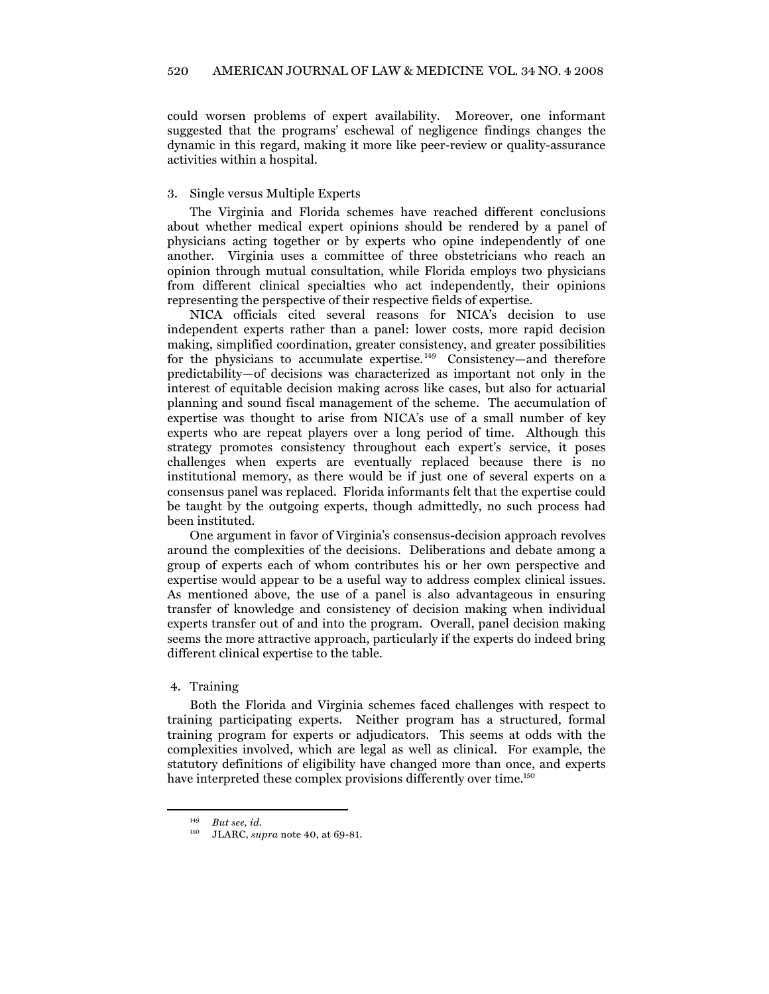could worsen problems of expert availability. Moreover, one informant suggested that the programs' eschewal of negligence findings changes the dynamic in this regard, making it more like peer-review or quality-assurance activities within a hospital.

# 3. Single versus Multiple Experts

The Virginia and Florida schemes have reached different conclusions about whether medical expert opinions should be rendered by a panel of physicians acting together or by experts who opine independently of one another. Virginia uses a committee of three obstetricians who reach an opinion through mutual consultation, while Florida employs two physicians from different clinical specialties who act independently, their opinions representing the perspective of their respective fields of expertise.

NICA officials cited several reasons for NICA's decision to use independent experts rather than a panel: lower costs, more rapid decision making, simplified coordination, greater consistency, and greater possibilities for the physicians to accumulate expertise.<sup>149</sup> Consistency—and therefore predictability—of decisions was characterized as important not only in the interest of equitable decision making across like cases, but also for actuarial planning and sound fiscal management of the scheme. The accumulation of expertise was thought to arise from NICA's use of a small number of key experts who are repeat players over a long period of time. Although this strategy promotes consistency throughout each expert's service, it poses challenges when experts are eventually replaced because there is no institutional memory, as there would be if just one of several experts on a consensus panel was replaced. Florida informants felt that the expertise could be taught by the outgoing experts, though admittedly, no such process had been instituted.

One argument in favor of Virginia's consensus-decision approach revolves around the complexities of the decisions. Deliberations and debate among a group of experts each of whom contributes his or her own perspective and expertise would appear to be a useful way to address complex clinical issues. As mentioned above, the use of a panel is also advantageous in ensuring transfer of knowledge and consistency of decision making when individual experts transfer out of and into the program. Overall, panel decision making seems the more attractive approach, particularly if the experts do indeed bring different clinical expertise to the table.

## 4. Training

Both the Florida and Virginia schemes faced challenges with respect to training participating experts. Neither program has a structured, formal training program for experts or adjudicators. This seems at odds with the complexities involved, which are legal as well as clinical. For example, the statutory definitions of eligibility have changed more than once, and experts have interpreted these complex provisions differently over time.<sup>150</sup>

<sup>149</sup> *But see*, *id.*

<sup>150</sup> JLARC, *supra* note 40, at 69-81.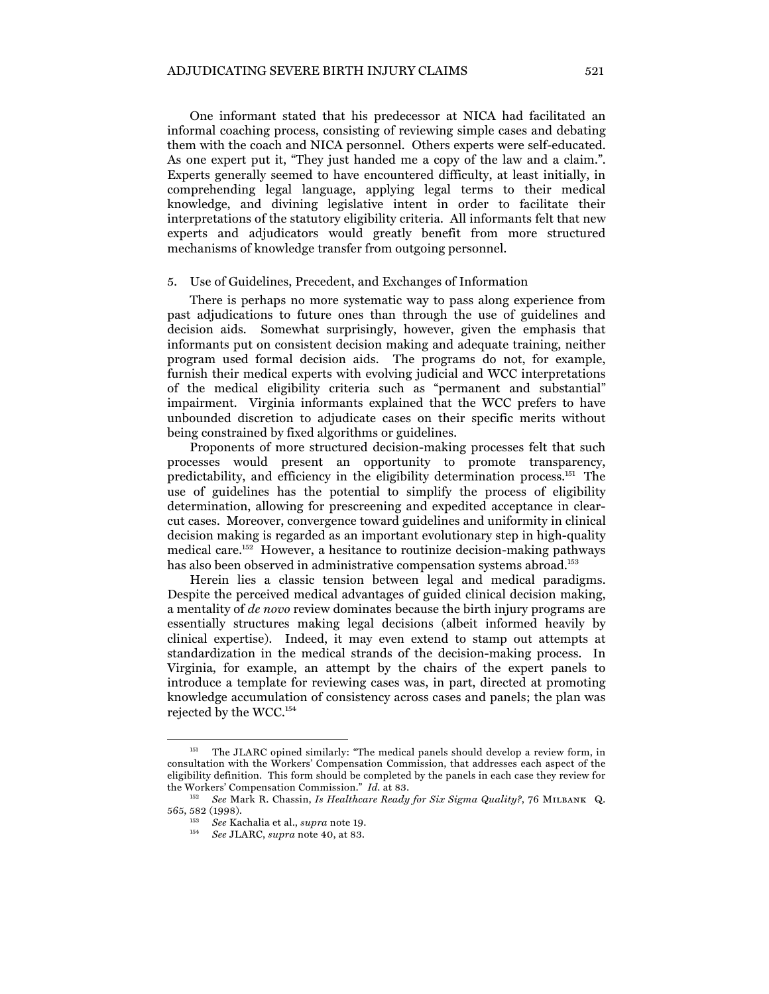One informant stated that his predecessor at NICA had facilitated an informal coaching process, consisting of reviewing simple cases and debating them with the coach and NICA personnel. Others experts were self-educated. As one expert put it, "They just handed me a copy of the law and a claim.". Experts generally seemed to have encountered difficulty, at least initially, in comprehending legal language, applying legal terms to their medical knowledge, and divining legislative intent in order to facilitate their interpretations of the statutory eligibility criteria. All informants felt that new experts and adjudicators would greatly benefit from more structured mechanisms of knowledge transfer from outgoing personnel.

## 5. Use of Guidelines, Precedent, and Exchanges of Information

There is perhaps no more systematic way to pass along experience from past adjudications to future ones than through the use of guidelines and decision aids. Somewhat surprisingly, however, given the emphasis that informants put on consistent decision making and adequate training, neither program used formal decision aids. The programs do not, for example, furnish their medical experts with evolving judicial and WCC interpretations of the medical eligibility criteria such as "permanent and substantial" impairment. Virginia informants explained that the WCC prefers to have unbounded discretion to adjudicate cases on their specific merits without being constrained by fixed algorithms or guidelines.

Proponents of more structured decision-making processes felt that such processes would present an opportunity to promote transparency, predictability, and efficiency in the eligibility determination process.151 The use of guidelines has the potential to simplify the process of eligibility determination, allowing for prescreening and expedited acceptance in clearcut cases. Moreover, convergence toward guidelines and uniformity in clinical decision making is regarded as an important evolutionary step in high-quality medical care.152 However, a hesitance to routinize decision-making pathways has also been observed in administrative compensation systems abroad.<sup>153</sup>

Herein lies a classic tension between legal and medical paradigms. Despite the perceived medical advantages of guided clinical decision making, a mentality of *de novo* review dominates because the birth injury programs are essentially structures making legal decisions (albeit informed heavily by clinical expertise). Indeed, it may even extend to stamp out attempts at standardization in the medical strands of the decision-making process. In Virginia, for example, an attempt by the chairs of the expert panels to introduce a template for reviewing cases was, in part, directed at promoting knowledge accumulation of consistency across cases and panels; the plan was rejected by the WCC.154

<sup>&</sup>lt;sup>151</sup> The JLARC opined similarly: "The medical panels should develop a review form, in consultation with the Workers' Compensation Commission, that addresses each aspect of the eligibility definition. This form should be completed by the panels in each case they review for the Workers' Compensation Commission."  $Id$ . at 83.

<sup>&</sup>lt;sup>152</sup> *See* Mark R. Chassin, *Is Healthcare Ready for Six Sigma Quality?*, 76 MILBANK Q. 565, 582 (1998). 153 *See* Kachalia et al., *supra* note 19. 154 *See* JLARC, *supra* note 40, at 83.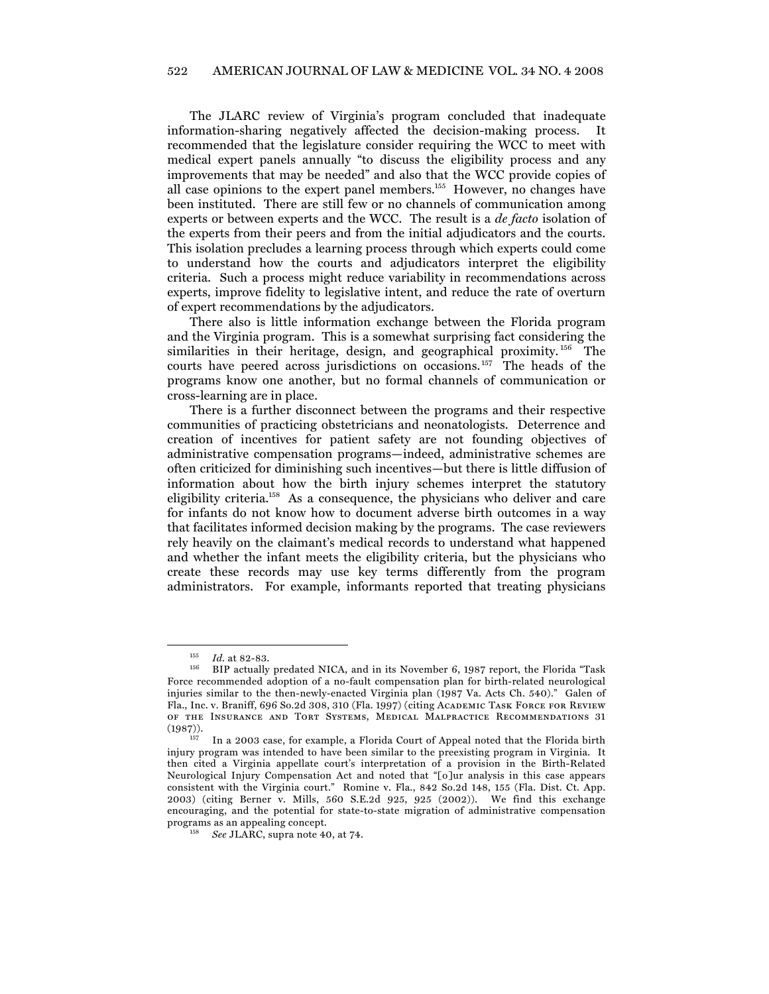The JLARC review of Virginia's program concluded that inadequate information-sharing negatively affected the decision-making process. It recommended that the legislature consider requiring the WCC to meet with medical expert panels annually "to discuss the eligibility process and any improvements that may be needed" and also that the WCC provide copies of all case opinions to the expert panel members.155 However, no changes have been instituted. There are still few or no channels of communication among experts or between experts and the WCC. The result is a *de facto* isolation of the experts from their peers and from the initial adjudicators and the courts. This isolation precludes a learning process through which experts could come to understand how the courts and adjudicators interpret the eligibility criteria. Such a process might reduce variability in recommendations across experts, improve fidelity to legislative intent, and reduce the rate of overturn of expert recommendations by the adjudicators.

There also is little information exchange between the Florida program and the Virginia program. This is a somewhat surprising fact considering the similarities in their heritage, design, and geographical proximity.<sup>156</sup> The courts have peered across jurisdictions on occasions. 157 The heads of the programs know one another, but no formal channels of communication or cross-learning are in place.

There is a further disconnect between the programs and their respective communities of practicing obstetricians and neonatologists. Deterrence and creation of incentives for patient safety are not founding objectives of administrative compensation programs—indeed, administrative schemes are often criticized for diminishing such incentives—but there is little diffusion of information about how the birth injury schemes interpret the statutory eligibility criteria.158 As a consequence, the physicians who deliver and care for infants do not know how to document adverse birth outcomes in a way that facilitates informed decision making by the programs. The case reviewers rely heavily on the claimant's medical records to understand what happened and whether the infant meets the eligibility criteria, but the physicians who create these records may use key terms differently from the program administrators. For example, informants reported that treating physicians

<sup>&</sup>lt;sup>155</sup> *Id.* at 82-83.<br><sup>156</sup> BIP actually predated NICA, and in its November 6, 1987 report, the Florida "Task Force recommended adoption of a no-fault compensation plan for birth-related neurological injuries similar to the then-newly-enacted Virginia plan (1987 Va. Acts Ch. 540)." Galen of Fla., Inc. v. Braniff, 696 So.2d 308, 310 (Fla. 1997) (citing Academic Task Force for Review of the Insurance and Tort Systems, Medical Malpractice Recommendations 31

<sup>(1987)).&</sup>lt;br><sup>157</sup> In a 2003 case, for example, a Florida Court of Appeal noted that the Florida birth injury program was intended to have been similar to the preexisting program in Virginia. It then cited a Virginia appellate court's interpretation of a provision in the Birth-Related Neurological Injury Compensation Act and noted that "[o]ur analysis in this case appears consistent with the Virginia court." Romine v. Fla., 842 So.2d 148, 155 (Fla. Dist. Ct. App. 2003) (citing Berner v. Mills, 560 S.E.2d 925, 925 (2002)). We find this exchange encouraging, and the potential for state-to-state migration of administrative compensation

<sup>&</sup>lt;sup>8</sup> *See* JLARC, supra note 40, at 74.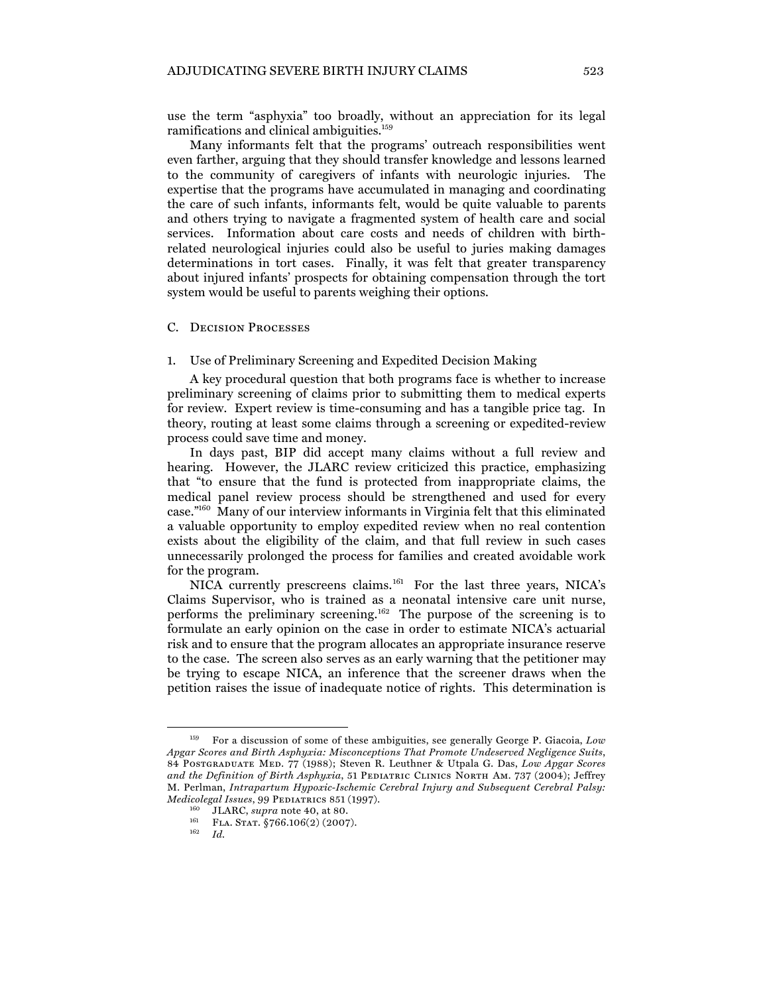use the term "asphyxia" too broadly, without an appreciation for its legal ramifications and clinical ambiguities.<sup>159</sup>

Many informants felt that the programs' outreach responsibilities went even farther, arguing that they should transfer knowledge and lessons learned to the community of caregivers of infants with neurologic injuries. The expertise that the programs have accumulated in managing and coordinating the care of such infants, informants felt, would be quite valuable to parents and others trying to navigate a fragmented system of health care and social services. Information about care costs and needs of children with birthrelated neurological injuries could also be useful to juries making damages determinations in tort cases. Finally, it was felt that greater transparency about injured infants' prospects for obtaining compensation through the tort system would be useful to parents weighing their options.

#### C. Decision Processes

## 1. Use of Preliminary Screening and Expedited Decision Making

A key procedural question that both programs face is whether to increase preliminary screening of claims prior to submitting them to medical experts for review. Expert review is time-consuming and has a tangible price tag. In theory, routing at least some claims through a screening or expedited-review process could save time and money.

In days past, BIP did accept many claims without a full review and hearing. However, the JLARC review criticized this practice, emphasizing that "to ensure that the fund is protected from inappropriate claims, the medical panel review process should be strengthened and used for every case."160 Many of our interview informants in Virginia felt that this eliminated a valuable opportunity to employ expedited review when no real contention exists about the eligibility of the claim, and that full review in such cases unnecessarily prolonged the process for families and created avoidable work for the program.

NICA currently prescreens claims. 161 For the last three years, NICA's Claims Supervisor, who is trained as a neonatal intensive care unit nurse, performs the preliminary screening.162 The purpose of the screening is to formulate an early opinion on the case in order to estimate NICA's actuarial risk and to ensure that the program allocates an appropriate insurance reserve to the case. The screen also serves as an early warning that the petitioner may be trying to escape NICA, an inference that the screener draws when the petition raises the issue of inadequate notice of rights. This determination is

<sup>159</sup> For a discussion of some of these ambiguities, see generally George P. Giacoia, *Low Apgar Scores and Birth Asphyxia: Misconceptions That Promote Undeserved Negligence Suits*, 84 Postgraduate Med. 77 (1988); Steven R. Leuthner & Utpala G. Das, *Low Apgar Scores*  and the Definition of Birth Asphyxia, 51 PEDIATRIC CLINICS NORTH AM. 737 (2004); Jeffrey M. Perlman, *Intrapartum Hypoxic-Ischemic Cerebral Injury and Subsequent Cerebral Palsy: Medicolegal Issues*, 99 PEDIATRICS 851 (1997).<br><sup>160</sup> JLARC, *supra* note 40, at 80.<br><sup>161</sup> FLA. Stat. §766.106(2) (2007).<br><sup>162</sup> *Id.*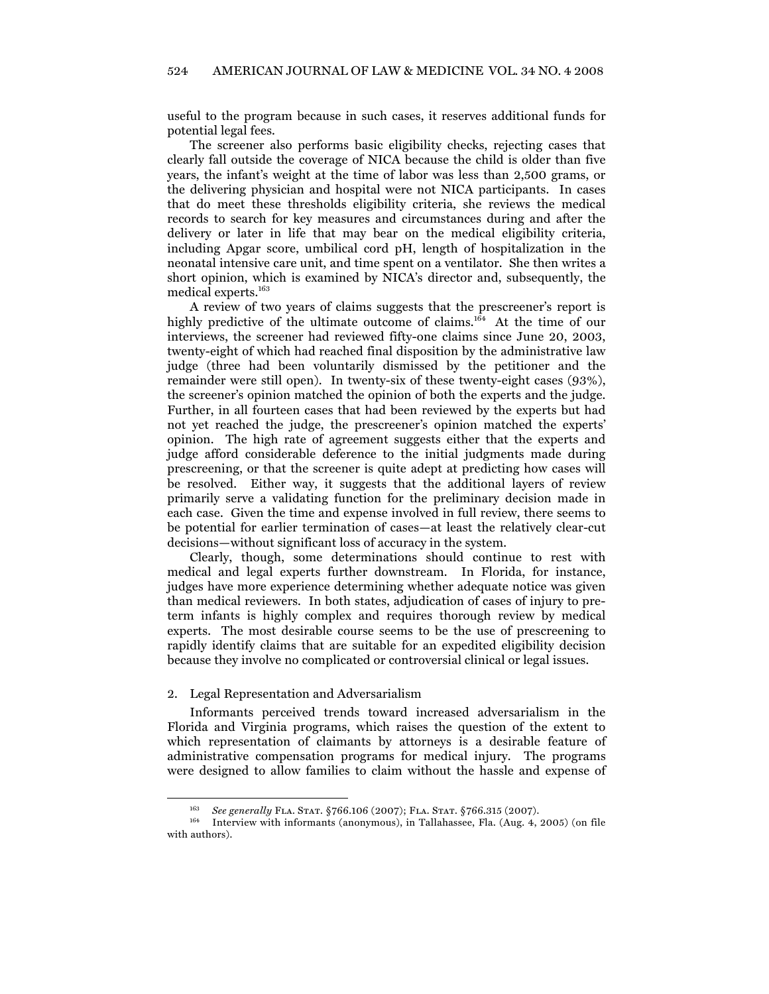useful to the program because in such cases, it reserves additional funds for potential legal fees.

The screener also performs basic eligibility checks, rejecting cases that clearly fall outside the coverage of NICA because the child is older than five years, the infant's weight at the time of labor was less than 2,500 grams, or the delivering physician and hospital were not NICA participants. In cases that do meet these thresholds eligibility criteria, she reviews the medical records to search for key measures and circumstances during and after the delivery or later in life that may bear on the medical eligibility criteria, including Apgar score, umbilical cord pH, length of hospitalization in the neonatal intensive care unit, and time spent on a ventilator. She then writes a short opinion, which is examined by NICA's director and, subsequently, the medical experts.163

A review of two years of claims suggests that the prescreener's report is highly predictive of the ultimate outcome of claims.<sup>164</sup> At the time of our interviews, the screener had reviewed fifty-one claims since June 20, 2003, twenty-eight of which had reached final disposition by the administrative law judge (three had been voluntarily dismissed by the petitioner and the remainder were still open). In twenty-six of these twenty-eight cases (93%), the screener's opinion matched the opinion of both the experts and the judge. Further, in all fourteen cases that had been reviewed by the experts but had not yet reached the judge, the prescreener's opinion matched the experts' opinion. The high rate of agreement suggests either that the experts and judge afford considerable deference to the initial judgments made during prescreening, or that the screener is quite adept at predicting how cases will be resolved. Either way, it suggests that the additional layers of review primarily serve a validating function for the preliminary decision made in each case. Given the time and expense involved in full review, there seems to be potential for earlier termination of cases—at least the relatively clear-cut decisions—without significant loss of accuracy in the system.

Clearly, though, some determinations should continue to rest with medical and legal experts further downstream. In Florida, for instance, judges have more experience determining whether adequate notice was given than medical reviewers. In both states, adjudication of cases of injury to preterm infants is highly complex and requires thorough review by medical experts. The most desirable course seems to be the use of prescreening to rapidly identify claims that are suitable for an expedited eligibility decision because they involve no complicated or controversial clinical or legal issues.

## 2. Legal Representation and Adversarialism

 $\overline{a}$ 

Informants perceived trends toward increased adversarialism in the Florida and Virginia programs, which raises the question of the extent to which representation of claimants by attorneys is a desirable feature of administrative compensation programs for medical injury. The programs were designed to allow families to claim without the hassle and expense of

<sup>&</sup>lt;sup>163</sup> See generally FLA. Stat. §766.106 (2007); FLA. Stat. §766.315 (2007).<br><sup>164</sup> Interview with informants (anonymous), in Tallahassee, Fla. (Aug. 4, 2005) (on file with authors).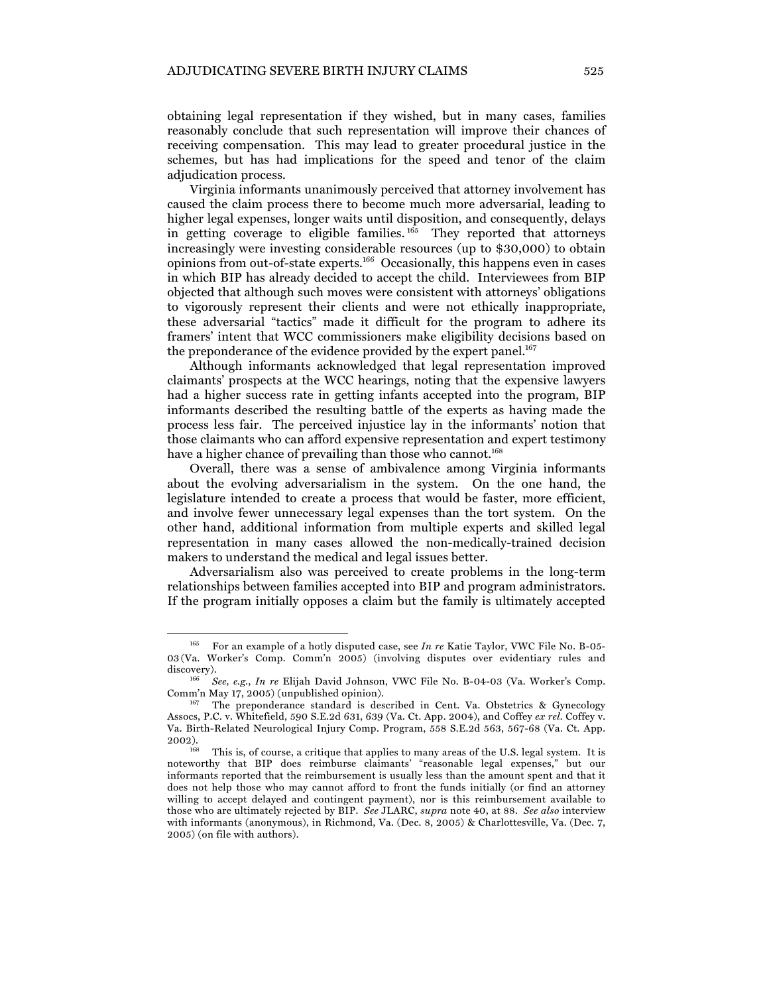obtaining legal representation if they wished, but in many cases, families reasonably conclude that such representation will improve their chances of receiving compensation. This may lead to greater procedural justice in the schemes, but has had implications for the speed and tenor of the claim adjudication process.

Virginia informants unanimously perceived that attorney involvement has caused the claim process there to become much more adversarial, leading to higher legal expenses, longer waits until disposition, and consequently, delays in getting coverage to eligible families. 165 They reported that attorneys increasingly were investing considerable resources (up to \$30,000) to obtain opinions from out-of-state experts.166 Occasionally, this happens even in cases in which BIP has already decided to accept the child. Interviewees from BIP objected that although such moves were consistent with attorneys' obligations to vigorously represent their clients and were not ethically inappropriate, these adversarial "tactics" made it difficult for the program to adhere its framers' intent that WCC commissioners make eligibility decisions based on the preponderance of the evidence provided by the expert panel.<sup>167</sup>

Although informants acknowledged that legal representation improved claimants' prospects at the WCC hearings, noting that the expensive lawyers had a higher success rate in getting infants accepted into the program, BIP informants described the resulting battle of the experts as having made the process less fair. The perceived injustice lay in the informants' notion that those claimants who can afford expensive representation and expert testimony have a higher chance of prevailing than those who cannot.<sup>168</sup>

Overall, there was a sense of ambivalence among Virginia informants about the evolving adversarialism in the system. On the one hand, the legislature intended to create a process that would be faster, more efficient, and involve fewer unnecessary legal expenses than the tort system. On the other hand, additional information from multiple experts and skilled legal representation in many cases allowed the non-medically-trained decision makers to understand the medical and legal issues better.

Adversarialism also was perceived to create problems in the long-term relationships between families accepted into BIP and program administrators. If the program initially opposes a claim but the family is ultimately accepted

<sup>165</sup> For an example of a hotly disputed case, see *In re* Katie Taylor, VWC File No. B-05- 03 (Va. Worker's Comp. Comm'n 2005) (involving disputes over evidentiary rules and discovery).

*See, e.g.*, *In re* Elijah David Johnson, VWC File No. B-04-03 (Va. Worker's Comp. Comm'n May 17, 2005) (unpublished opinion).<br><sup>167</sup> The preponderance standard is described in Cent. Va. Obstetrics & Gynecology

Assocs, P.C. v. Whitefield, 590 S.E.2d 631, 639 (Va. Ct. App. 2004), and Coffey *ex rel*. Coffey v. Va. Birth-Related Neurological Injury Comp. Program, 558 S.E.2d 563, 567-68 (Va. Ct. App. 2002). This is, of course, a critique that applies to many areas of the U.S. legal system. It is

noteworthy that BIP does reimburse claimants' "reasonable legal expenses," but our informants reported that the reimbursement is usually less than the amount spent and that it does not help those who may cannot afford to front the funds initially (or find an attorney willing to accept delayed and contingent payment), nor is this reimbursement available to those who are ultimately rejected by BIP. *See* JLARC, *supra* note 40, at 88. *See also* interview with informants (anonymous), in Richmond, Va. (Dec. 8, 2005) & Charlottesville, Va. (Dec. 7, 2005) (on file with authors).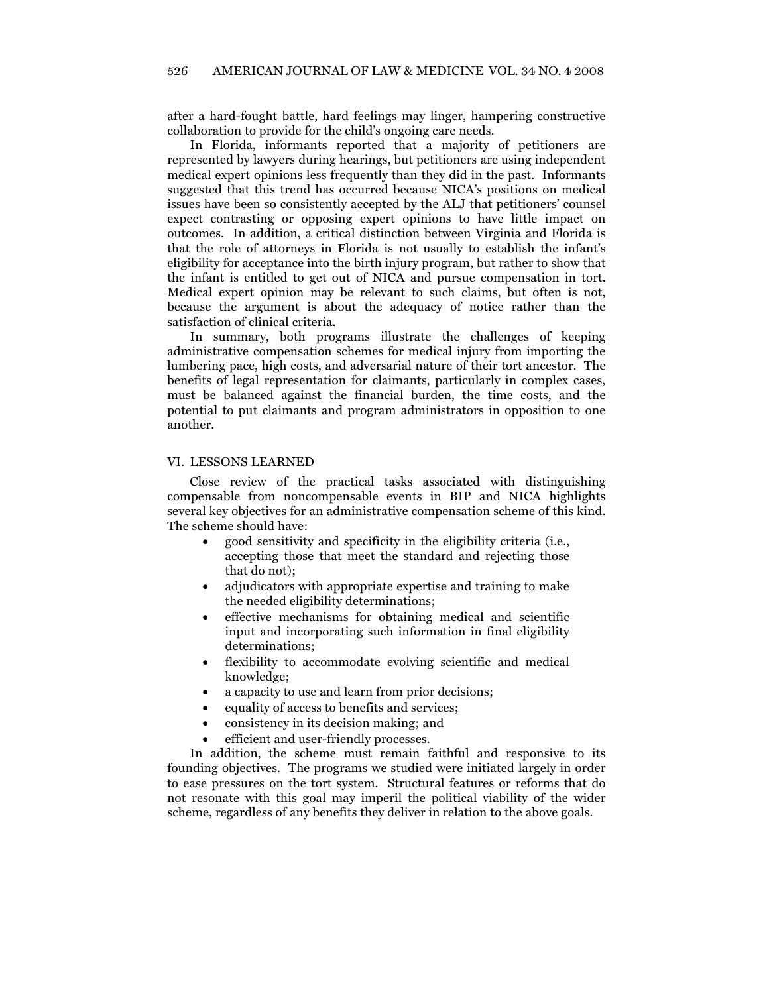after a hard-fought battle, hard feelings may linger, hampering constructive collaboration to provide for the child's ongoing care needs.

In Florida, informants reported that a majority of petitioners are represented by lawyers during hearings, but petitioners are using independent medical expert opinions less frequently than they did in the past. Informants suggested that this trend has occurred because NICA's positions on medical issues have been so consistently accepted by the ALJ that petitioners' counsel expect contrasting or opposing expert opinions to have little impact on outcomes. In addition, a critical distinction between Virginia and Florida is that the role of attorneys in Florida is not usually to establish the infant's eligibility for acceptance into the birth injury program, but rather to show that the infant is entitled to get out of NICA and pursue compensation in tort. Medical expert opinion may be relevant to such claims, but often is not, because the argument is about the adequacy of notice rather than the satisfaction of clinical criteria.

In summary, both programs illustrate the challenges of keeping administrative compensation schemes for medical injury from importing the lumbering pace, high costs, and adversarial nature of their tort ancestor. The benefits of legal representation for claimants, particularly in complex cases, must be balanced against the financial burden, the time costs, and the potential to put claimants and program administrators in opposition to one another.

## VI. LESSONS LEARNED

Close review of the practical tasks associated with distinguishing compensable from noncompensable events in BIP and NICA highlights several key objectives for an administrative compensation scheme of this kind. The scheme should have:

- good sensitivity and specificity in the eligibility criteria (i.e., accepting those that meet the standard and rejecting those that do not);
- adjudicators with appropriate expertise and training to make the needed eligibility determinations;
- effective mechanisms for obtaining medical and scientific input and incorporating such information in final eligibility determinations;
- flexibility to accommodate evolving scientific and medical knowledge;
- a capacity to use and learn from prior decisions;
- equality of access to benefits and services;
- consistency in its decision making; and
- efficient and user-friendly processes.

In addition, the scheme must remain faithful and responsive to its founding objectives. The programs we studied were initiated largely in order to ease pressures on the tort system. Structural features or reforms that do not resonate with this goal may imperil the political viability of the wider scheme, regardless of any benefits they deliver in relation to the above goals.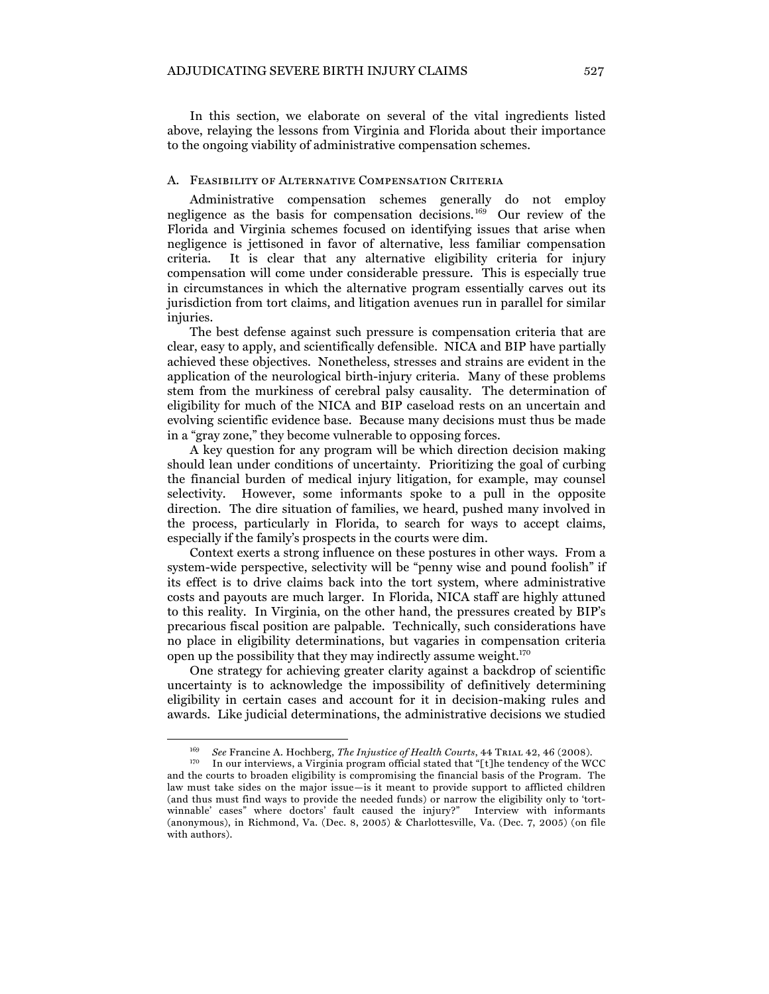In this section, we elaborate on several of the vital ingredients listed above, relaying the lessons from Virginia and Florida about their importance to the ongoing viability of administrative compensation schemes.

# A. Feasibility of Alternative Compensation Criteria

Administrative compensation schemes generally do not employ negligence as the basis for compensation decisions. 169 Our review of the Florida and Virginia schemes focused on identifying issues that arise when negligence is jettisoned in favor of alternative, less familiar compensation criteria. It is clear that any alternative eligibility criteria for injury compensation will come under considerable pressure. This is especially true in circumstances in which the alternative program essentially carves out its jurisdiction from tort claims, and litigation avenues run in parallel for similar injuries.

The best defense against such pressure is compensation criteria that are clear, easy to apply, and scientifically defensible. NICA and BIP have partially achieved these objectives. Nonetheless, stresses and strains are evident in the application of the neurological birth-injury criteria. Many of these problems stem from the murkiness of cerebral palsy causality. The determination of eligibility for much of the NICA and BIP caseload rests on an uncertain and evolving scientific evidence base. Because many decisions must thus be made in a "gray zone," they become vulnerable to opposing forces.

A key question for any program will be which direction decision making should lean under conditions of uncertainty. Prioritizing the goal of curbing the financial burden of medical injury litigation, for example, may counsel selectivity. However, some informants spoke to a pull in the opposite direction. The dire situation of families, we heard, pushed many involved in the process, particularly in Florida, to search for ways to accept claims, especially if the family's prospects in the courts were dim.

Context exerts a strong influence on these postures in other ways. From a system-wide perspective, selectivity will be "penny wise and pound foolish" if its effect is to drive claims back into the tort system, where administrative costs and payouts are much larger. In Florida, NICA staff are highly attuned to this reality. In Virginia, on the other hand, the pressures created by BIP's precarious fiscal position are palpable. Technically, such considerations have no place in eligibility determinations, but vagaries in compensation criteria open up the possibility that they may indirectly assume weight.<sup>170</sup>

One strategy for achieving greater clarity against a backdrop of scientific uncertainty is to acknowledge the impossibility of definitively determining eligibility in certain cases and account for it in decision-making rules and awards. Like judicial determinations, the administrative decisions we studied

<sup>&</sup>lt;sup>169</sup> See Francine A. Hochberg, *The Injustice of Health Courts*, 44 Trial 42, 46 (2008).<br><sup>170</sup> In our interviews, a Virginia program official stated that "[t]he tendency of the WCC

and the courts to broaden eligibility is compromising the financial basis of the Program. The law must take sides on the major issue—is it meant to provide support to afflicted children (and thus must find ways to provide the needed funds) or narrow the eligibility only to 'tortwinnable' cases" where doctors' fault caused the injury?" Interview with informants (anonymous), in Richmond, Va. (Dec. 8, 2005) & Charlottesville, Va. (Dec. 7, 2005) (on file with authors).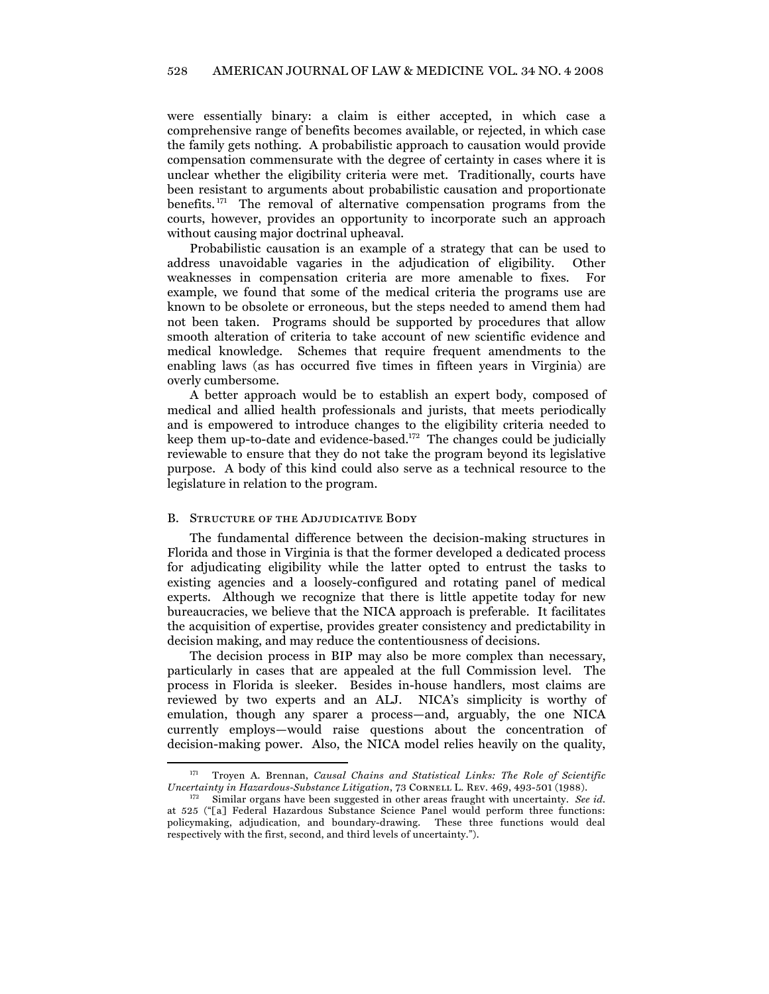were essentially binary: a claim is either accepted, in which case a comprehensive range of benefits becomes available, or rejected, in which case the family gets nothing. A probabilistic approach to causation would provide compensation commensurate with the degree of certainty in cases where it is unclear whether the eligibility criteria were met. Traditionally, courts have been resistant to arguments about probabilistic causation and proportionate benefits.<sup>171</sup> The removal of alternative compensation programs from the courts, however, provides an opportunity to incorporate such an approach without causing major doctrinal upheaval.

Probabilistic causation is an example of a strategy that can be used to address unavoidable vagaries in the adjudication of eligibility. Other weaknesses in compensation criteria are more amenable to fixes. For example, we found that some of the medical criteria the programs use are known to be obsolete or erroneous, but the steps needed to amend them had not been taken. Programs should be supported by procedures that allow smooth alteration of criteria to take account of new scientific evidence and medical knowledge. Schemes that require frequent amendments to the enabling laws (as has occurred five times in fifteen years in Virginia) are overly cumbersome.

A better approach would be to establish an expert body, composed of medical and allied health professionals and jurists, that meets periodically and is empowered to introduce changes to the eligibility criteria needed to keep them up-to-date and evidence-based.<sup>172</sup> The changes could be judicially reviewable to ensure that they do not take the program beyond its legislative purpose. A body of this kind could also serve as a technical resource to the legislature in relation to the program.

# B. Structure of the Adjudicative Body

 $\overline{a}$ 

The fundamental difference between the decision-making structures in Florida and those in Virginia is that the former developed a dedicated process for adjudicating eligibility while the latter opted to entrust the tasks to existing agencies and a loosely-configured and rotating panel of medical experts. Although we recognize that there is little appetite today for new bureaucracies, we believe that the NICA approach is preferable. It facilitates the acquisition of expertise, provides greater consistency and predictability in decision making, and may reduce the contentiousness of decisions.

The decision process in BIP may also be more complex than necessary, particularly in cases that are appealed at the full Commission level. The process in Florida is sleeker. Besides in-house handlers, most claims are reviewed by two experts and an ALJ. NICA's simplicity is worthy of emulation, though any sparer a process—and, arguably, the one NICA currently employs—would raise questions about the concentration of decision-making power. Also, the NICA model relies heavily on the quality,

<sup>171</sup> Troyen A. Brennan, *Causal Chains and Statistical Links: The Role of Scientific Uncertainty in Hazardous-Substance Litigation*, 73 CORNELL L. REV. 469, 493-501 (1988).<br><sup>172</sup> Similar organs have been suggested in other areas fraught with uncertainty. *See id.* 

at 525 ("[a] Federal Hazardous Substance Science Panel would perform three functions: policymaking, adjudication, and boundary-drawing. These three functions would deal respectively with the first, second, and third levels of uncertainty.").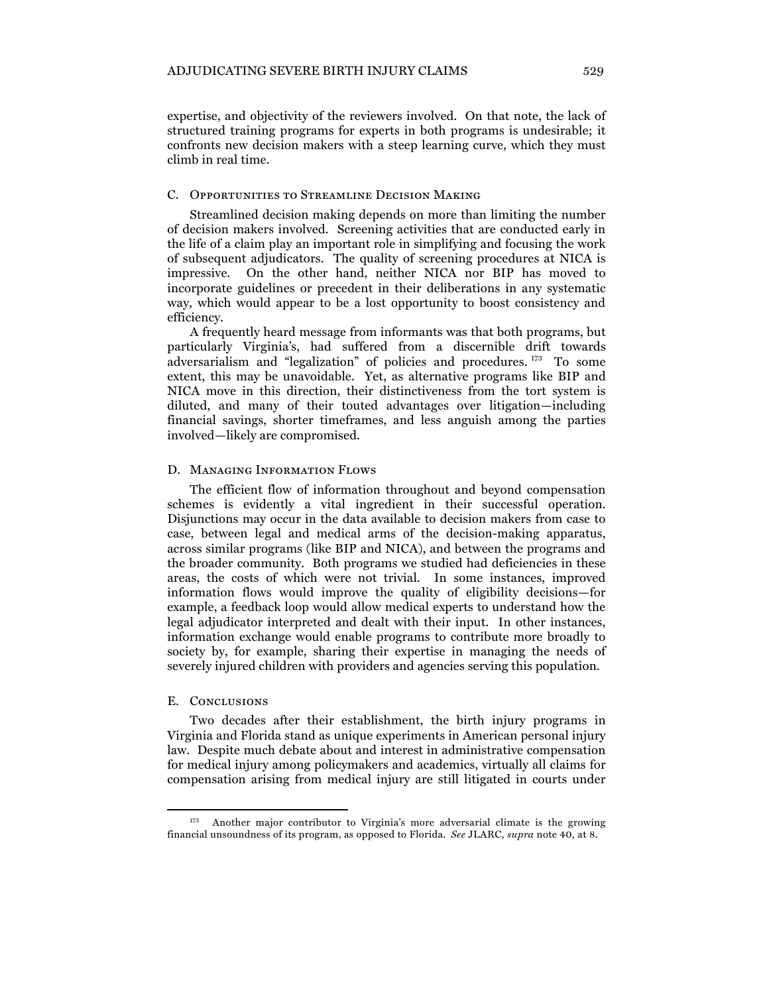expertise, and objectivity of the reviewers involved. On that note, the lack of structured training programs for experts in both programs is undesirable; it confronts new decision makers with a steep learning curve, which they must climb in real time.

# C. Opportunities to Streamline Decision Making

Streamlined decision making depends on more than limiting the number of decision makers involved. Screening activities that are conducted early in the life of a claim play an important role in simplifying and focusing the work of subsequent adjudicators. The quality of screening procedures at NICA is impressive. On the other hand, neither NICA nor BIP has moved to incorporate guidelines or precedent in their deliberations in any systematic way, which would appear to be a lost opportunity to boost consistency and efficiency.

A frequently heard message from informants was that both programs, but particularly Virginia's, had suffered from a discernible drift towards adversarialism and "legalization" of policies and procedures. 173 To some extent, this may be unavoidable. Yet, as alternative programs like BIP and NICA move in this direction, their distinctiveness from the tort system is diluted, and many of their touted advantages over litigation—including financial savings, shorter timeframes, and less anguish among the parties involved—likely are compromised.

## D. Managing Information Flows

The efficient flow of information throughout and beyond compensation schemes is evidently a vital ingredient in their successful operation. Disjunctions may occur in the data available to decision makers from case to case, between legal and medical arms of the decision-making apparatus, across similar programs (like BIP and NICA), and between the programs and the broader community. Both programs we studied had deficiencies in these areas, the costs of which were not trivial. In some instances, improved information flows would improve the quality of eligibility decisions—for example, a feedback loop would allow medical experts to understand how the legal adjudicator interpreted and dealt with their input. In other instances, information exchange would enable programs to contribute more broadly to society by, for example, sharing their expertise in managing the needs of severely injured children with providers and agencies serving this population.

#### E. Conclusions

 $\overline{a}$ 

Two decades after their establishment, the birth injury programs in Virginia and Florida stand as unique experiments in American personal injury law. Despite much debate about and interest in administrative compensation for medical injury among policymakers and academics, virtually all claims for compensation arising from medical injury are still litigated in courts under

Another major contributor to Virginia's more adversarial climate is the growing financial unsoundness of its program, as opposed to Florida. *See* JLARC, *supra* note 40, at 8.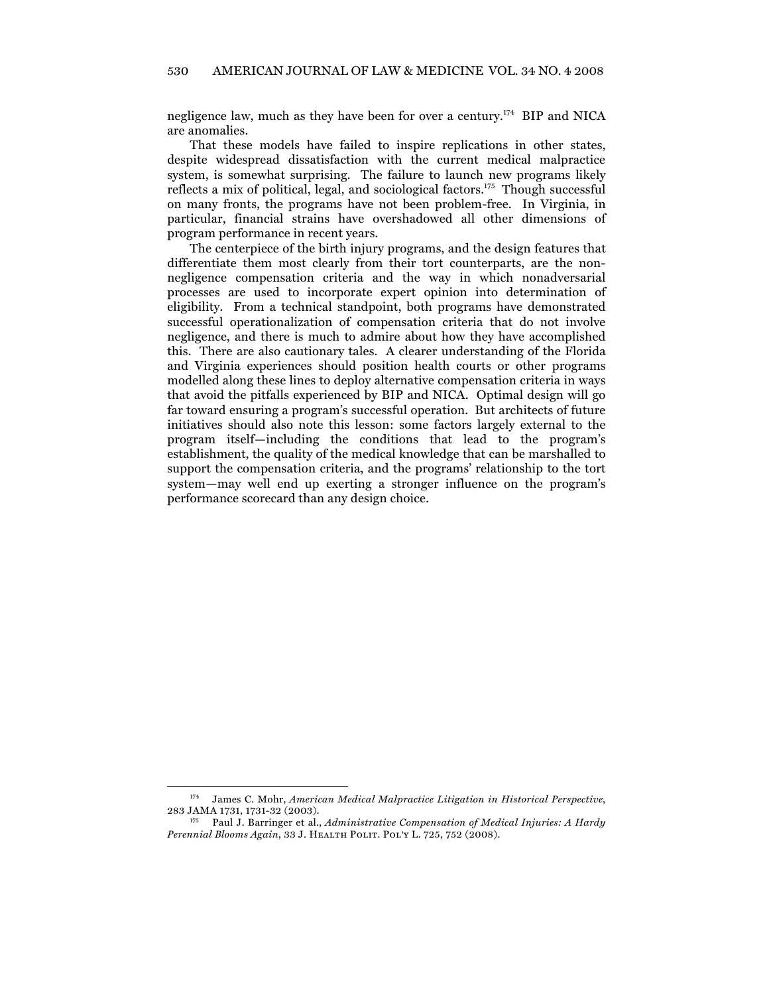negligence law, much as they have been for over a century.<sup>174</sup> BIP and NICA are anomalies.

That these models have failed to inspire replications in other states, despite widespread dissatisfaction with the current medical malpractice system, is somewhat surprising. The failure to launch new programs likely reflects a mix of political, legal, and sociological factors.<sup>175</sup> Though successful on many fronts, the programs have not been problem-free. In Virginia, in particular, financial strains have overshadowed all other dimensions of program performance in recent years.

The centerpiece of the birth injury programs, and the design features that differentiate them most clearly from their tort counterparts, are the nonnegligence compensation criteria and the way in which nonadversarial processes are used to incorporate expert opinion into determination of eligibility. From a technical standpoint, both programs have demonstrated successful operationalization of compensation criteria that do not involve negligence, and there is much to admire about how they have accomplished this. There are also cautionary tales. A clearer understanding of the Florida and Virginia experiences should position health courts or other programs modelled along these lines to deploy alternative compensation criteria in ways that avoid the pitfalls experienced by BIP and NICA. Optimal design will go far toward ensuring a program's successful operation. But architects of future initiatives should also note this lesson: some factors largely external to the program itself—including the conditions that lead to the program's establishment, the quality of the medical knowledge that can be marshalled to support the compensation criteria, and the programs' relationship to the tort system—may well end up exerting a stronger influence on the program's performance scorecard than any design choice.

<sup>174</sup> James C. Mohr, *American Medical Malpractice Litigation in Historical Perspective*, 283 JAMA 1731, 1731-32 (2003). 175 Paul J. Barringer et al., *Administrative Compensation of Medical Injuries: A Hardy* 

*Perennial Blooms Again*, 33 J. Health Polit. Pol'y L. 725, 752 (2008).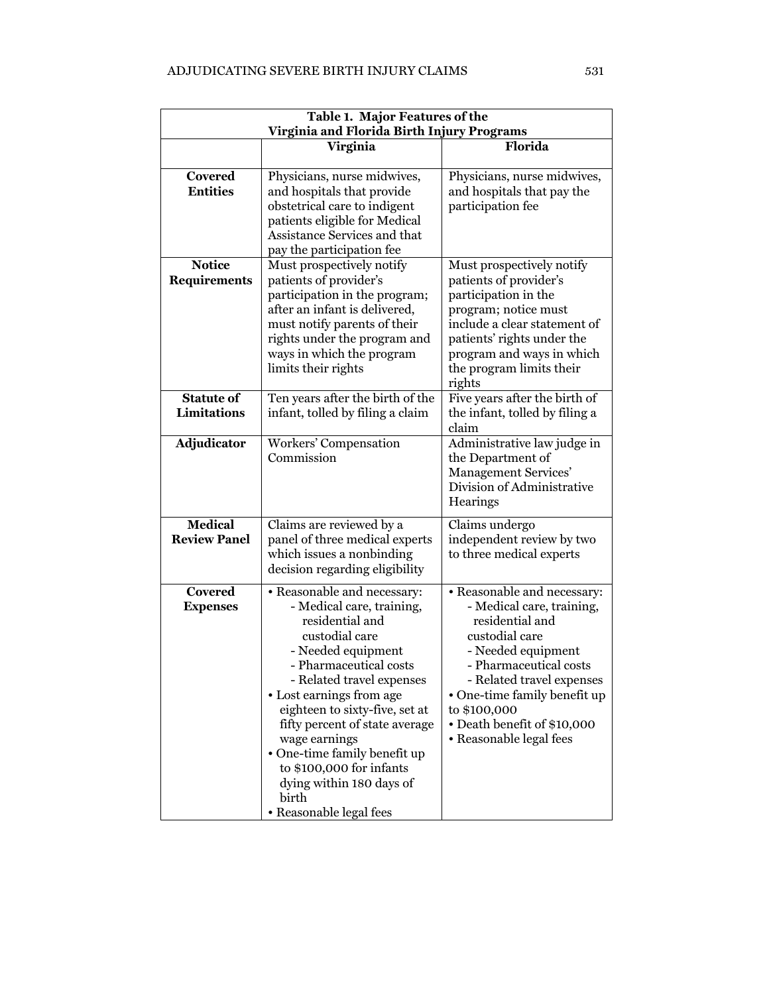| Table 1. Major Features of the             |                                                                                                                                                                                                                                                                                                                                                                                                                         |                                                                                                                                                                                                                                                                                      |  |  |
|--------------------------------------------|-------------------------------------------------------------------------------------------------------------------------------------------------------------------------------------------------------------------------------------------------------------------------------------------------------------------------------------------------------------------------------------------------------------------------|--------------------------------------------------------------------------------------------------------------------------------------------------------------------------------------------------------------------------------------------------------------------------------------|--|--|
| Virginia and Florida Birth Injury Programs |                                                                                                                                                                                                                                                                                                                                                                                                                         |                                                                                                                                                                                                                                                                                      |  |  |
|                                            | Virginia                                                                                                                                                                                                                                                                                                                                                                                                                | Florida                                                                                                                                                                                                                                                                              |  |  |
| <b>Covered</b><br><b>Entities</b>          | Physicians, nurse midwives,<br>and hospitals that provide<br>obstetrical care to indigent<br>patients eligible for Medical<br>Assistance Services and that<br>pay the participation fee                                                                                                                                                                                                                                 | Physicians, nurse midwives,<br>and hospitals that pay the<br>participation fee                                                                                                                                                                                                       |  |  |
| <b>Notice</b><br><b>Requirements</b>       | Must prospectively notify<br>patients of provider's<br>participation in the program;<br>after an infant is delivered,<br>must notify parents of their<br>rights under the program and<br>ways in which the program<br>limits their rights                                                                                                                                                                               | Must prospectively notify<br>patients of provider's<br>participation in the<br>program; notice must<br>include a clear statement of<br>patients' rights under the<br>program and ways in which<br>the program limits their<br>rights                                                 |  |  |
| <b>Statute of</b><br><b>Limitations</b>    | Ten years after the birth of the<br>infant, tolled by filing a claim                                                                                                                                                                                                                                                                                                                                                    | Five years after the birth of<br>the infant, tolled by filing a<br>claim                                                                                                                                                                                                             |  |  |
| Adjudicator                                | <b>Workers' Compensation</b><br>Commission                                                                                                                                                                                                                                                                                                                                                                              | Administrative law judge in<br>the Department of<br>Management Services'<br>Division of Administrative<br>Hearings                                                                                                                                                                   |  |  |
| <b>Medical</b><br><b>Review Panel</b>      | Claims are reviewed by a<br>panel of three medical experts<br>which issues a nonbinding<br>decision regarding eligibility                                                                                                                                                                                                                                                                                               | Claims undergo<br>independent review by two<br>to three medical experts                                                                                                                                                                                                              |  |  |
| <b>Covered</b><br><b>Expenses</b>          | • Reasonable and necessary:<br>- Medical care, training,<br>residential and<br>custodial care<br>- Needed equipment<br>- Pharmaceutical costs<br>- Related travel expenses<br>• Lost earnings from age<br>eighteen to sixty-five, set at<br>fifty percent of state average<br>wage earnings<br>• One-time family benefit up<br>to \$100,000 for infants<br>dying within 180 days of<br>birth<br>• Reasonable legal fees | • Reasonable and necessary:<br>- Medical care, training,<br>residential and<br>custodial care<br>- Needed equipment<br>- Pharmaceutical costs<br>- Related travel expenses<br>• One-time family benefit up<br>to \$100,000<br>• Death benefit of \$10,000<br>• Reasonable legal fees |  |  |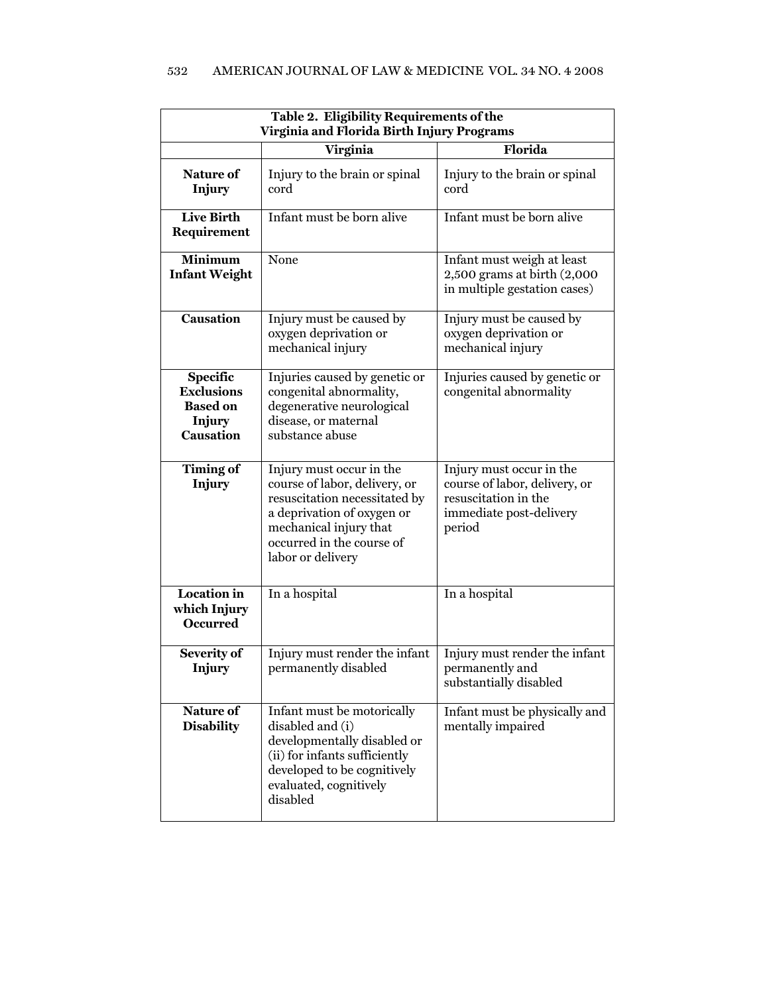| Table 2. Eligibility Requirements of the<br>Virginia and Florida Birth Injury Programs |                                                                                                                                                                                                      |                                                                                                                        |  |
|----------------------------------------------------------------------------------------|------------------------------------------------------------------------------------------------------------------------------------------------------------------------------------------------------|------------------------------------------------------------------------------------------------------------------------|--|
|                                                                                        | Virginia                                                                                                                                                                                             | Florida                                                                                                                |  |
| Nature of<br><b>Injury</b>                                                             | Injury to the brain or spinal<br>cord                                                                                                                                                                | Injury to the brain or spinal<br>cord                                                                                  |  |
| <b>Live Birth</b><br>Requirement                                                       | Infant must be born alive                                                                                                                                                                            | Infant must be born alive                                                                                              |  |
| <b>Minimum</b><br><b>Infant Weight</b>                                                 | None                                                                                                                                                                                                 | Infant must weigh at least<br>$2,500$ grams at birth $(2,000)$<br>in multiple gestation cases)                         |  |
| <b>Causation</b>                                                                       | Injury must be caused by<br>oxygen deprivation or<br>mechanical injury                                                                                                                               | Injury must be caused by<br>oxygen deprivation or<br>mechanical injury                                                 |  |
| <b>Specific</b><br><b>Exclusions</b><br><b>Based on</b><br>Injury<br><b>Causation</b>  | Injuries caused by genetic or<br>congenital abnormality,<br>degenerative neurological<br>disease, or maternal<br>substance abuse                                                                     | Injuries caused by genetic or<br>congenital abnormality                                                                |  |
| <b>Timing of</b><br>Injury                                                             | Injury must occur in the<br>course of labor, delivery, or<br>resuscitation necessitated by<br>a deprivation of oxygen or<br>mechanical injury that<br>occurred in the course of<br>labor or delivery | Injury must occur in the<br>course of labor, delivery, or<br>resuscitation in the<br>immediate post-delivery<br>period |  |
| <b>Location</b> in<br>which Injury<br><b>Occurred</b>                                  | In a hospital                                                                                                                                                                                        | In a hospital                                                                                                          |  |
| Severity of<br><b>Injury</b>                                                           | Injury must render the infant<br>permanently disabled                                                                                                                                                | Injury must render the infant<br>permanently and<br>substantially disabled                                             |  |
| Nature of<br><b>Disability</b>                                                         | Infant must be motorically<br>disabled and (i)<br>developmentally disabled or<br>(ii) for infants sufficiently<br>developed to be cognitively<br>evaluated, cognitively<br>disabled                  | Infant must be physically and<br>mentally impaired                                                                     |  |